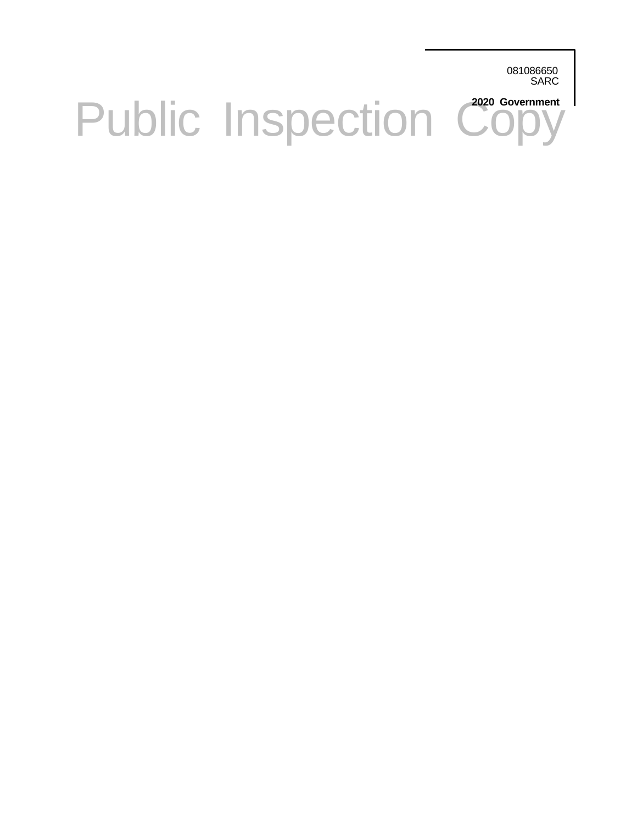081086650 SARC

# Public Inspection Copy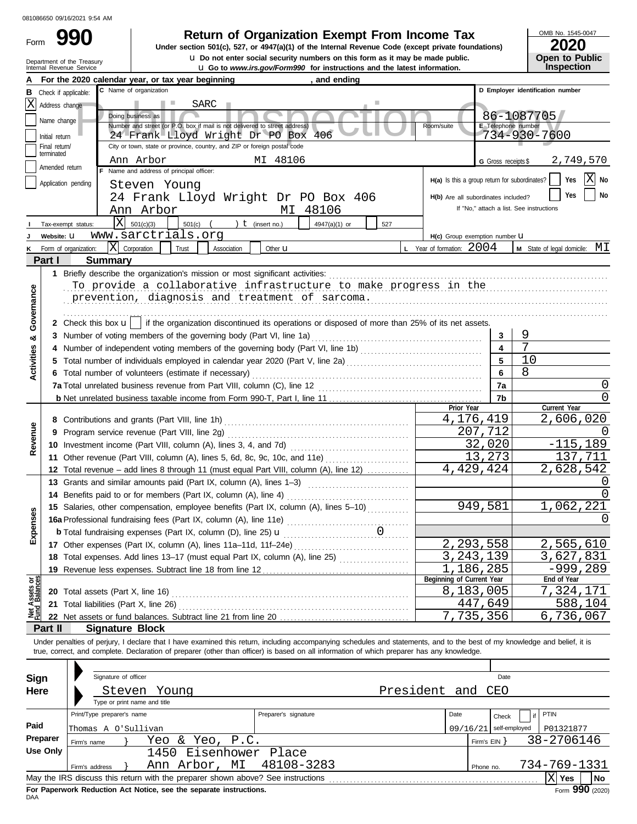Form

## **990 2000 2020 Return of Organization Exempt From Income Tax**

Internal Revenue Service u **Go to** *www.irs.gov/Form990* **for instructions and the latest information. u** Do not enter social security numbers on this form as it may be made public. **Under section 501(c), 527, or 4947(a)(1) of the Internal Revenue Code (except private foundations)** OMB No. 1545-0047

| ZUZU                  |  |
|-----------------------|--|
| <b>Open to Public</b> |  |
| <b>Inspection</b>     |  |

|                                |                             | Department of the Treasury<br>Internal Revenue Service | La Do not enter social security numbers on this form as it may be made public.<br><b>u</b> Go to www.irs.gov/Form990 for instructions and the latest information.          |                     | <b>Open to Public</b><br><b>Inspection</b> |
|--------------------------------|-----------------------------|--------------------------------------------------------|----------------------------------------------------------------------------------------------------------------------------------------------------------------------------|---------------------|--------------------------------------------|
|                                |                             |                                                        | For the 2020 calendar year, or tax year beginning<br>, and ending                                                                                                          |                     |                                            |
| В                              | Check if applicable:        |                                                        | C Name of organization                                                                                                                                                     |                     | D Employer identification number           |
|                                | X Address change            |                                                        | SARC                                                                                                                                                                       |                     |                                            |
|                                | Name change                 |                                                        | Doing business as                                                                                                                                                          |                     | 86-1087705                                 |
|                                |                             |                                                        | Number and street (or P.O. box if mail is not delivered to street address)<br>Room/suite                                                                                   | E Telephone number  |                                            |
|                                | Initial return              |                                                        | 24 Frank Lloyd Wright Dr PO Box<br>406                                                                                                                                     |                     | 734-930-7600                               |
|                                | Final return/<br>terminated |                                                        | City or town, state or province, country, and ZIP or foreign postal code                                                                                                   |                     |                                            |
|                                | Amended return              |                                                        | Ann Arbor<br>MI 48106<br>F Name and address of principal officer:                                                                                                          | G Gross receipts \$ | 2,749,570                                  |
|                                |                             |                                                        | $H(a)$ Is this a group return for subordinates?                                                                                                                            |                     | $X$ No<br>Yes                              |
|                                |                             | Application pending                                    | Steven Young                                                                                                                                                               |                     | No<br>Yes                                  |
|                                |                             |                                                        | 24 Frank Lloyd Wright Dr PO Box 406<br>H(b) Are all subordinates included?                                                                                                 |                     |                                            |
|                                |                             |                                                        | MI 48106<br>Ann Arbor                                                                                                                                                      |                     | If "No," attach a list. See instructions   |
|                                |                             | Tax-exempt status:                                     | $X = 501(c)(3)$<br>) $t$ (insert no.)<br>$501(c)$ (<br>4947(a)(1) or<br>527                                                                                                |                     |                                            |
|                                | Website: U                  |                                                        | www.sarctrials.org<br>H(c) Group exemption number U                                                                                                                        |                     |                                            |
| ĸ                              |                             | Form of organization:                                  | $\mathbf{X}$ Corporation<br><b>L</b> Year of formation: $2004$<br>Trust<br>Association<br>Other <b>u</b>                                                                   |                     | M State of legal domicile: MI              |
|                                | Part I                      | <b>Summary</b>                                         |                                                                                                                                                                            |                     |                                            |
|                                |                             |                                                        |                                                                                                                                                                            |                     |                                            |
|                                |                             |                                                        | To provide a collaborative infrastructure to make progress in the                                                                                                          |                     |                                            |
|                                |                             |                                                        | prevention, diagnosis and treatment of sarcoma.                                                                                                                            |                     |                                            |
| Governance                     |                             |                                                        |                                                                                                                                                                            |                     |                                            |
|                                |                             |                                                        | 2 Check this box $\mathbf{u}$   if the organization discontinued its operations or disposed of more than 25% of its net assets.                                            |                     |                                            |
| ಯ                              |                             |                                                        | 3 Number of voting members of the governing body (Part VI, line 1a)                                                                                                        | 3                   | 9                                          |
|                                |                             |                                                        | Number of independent voting members of the governing body (Part VI, line 1b) [11] [11] Number of independent voting                                                       | 4                   | 7                                          |
| <b>Activities</b>              | 5.                          |                                                        | Total number of individuals employed in calendar year 2020 (Part V, line 2a) [[[[[[[[[[[[[[[[[[[[[[[[[[[[[[[[                                                              | 5                   | 10                                         |
|                                |                             |                                                        | 6 Total number of volunteers (estimate if necessary)                                                                                                                       | 6                   | 8                                          |
|                                |                             |                                                        |                                                                                                                                                                            | 7a                  | $\left( \right)$                           |
|                                |                             |                                                        |                                                                                                                                                                            | 7b                  | U                                          |
|                                |                             |                                                        | Prior Year                                                                                                                                                                 |                     | Current Year                               |
|                                |                             |                                                        | 4,176,419                                                                                                                                                                  |                     | 2,606,020                                  |
| Revenue                        | 9                           |                                                        |                                                                                                                                                                            | 207,712             |                                            |
|                                |                             |                                                        |                                                                                                                                                                            | 32,020              | $-115,189$                                 |
|                                |                             |                                                        | 11 Other revenue (Part VIII, column (A), lines 5, 6d, 8c, 9c, 10c, and 11e)                                                                                                | 13,273              | 137,711                                    |
|                                |                             |                                                        | 4,429,424<br>12 Total revenue - add lines 8 through 11 (must equal Part VIII, column (A), line 12)                                                                         |                     | 2,628,542                                  |
|                                |                             |                                                        | 13 Grants and similar amounts paid (Part IX, column (A), lines 1-3)                                                                                                        |                     |                                            |
|                                |                             |                                                        | 14 Benefits paid to or for members (Part IX, column (A), line 4)<br><u> 1986 - Johann Stoff, Amerikaansk politiker (</u>                                                   |                     |                                            |
| Ses                            |                             |                                                        | 15 Salaries, other compensation, employee benefits (Part IX, column (A), lines 5-10)                                                                                       | 949,581             | 1,062,221                                  |
|                                |                             |                                                        | <b>16a</b> Professional fundraising fees (Part IX, column (A), line 11e)<br><b>b</b> Total fundraising expenses (Part IX, column (D), line 25) $\mathbf{u}$                |                     |                                            |
| Exper                          |                             |                                                        |                                                                                                                                                                            |                     |                                            |
|                                |                             |                                                        | 2,293,558                                                                                                                                                                  |                     | 2,565,610                                  |
|                                |                             |                                                        | 3, 243, 139<br>18 Total expenses. Add lines 13-17 (must equal Part IX, column (A), line 25) [                                                                              |                     | 3,627,831                                  |
|                                |                             |                                                        | Beginning of Current Year                                                                                                                                                  | 186,285             | -999,289<br>End of Year                    |
| Net Assets or<br>Fund Balances |                             | <b>20</b> Total assets (Part X, line 16)               | 8,183,005                                                                                                                                                                  |                     | 7,324,171                                  |
|                                |                             |                                                        | 21 Total liabilities (Part X, line 26)                                                                                                                                     | 447,649             | 588,104                                    |
|                                |                             |                                                        | 7,735,356                                                                                                                                                                  |                     | $\overline{6}$ , 736, 067                  |
|                                | Part II                     |                                                        | <b>Signature Block</b>                                                                                                                                                     |                     |                                            |
|                                |                             |                                                        | Under penalties of perjury, I declare that I have examined this return, including accompanying schedules and statements, and to the best of my knowledge and belief, it is |                     |                                            |
|                                |                             |                                                        | true, correct, and complete. Declaration of preparer (other than officer) is based on all information of which preparer has any knowledge.                                 |                     |                                            |
|                                |                             |                                                        |                                                                                                                                                                            |                     |                                            |
|                                | Sign                        | Signature of officer                                   |                                                                                                                                                                            | Date                |                                            |
|                                | Here                        |                                                        | President and<br>Steven<br>Young                                                                                                                                           | CEO                 |                                            |
|                                |                             |                                                        | Type or print name and title                                                                                                                                               |                     |                                            |
|                                |                             | Print/Type preparer's name                             | Date<br>Preparer's signature                                                                                                                                               | Check               | PTIN                                       |
| Paid                           |                             | Thomas A O'Sullivan                                    | 09/16/21                                                                                                                                                                   | self-employed       | P01321877                                  |
|                                | Preparer                    | Firm's name                                            | Yeo & Yeo, P.C.                                                                                                                                                            | Firm's $EIN$ }      | 38-2706146                                 |
|                                | <b>Use Only</b>             |                                                        | 1450 Eisenhower Place                                                                                                                                                      |                     |                                            |
|                                |                             | Firm's address                                         | Ann Arbor, MI<br>48108-3283                                                                                                                                                | Phone no.           | 734-769-1331                               |
|                                |                             |                                                        | May the IRS discuss this return with the preparer shown above? See instructions                                                                                            |                     | $ X $ Yes<br>No                            |
|                                |                             |                                                        |                                                                                                                                                                            |                     |                                            |

| Sign     |                            | Signature of officer         |                                                                                 |                      |  |      |              | Date          |  |              |                             |
|----------|----------------------------|------------------------------|---------------------------------------------------------------------------------|----------------------|--|------|--------------|---------------|--|--------------|-----------------------------|
| Here     | Steven Young               | President and CEO            |                                                                                 |                      |  |      |              |               |  |              |                             |
|          |                            | Type or print name and title |                                                                                 |                      |  |      |              |               |  |              |                             |
|          | Print/Type preparer's name |                              |                                                                                 | Preparer's signature |  | Date |              | Check         |  | PTIN         |                             |
| Paid     | Thomas A O'Sullivan        |                              |                                                                                 |                      |  |      | 09/16/21     | self-employed |  | P01321877    |                             |
| Preparer | Firm's name                |                              | Yeo & Yeo, P.C.                                                                 |                      |  |      | Firm's $EIN$ |               |  | 38-2706146   |                             |
| Use Only |                            |                              | 1450 Eisenhower Place                                                           |                      |  |      |              |               |  |              |                             |
|          | Firm's address             |                              | Ann Arbor, MI                                                                   | 48108-3283           |  |      | Phone no.    |               |  | 734-769-1331 |                             |
|          |                            |                              | May the IRS discuss this return with the preparer shown above? See instructions |                      |  |      |              |               |  | Yes          | <b>No</b>                   |
|          |                            |                              | For Panerwork Reduction Act Notice, see the senarate instructions               |                      |  |      |              |               |  |              | $F_{\text{c}}$ QQ0 $(2020)$ |

DAA **For Paperwork Reduction Act Notice, see the separate instructions.**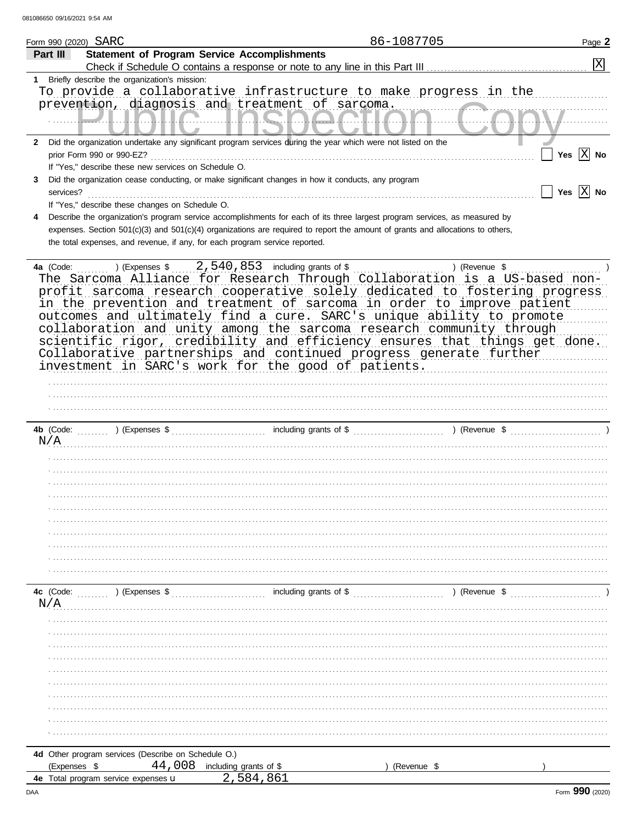|              | Form 990 (2020) SARC |                                                      | 86-1087705                                                                                                                     | Page 2                  |
|--------------|----------------------|------------------------------------------------------|--------------------------------------------------------------------------------------------------------------------------------|-------------------------|
|              | Part III             |                                                      | <b>Statement of Program Service Accomplishments</b>                                                                            |                         |
|              |                      |                                                      |                                                                                                                                | $\overline{X}$          |
| 1            |                      | Briefly describe the organization's mission:         |                                                                                                                                |                         |
|              |                      |                                                      | To provide a collaborative infrastructure to make progress in the                                                              |                         |
|              |                      |                                                      | prevention, diagnosis and treatment of sarcoma.                                                                                |                         |
|              |                      |                                                      |                                                                                                                                |                         |
|              |                      |                                                      |                                                                                                                                |                         |
|              |                      |                                                      |                                                                                                                                |                         |
| $\mathbf{2}$ |                      |                                                      | Did the organization undertake any significant program services during the year which were not listed on the                   |                         |
|              |                      | prior Form 990 or 990-EZ?                            |                                                                                                                                | Yes $X$ No              |
|              |                      | If "Yes," describe these new services on Schedule O. |                                                                                                                                |                         |
| 3            |                      |                                                      | Did the organization cease conducting, or make significant changes in how it conducts, any program                             |                         |
|              | services?            |                                                      |                                                                                                                                | Yes $ \overline{X} $ No |
|              |                      | If "Yes," describe these changes on Schedule O.      |                                                                                                                                |                         |
| 4            |                      |                                                      | Describe the organization's program service accomplishments for each of its three largest program services, as measured by     |                         |
|              |                      |                                                      | expenses. Section 501(c)(3) and 501(c)(4) organizations are required to report the amount of grants and allocations to others, |                         |
|              |                      |                                                      | the total expenses, and revenue, if any, for each program service reported.                                                    |                         |
|              |                      |                                                      |                                                                                                                                |                         |
|              | 4a (Code:            | ) (Expenses \$                                       | 2,540,853 including grants of \$                                                                                               | ) (Revenue \$           |
|              |                      |                                                      | The Sarcoma Alliance for Research Through Collaboration is a US-based non-                                                     |                         |
|              |                      |                                                      |                                                                                                                                |                         |
|              |                      |                                                      | profit sarcoma research cooperative solely dedicated to fostering progress                                                     |                         |
|              |                      |                                                      | in the prevention and treatment of sarcoma in order to improve patient                                                         |                         |
|              |                      |                                                      | outcomes and ultimately find a cure. SARC's unique ability to promote                                                          |                         |
|              |                      |                                                      | collaboration and unity among the sarcoma research community through                                                           |                         |
|              |                      |                                                      | scientific rigor, credibility and efficiency ensures that things get done.                                                     |                         |
|              |                      |                                                      | Collaborative partnerships and continued progress generate further                                                             |                         |
|              |                      |                                                      | investment in SARC's work for the good of patients.                                                                            |                         |
|              |                      |                                                      |                                                                                                                                |                         |
|              |                      |                                                      |                                                                                                                                |                         |
|              |                      |                                                      |                                                                                                                                |                         |
|              |                      |                                                      |                                                                                                                                |                         |
|              |                      |                                                      |                                                                                                                                |                         |
|              |                      |                                                      |                                                                                                                                |                         |
|              | 4b (Code:            | $\sum_{i=1}^{n}$ (Expenses \$                        |                                                                                                                                |                         |
|              | N/A                  |                                                      |                                                                                                                                |                         |
|              |                      |                                                      |                                                                                                                                |                         |
|              |                      |                                                      |                                                                                                                                |                         |
|              |                      |                                                      |                                                                                                                                |                         |
|              |                      |                                                      |                                                                                                                                |                         |
|              |                      |                                                      |                                                                                                                                |                         |
|              |                      |                                                      |                                                                                                                                |                         |
|              |                      |                                                      |                                                                                                                                |                         |
|              |                      |                                                      |                                                                                                                                |                         |
|              |                      |                                                      |                                                                                                                                |                         |
|              |                      |                                                      |                                                                                                                                |                         |
|              |                      |                                                      |                                                                                                                                |                         |
|              |                      |                                                      |                                                                                                                                |                         |
|              | 4c (Code:            |                                                      | $\ldots$ (Expenses \$ $\ldots$ ) (Expenses \$ $\ldots$ including grants of \$ $\ldots$ $\ldots$ ) (Revenue \$ $\ldots$         |                         |
|              | N/A                  |                                                      |                                                                                                                                |                         |
|              |                      |                                                      |                                                                                                                                |                         |
|              |                      |                                                      |                                                                                                                                |                         |
|              |                      |                                                      |                                                                                                                                |                         |
|              |                      |                                                      |                                                                                                                                |                         |
|              |                      |                                                      |                                                                                                                                |                         |
|              |                      |                                                      |                                                                                                                                |                         |
|              |                      |                                                      |                                                                                                                                |                         |
|              |                      |                                                      |                                                                                                                                |                         |
|              |                      |                                                      |                                                                                                                                |                         |
|              |                      |                                                      |                                                                                                                                |                         |
|              |                      |                                                      |                                                                                                                                |                         |
|              |                      |                                                      |                                                                                                                                |                         |
|              |                      | 4d Other program services (Describe on Schedule O.)  |                                                                                                                                |                         |
|              | (Expenses \$         | 4e Total program service expenses u                  | 44,008 including grants of \$<br>(Revenue \$<br>2,584,861                                                                      |                         |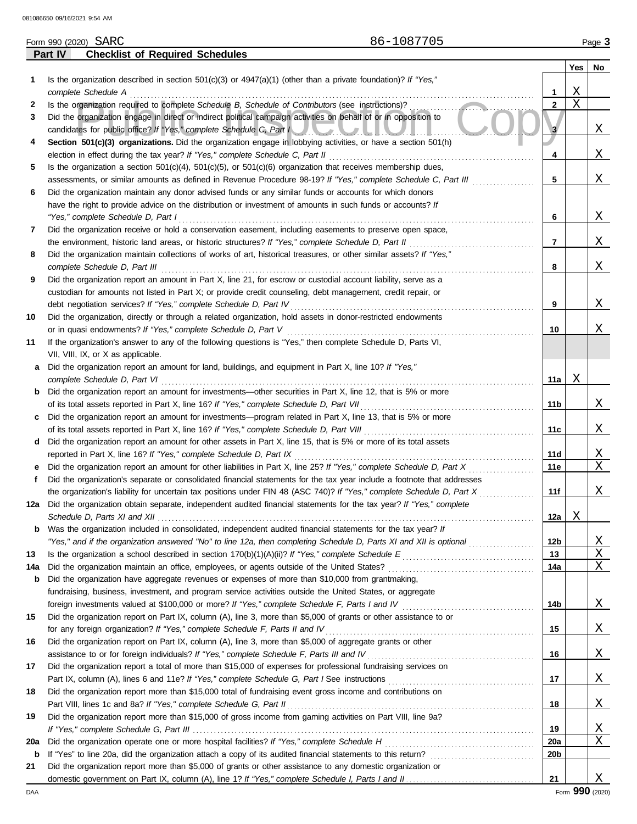|     | Form 990 (2020) SARC | 86-1087705                                                                                                                                                                    |              |                         | Page 3                  |
|-----|----------------------|-------------------------------------------------------------------------------------------------------------------------------------------------------------------------------|--------------|-------------------------|-------------------------|
|     | Part IV              | <b>Checklist of Required Schedules</b>                                                                                                                                        |              |                         |                         |
|     |                      |                                                                                                                                                                               |              | Yes                     | No                      |
| 1   |                      | Is the organization described in section 501(c)(3) or $4947(a)(1)$ (other than a private foundation)? If "Yes,"                                                               |              |                         |                         |
|     | complete Schedule A  | 1                                                                                                                                                                             |              | Χ                       |                         |
| 2   |                      | Is the organization required to complete Schedule B, Schedule of Contributors (see instructions)?                                                                             | $\mathbf{2}$ | $\overline{\mathrm{X}}$ |                         |
| 3   |                      | Did the organization engage in direct or indirect political campaign activities on behalf of or in opposition to                                                              |              |                         |                         |
|     |                      | candidates for public office? If "Yes," complete Schedule C, Part I                                                                                                           | 3            |                         | Χ                       |
| 4   |                      | Section 501(c)(3) organizations. Did the organization engage in lobbying activities, or have a section 501(h)                                                                 |              |                         |                         |
|     |                      | election in effect during the tax year? If "Yes," complete Schedule C, Part II                                                                                                | 4            |                         | Χ                       |
| 5   |                      | Is the organization a section $501(c)(4)$ , $501(c)(5)$ , or $501(c)(6)$ organization that receives membership dues,                                                          |              |                         |                         |
|     |                      | assessments, or similar amounts as defined in Revenue Procedure 98-19? If "Yes," complete Schedule C, Part III                                                                | 5            |                         | Χ                       |
| 6   |                      | Did the organization maintain any donor advised funds or any similar funds or accounts for which donors                                                                       |              |                         |                         |
|     |                      | have the right to provide advice on the distribution or investment of amounts in such funds or accounts? If                                                                   |              |                         |                         |
|     |                      | "Yes," complete Schedule D, Part I                                                                                                                                            | 6            |                         | Χ                       |
| 7   |                      | Did the organization receive or hold a conservation easement, including easements to preserve open space,                                                                     |              |                         |                         |
|     |                      | the environment, historic land areas, or historic structures? If "Yes," complete Schedule D, Part II                                                                          | 7            |                         | Χ                       |
| 8   |                      | Did the organization maintain collections of works of art, historical treasures, or other similar assets? If "Yes,"                                                           |              |                         |                         |
|     |                      | complete Schedule D, Part III                                                                                                                                                 | 8            |                         | Χ                       |
| 9   |                      | Did the organization report an amount in Part X, line 21, for escrow or custodial account liability, serve as a                                                               |              |                         |                         |
|     |                      | custodian for amounts not listed in Part X; or provide credit counseling, debt management, credit repair, or                                                                  |              |                         |                         |
|     |                      | debt negotiation services? If "Yes," complete Schedule D, Part IV                                                                                                             | 9            |                         | Χ                       |
| 10  |                      | Did the organization, directly or through a related organization, hold assets in donor-restricted endowments<br>or in quasi endowments? If "Yes," complete Schedule D, Part V | 10           |                         | Χ                       |
| 11  |                      | If the organization's answer to any of the following questions is "Yes," then complete Schedule D, Parts VI,                                                                  |              |                         |                         |
|     |                      | VII, VIII, IX, or X as applicable.                                                                                                                                            |              |                         |                         |
| a   |                      | Did the organization report an amount for land, buildings, and equipment in Part X, line 10? If "Yes,"                                                                        |              |                         |                         |
|     |                      | complete Schedule D, Part VI                                                                                                                                                  | 11a          | Χ                       |                         |
| b   |                      | Did the organization report an amount for investments—other securities in Part X, line 12, that is 5% or more                                                                 |              |                         |                         |
|     |                      | of its total assets reported in Part X, line 16? If "Yes," complete Schedule D, Part VII                                                                                      | 11b          |                         | Χ                       |
| c   |                      | Did the organization report an amount for investments—program related in Part X, line 13, that is 5% or more                                                                  |              |                         |                         |
|     |                      | of its total assets reported in Part X, line 16? If "Yes," complete Schedule D, Part VIII                                                                                     | 11c          |                         | Χ                       |
| d   |                      | Did the organization report an amount for other assets in Part X, line 15, that is 5% or more of its total assets                                                             |              |                         |                         |
|     |                      | reported in Part X, line 16? If "Yes," complete Schedule D, Part IX                                                                                                           | 11d          |                         | $\overline{\mathrm{X}}$ |
| е   |                      | Did the organization report an amount for other liabilities in Part X, line 25? If "Yes," complete Schedule D, Part X                                                         | 11e          |                         | $\overline{\text{X}}$   |
| f   |                      | Did the organization's separate or consolidated financial statements for the tax year include a footnote that addresses                                                       |              |                         |                         |
|     |                      | the organization's liability for uncertain tax positions under FIN 48 (ASC 740)? If "Yes," complete Schedule D, Part X                                                        | 11f          |                         | Χ                       |
|     |                      | 12a Did the organization obtain separate, independent audited financial statements for the tax year? If "Yes," complete                                                       |              |                         |                         |
|     |                      |                                                                                                                                                                               | 12a          | Χ                       |                         |
| b   |                      | Was the organization included in consolidated, independent audited financial statements for the tax year? If                                                                  |              |                         |                         |
|     |                      | "Yes," and if the organization answered "No" to line 12a, then completing Schedule D, Parts XI and XII is optional                                                            | 12b          |                         | $\overline{\mathrm{X}}$ |
| 13  |                      | 13                                                                                                                                                                            |              |                         | X                       |
| 14a |                      | Did the organization maintain an office, employees, or agents outside of the United States?                                                                                   | 14a          |                         | X                       |
| b   |                      | Did the organization have aggregate revenues or expenses of more than \$10,000 from grantmaking,                                                                              |              |                         |                         |
|     |                      | fundraising, business, investment, and program service activities outside the United States, or aggregate                                                                     |              |                         |                         |
|     |                      |                                                                                                                                                                               | 14b          |                         | Χ                       |
| 15  |                      | Did the organization report on Part IX, column (A), line 3, more than \$5,000 of grants or other assistance to or                                                             |              |                         |                         |
|     |                      | for any foreign organization? If "Yes," complete Schedule F, Parts II and IV                                                                                                  | 15           |                         | Χ                       |
| 16  |                      | Did the organization report on Part IX, column (A), line 3, more than \$5,000 of aggregate grants or other                                                                    |              |                         | Χ                       |
|     |                      | assistance to or for foreign individuals? If "Yes," complete Schedule F, Parts III and IV<br>16                                                                               |              |                         |                         |
| 17  |                      | Did the organization report a total of more than \$15,000 of expenses for professional fundraising services on<br>17                                                          |              |                         | Χ                       |
| 18  |                      | Did the organization report more than \$15,000 total of fundraising event gross income and contributions on                                                                   |              |                         |                         |
|     |                      | Part VIII, lines 1c and 8a? If "Yes," complete Schedule G, Part II<br>18                                                                                                      |              |                         | Χ                       |
| 19  |                      | Did the organization report more than \$15,000 of gross income from gaming activities on Part VIII, line 9a?                                                                  |              |                         |                         |
|     |                      | 19                                                                                                                                                                            |              |                         | Χ                       |
| 20a |                      |                                                                                                                                                                               | <b>20a</b>   |                         | X                       |
| b   |                      |                                                                                                                                                                               | 20b          |                         |                         |
| 21  |                      | Did the organization report more than \$5,000 of grants or other assistance to any domestic organization or                                                                   |              |                         |                         |
|     |                      | 21                                                                                                                                                                            |              |                         | Χ                       |

| orm 990 (2020) SARC |  |
|---------------------|--|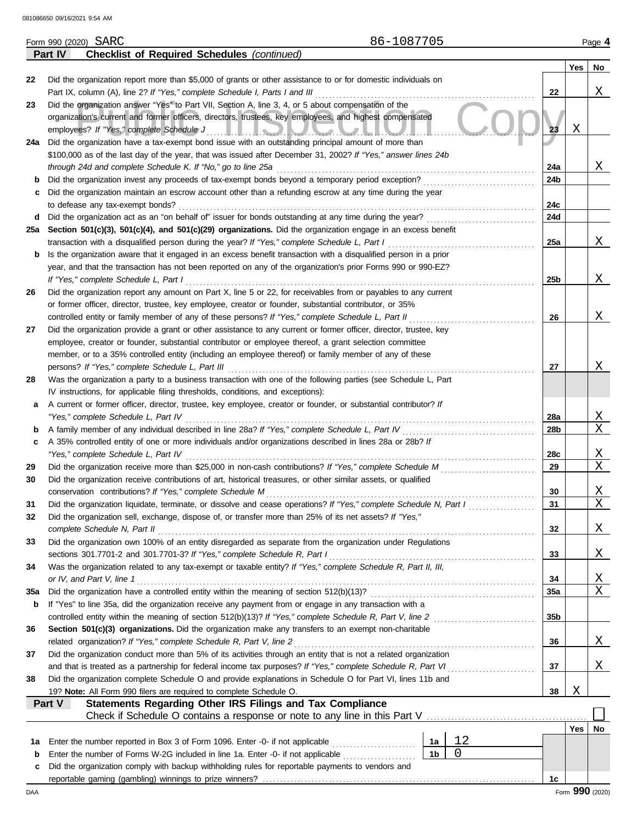|     | 86-1087705<br>Form 990 (2020) SARC                                                                                                                                                                                             |                 |     | Page 4          |
|-----|--------------------------------------------------------------------------------------------------------------------------------------------------------------------------------------------------------------------------------|-----------------|-----|-----------------|
|     | <b>Checklist of Required Schedules (continued)</b><br>Part IV                                                                                                                                                                  |                 |     |                 |
|     |                                                                                                                                                                                                                                |                 | Yes | No              |
| 22  | Did the organization report more than \$5,000 of grants or other assistance to or for domestic individuals on                                                                                                                  |                 |     |                 |
|     |                                                                                                                                                                                                                                | 22              |     | Χ               |
| 23  | Did the organization answer "Yes" to Part VII, Section A, line 3, 4, or 5 about compensation of the                                                                                                                            |                 |     |                 |
|     | organization's current and former officers, directors, trustees, key employees, and highest compensated                                                                                                                        |                 |     |                 |
|     |                                                                                                                                                                                                                                | 23              | X   |                 |
|     | 24a Did the organization have a tax-exempt bond issue with an outstanding principal amount of more than                                                                                                                        |                 |     |                 |
|     |                                                                                                                                                                                                                                |                 |     |                 |
|     | \$100,000 as of the last day of the year, that was issued after December 31, 2002? If "Yes," answer lines 24b                                                                                                                  |                 |     | Χ               |
|     |                                                                                                                                                                                                                                | 24a             |     |                 |
|     |                                                                                                                                                                                                                                | 24 <sub>b</sub> |     |                 |
| c   | Did the organization maintain an escrow account other than a refunding escrow at any time during the year                                                                                                                      |                 |     |                 |
|     | to defease any tax-exempt bonds?                                                                                                                                                                                               | 24c             |     |                 |
|     |                                                                                                                                                                                                                                | 24d             |     |                 |
|     | 25a Section 501(c)(3), 501(c)(4), and 501(c)(29) organizations. Did the organization engage in an excess benefit                                                                                                               |                 |     |                 |
|     | transaction with a disqualified person during the year? If "Yes," complete Schedule L, Part I                                                                                                                                  | 25a             |     | X               |
|     | <b>b</b> Is the organization aware that it engaged in an excess benefit transaction with a disqualified person in a prior                                                                                                      |                 |     |                 |
|     | year, and that the transaction has not been reported on any of the organization's prior Forms 990 or 990-EZ?                                                                                                                   |                 |     |                 |
|     | If "Yes," complete Schedule L, Part I                                                                                                                                                                                          | 25 <sub>b</sub> |     | X               |
| 26  | Did the organization report any amount on Part X, line 5 or 22, for receivables from or payables to any current                                                                                                                |                 |     |                 |
|     | or former officer, director, trustee, key employee, creator or founder, substantial contributor, or 35%                                                                                                                        |                 |     |                 |
|     | controlled entity or family member of any of these persons? If "Yes," complete Schedule L, Part II                                                                                                                             | 26              |     | Χ               |
| 27  | Did the organization provide a grant or other assistance to any current or former officer, director, trustee, key                                                                                                              |                 |     |                 |
|     | employee, creator or founder, substantial contributor or employee thereof, a grant selection committee                                                                                                                         |                 |     |                 |
|     | member, or to a 35% controlled entity (including an employee thereof) or family member of any of these                                                                                                                         |                 |     |                 |
|     |                                                                                                                                                                                                                                | 27              |     | Χ               |
| 28  | Was the organization a party to a business transaction with one of the following parties (see Schedule L, Part                                                                                                                 |                 |     |                 |
|     | IV instructions, for applicable filing thresholds, conditions, and exceptions):                                                                                                                                                |                 |     |                 |
| a   | A current or former officer, director, trustee, key employee, creator or founder, or substantial contributor? If                                                                                                               |                 |     |                 |
|     | "Yes," complete Schedule L, Part IV                                                                                                                                                                                            | 28a             |     | Χ               |
|     |                                                                                                                                                                                                                                | 28b             |     | X               |
| b   |                                                                                                                                                                                                                                |                 |     |                 |
| c   | A 35% controlled entity of one or more individuals and/or organizations described in lines 28a or 28b? If                                                                                                                      |                 |     |                 |
|     | "Yes," complete Schedule L, Part IV encourance contract to the set of the Schedule L, Part IV encourance and the set of the set of the set of the set of the set of the set of the set of the set of the set of the set of the | 28c             |     | Χ               |
| 29  |                                                                                                                                                                                                                                | 29              |     | X               |
| 30  | Did the organization receive contributions of art, historical treasures, or other similar assets, or qualified                                                                                                                 |                 |     |                 |
|     |                                                                                                                                                                                                                                | 30              |     | Χ               |
| 31  | Did the organization liquidate, terminate, or dissolve and cease operations? If "Yes," complete Schedule N, Part I                                                                                                             | 31              |     | Χ               |
| 32  | Did the organization sell, exchange, dispose of, or transfer more than 25% of its net assets? If "Yes,"                                                                                                                        |                 |     |                 |
|     |                                                                                                                                                                                                                                | 32              |     | Χ               |
| 33  | Did the organization own 100% of an entity disregarded as separate from the organization under Regulations                                                                                                                     |                 |     |                 |
|     |                                                                                                                                                                                                                                | 33              |     | Χ               |
| 34  | Was the organization related to any tax-exempt or taxable entity? If "Yes," complete Schedule R, Part II, III,                                                                                                                 |                 |     |                 |
|     | or IV, and Part V, line 1                                                                                                                                                                                                      | 34              |     | Χ               |
| 35a |                                                                                                                                                                                                                                | 35a             |     | Χ               |
| b   | If "Yes" to line 35a, did the organization receive any payment from or engage in any transaction with a                                                                                                                        |                 |     |                 |
|     |                                                                                                                                                                                                                                | 35b             |     |                 |
| 36  | Section 501(c)(3) organizations. Did the organization make any transfers to an exempt non-charitable                                                                                                                           |                 |     |                 |
|     | related organization? If "Yes," complete Schedule R, Part V, line 2                                                                                                                                                            | 36              |     | Χ               |
| 37  | Did the organization conduct more than 5% of its activities through an entity that is not a related organization                                                                                                               |                 |     |                 |
|     |                                                                                                                                                                                                                                | 37              |     | Χ               |
|     | Did the organization complete Schedule O and provide explanations in Schedule O for Part VI, lines 11b and                                                                                                                     |                 |     |                 |
| 38  |                                                                                                                                                                                                                                |                 | Χ   |                 |
|     | 19? Note: All Form 990 filers are required to complete Schedule O.                                                                                                                                                             | 38              |     |                 |
|     | Statements Regarding Other IRS Filings and Tax Compliance<br><b>Part V</b>                                                                                                                                                     |                 |     |                 |
|     |                                                                                                                                                                                                                                |                 |     |                 |
|     |                                                                                                                                                                                                                                |                 | Yes | No              |
| 1a  | 12<br>Enter the number reported in Box 3 of Form 1096. Enter -0- if not applicable<br>1a                                                                                                                                       |                 |     |                 |
| b   | 0<br>1 <sub>b</sub><br>Enter the number of Forms W-2G included in line 1a. Enter -0- if not applicable <i>[[[[[[[[[[[[[[]]]]</i> ]]                                                                                            |                 |     |                 |
| c   | Did the organization comply with backup withholding rules for reportable payments to vendors and                                                                                                                               |                 |     |                 |
|     |                                                                                                                                                                                                                                | 1c              |     |                 |
| DAA |                                                                                                                                                                                                                                |                 |     | Form 990 (2020) |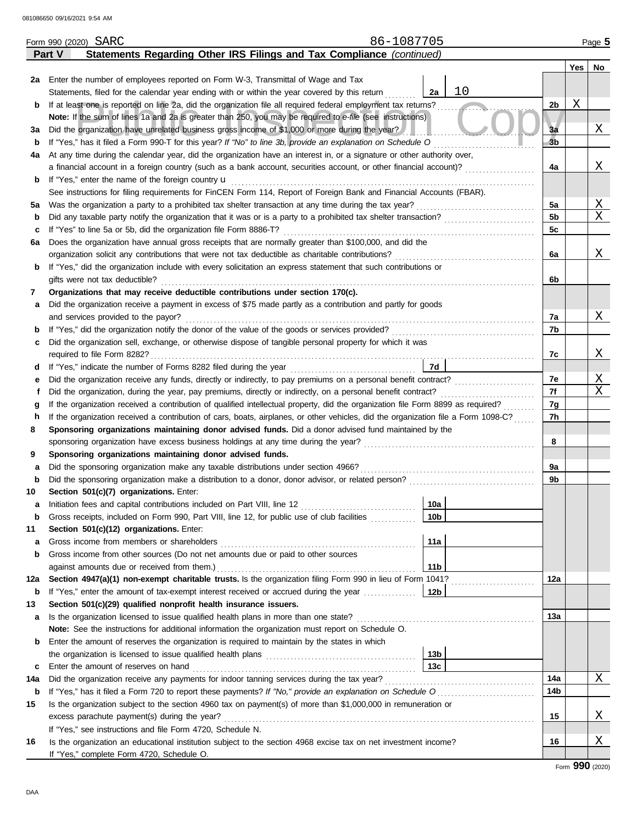|     | 86-1087705<br>Form 990 (2020) SARC                                                                                                                                                                                            |    |                |     | Page 5 |
|-----|-------------------------------------------------------------------------------------------------------------------------------------------------------------------------------------------------------------------------------|----|----------------|-----|--------|
|     | Statements Regarding Other IRS Filings and Tax Compliance (continued)<br><b>Part V</b>                                                                                                                                        |    |                |     |        |
|     |                                                                                                                                                                                                                               |    |                | Yes | No     |
|     | 2a Enter the number of employees reported on Form W-3, Transmittal of Wage and Tax                                                                                                                                            |    |                |     |        |
|     | 2a<br>Statements, filed for the calendar year ending with or within the year covered by this return                                                                                                                           | 10 |                |     |        |
| b   | If at least one is reported on line 2a, did the organization file all required federal employment tax returns?                                                                                                                |    | 2 <sub>b</sub> | Χ   |        |
|     | Note: If the sum of lines 1a and 2a is greater than 250, you may be required to e-file (see instructions)                                                                                                                     |    |                |     |        |
| за  | Did the organization have unrelated business gross income of \$1,000 or more during the year?                                                                                                                                 |    | 3a             |     | Χ      |
| b   | If "Yes," has it filed a Form 990-T for this year? If "No" to line 3b, provide an explanation on Schedule O consequence of the consequence of the consequence of the consequence of the consequence of the consequence of the |    | 3 <sub>b</sub> |     |        |
| 4a  | At any time during the calendar year, did the organization have an interest in, or a signature or other authority over,                                                                                                       |    |                |     |        |
|     | a financial account in a foreign country (such as a bank account, securities account, or other financial account)?                                                                                                            |    | 4a             |     | Χ      |
| b   |                                                                                                                                                                                                                               |    |                |     |        |
|     | See instructions for filing requirements for FinCEN Form 114, Report of Foreign Bank and Financial Accounts (FBAR).                                                                                                           |    |                |     |        |
| 5а  |                                                                                                                                                                                                                               |    | 5a             |     | Χ      |
| b   |                                                                                                                                                                                                                               |    | 5 <sub>b</sub> |     | Χ      |
| c   |                                                                                                                                                                                                                               |    | 5c             |     |        |
| 6a  | Does the organization have annual gross receipts that are normally greater than \$100,000, and did the                                                                                                                        |    |                |     |        |
|     |                                                                                                                                                                                                                               |    | 6a             |     | Χ      |
| b   | If "Yes," did the organization include with every solicitation an express statement that such contributions or                                                                                                                |    |                |     |        |
|     | gifts were not tax deductible?                                                                                                                                                                                                |    | 6b             |     |        |
| 7   | Organizations that may receive deductible contributions under section 170(c).                                                                                                                                                 |    |                |     |        |
| а   | Did the organization receive a payment in excess of \$75 made partly as a contribution and partly for goods                                                                                                                   |    |                |     |        |
|     | and services provided to the payor?                                                                                                                                                                                           |    | 7a             |     | Χ      |
| b   | If "Yes," did the organization notify the donor of the value of the goods or services provided?<br>If "Yes," did the organization notify the donor of the value of the goods or services provided?<br>                        |    | 7b             |     |        |
| с   | Did the organization sell, exchange, or otherwise dispose of tangible personal property for which it was                                                                                                                      |    |                |     |        |
|     |                                                                                                                                                                                                                               |    | 7c             |     | Χ      |
| d   | 7d                                                                                                                                                                                                                            |    |                |     |        |
| е   |                                                                                                                                                                                                                               |    | 7e             |     | Χ      |
| f   |                                                                                                                                                                                                                               |    | 7f             |     | X      |
| g   |                                                                                                                                                                                                                               |    | 7g             |     |        |
| h   | If the organization received a contribution of cars, boats, airplanes, or other vehicles, did the organization file a Form 1098-C?                                                                                            |    | 7h             |     |        |
| 8   | Sponsoring organizations maintaining donor advised funds. Did a donor advised fund maintained by the                                                                                                                          |    |                |     |        |
|     |                                                                                                                                                                                                                               |    | 8              |     |        |
| 9   | Sponsoring organizations maintaining donor advised funds.                                                                                                                                                                     |    |                |     |        |
| а   |                                                                                                                                                                                                                               |    | 9a             |     |        |
| b   |                                                                                                                                                                                                                               |    | 9b             |     |        |
| 10  | Section 501(c)(7) organizations. Enter:                                                                                                                                                                                       |    |                |     |        |
| а   | 10a <br>Initiation fees and capital contributions included on Part VIII, line 12 [11] [11] [12] [11] [12] [11] [12] [1                                                                                                        |    |                |     |        |
| b   | Gross receipts, included on Form 990, Part VIII, line 12, for public use of club facilities<br>10 <sub>b</sub>                                                                                                                |    |                |     |        |
| 11  | Section 501(c)(12) organizations. Enter:                                                                                                                                                                                      |    |                |     |        |
| а   | 11a                                                                                                                                                                                                                           |    |                |     |        |
| b   | Gross income from other sources (Do not net amounts due or paid to other sources                                                                                                                                              |    |                |     |        |
|     | against amounts due or received from them.)<br>11 <sub>b</sub>                                                                                                                                                                |    |                |     |        |
| 12a | Section 4947(a)(1) non-exempt charitable trusts. Is the organization filing Form 990 in lieu of Form 1041?                                                                                                                    |    | 12a            |     |        |
| b   | If "Yes," enter the amount of tax-exempt interest received or accrued during the year<br>12 <sub>b</sub>                                                                                                                      |    |                |     |        |
| 13  | Section 501(c)(29) qualified nonprofit health insurance issuers.                                                                                                                                                              |    |                |     |        |
| а   |                                                                                                                                                                                                                               |    | 13а            |     |        |
|     | Note: See the instructions for additional information the organization must report on Schedule O.                                                                                                                             |    |                |     |        |
| b   | Enter the amount of reserves the organization is required to maintain by the states in which                                                                                                                                  |    |                |     |        |
|     | 13 <sub>b</sub>                                                                                                                                                                                                               |    |                |     |        |
| c   | 13c<br>Enter the amount of reserves on hand                                                                                                                                                                                   |    |                |     |        |
| 14a |                                                                                                                                                                                                                               |    | 14a            |     | Χ      |
| b   |                                                                                                                                                                                                                               |    | 14b            |     |        |
| 15  | Is the organization subject to the section 4960 tax on payment(s) of more than \$1,000,000 in remuneration or                                                                                                                 |    |                |     |        |
|     |                                                                                                                                                                                                                               |    | 15             |     | Χ      |
|     | If "Yes," see instructions and file Form 4720, Schedule N.                                                                                                                                                                    |    |                |     |        |
| 16  | Is the organization an educational institution subject to the section 4968 excise tax on net investment income?                                                                                                               |    | 16             |     | Χ      |
|     | If "Yes," complete Form 4720, Schedule O.                                                                                                                                                                                     |    |                |     |        |

Form **990** (2020)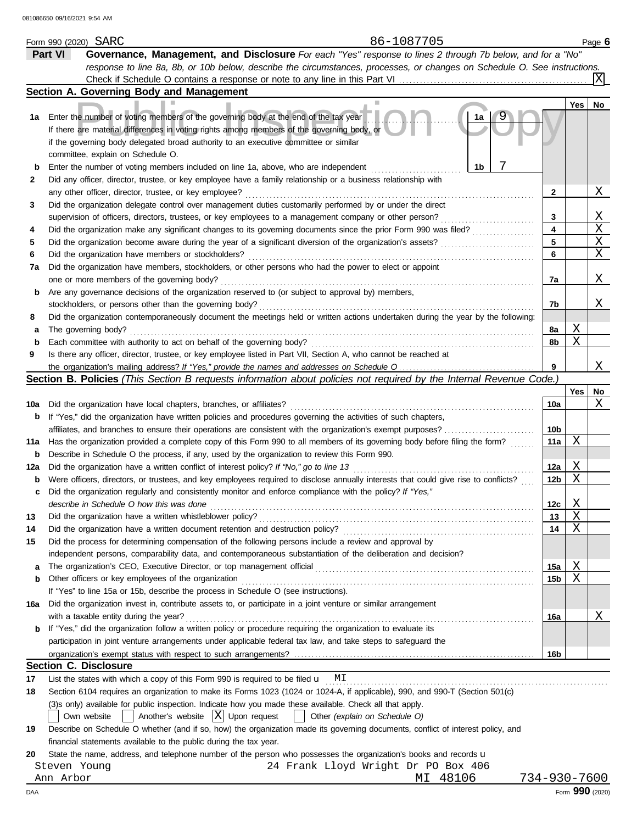|        | 86-1087705<br>Form 990 (2020) SARC                                                                                                                                                                                                                                                                                   |                 |        | Page 6          |
|--------|----------------------------------------------------------------------------------------------------------------------------------------------------------------------------------------------------------------------------------------------------------------------------------------------------------------------|-----------------|--------|-----------------|
|        | Governance, Management, and Disclosure For each "Yes" response to lines 2 through 7b below, and for a "No"<br>Part VI                                                                                                                                                                                                |                 |        |                 |
|        | response to line 8a, 8b, or 10b below, describe the circumstances, processes, or changes on Schedule O. See instructions.                                                                                                                                                                                            |                 |        |                 |
|        | Check if Schedule O contains a response or note to any line in this Part VI                                                                                                                                                                                                                                          |                 |        | X               |
|        | Section A. Governing Body and Management                                                                                                                                                                                                                                                                             |                 |        |                 |
|        |                                                                                                                                                                                                                                                                                                                      |                 | Yes    | No              |
| 1а     | Enter the number of voting members of the governing body at the end of the tax year<br>1a<br>If there are material differences in voting rights among members of the governing body, or<br>if the governing body delegated broad authority to an executive committee or similar<br>committee, explain on Schedule O. |                 |        |                 |
| b      | 1 <sub>b</sub><br>Enter the number of voting members included on line 1a, above, who are independent                                                                                                                                                                                                                 |                 |        |                 |
| 2      | Did any officer, director, trustee, or key employee have a family relationship or a business relationship with                                                                                                                                                                                                       |                 |        |                 |
|        | any other officer, director, trustee, or key employee?                                                                                                                                                                                                                                                               | 2               |        | Χ               |
| 3      | Did the organization delegate control over management duties customarily performed by or under the direct                                                                                                                                                                                                            |                 |        |                 |
|        | supervision of officers, directors, trustees, or key employees to a management company or other person?                                                                                                                                                                                                              | 3               |        | Χ               |
| 4      | Did the organization make any significant changes to its governing documents since the prior Form 990 was filed?                                                                                                                                                                                                     | 4               |        | Χ               |
| 5      | Did the organization become aware during the year of a significant diversion of the organization's assets?                                                                                                                                                                                                           | 5               |        | Χ               |
| 6      | Did the organization have members or stockholders?                                                                                                                                                                                                                                                                   | 6               |        | X               |
| 7a     | Did the organization have members, stockholders, or other persons who had the power to elect or appoint                                                                                                                                                                                                              |                 |        |                 |
|        | one or more members of the governing body?                                                                                                                                                                                                                                                                           | 7a              |        | Χ               |
|        | Are any governance decisions of the organization reserved to (or subject to approval by) members,                                                                                                                                                                                                                    |                 |        |                 |
| b      | stockholders, or persons other than the governing body?                                                                                                                                                                                                                                                              |                 |        | Χ               |
|        | Did the organization contemporaneously document the meetings held or written actions undertaken during the year by the following:                                                                                                                                                                                    | 7b              |        |                 |
| 8      |                                                                                                                                                                                                                                                                                                                      |                 | Χ      |                 |
| а      | The governing body?<br>Each committee with authority to act on behalf of the governing body?                                                                                                                                                                                                                         | 8a<br>8b        | X      |                 |
| b<br>9 | Is there any officer, director, trustee, or key employee listed in Part VII, Section A, who cannot be reached at                                                                                                                                                                                                     |                 |        |                 |
|        |                                                                                                                                                                                                                                                                                                                      | 9               |        | Χ               |
|        | Section B. Policies (This Section B requests information about policies not required by the Internal Revenue Code.)                                                                                                                                                                                                  |                 |        |                 |
|        |                                                                                                                                                                                                                                                                                                                      |                 | Yes    | No              |
|        | Did the organization have local chapters, branches, or affiliates?                                                                                                                                                                                                                                                   | 10a             |        | Χ               |
| 10a    |                                                                                                                                                                                                                                                                                                                      |                 |        |                 |
| b      | If "Yes," did the organization have written policies and procedures governing the activities of such chapters,                                                                                                                                                                                                       |                 |        |                 |
|        | affiliates, and branches to ensure their operations are consistent with the organization's exempt purposes?                                                                                                                                                                                                          | 10b<br>11a      | Χ      |                 |
| 11a    | Has the organization provided a complete copy of this Form 990 to all members of its governing body before filing the form?                                                                                                                                                                                          |                 |        |                 |
| b      | Describe in Schedule O the process, if any, used by the organization to review this Form 990.                                                                                                                                                                                                                        |                 |        |                 |
| 12a    | Did the organization have a written conflict of interest policy? If "No," go to line 13                                                                                                                                                                                                                              | 12a             | Χ<br>Χ |                 |
| b      | Were officers, directors, or trustees, and key employees required to disclose annually interests that could give rise to conflicts?                                                                                                                                                                                  | 12b             |        |                 |
| c      | Did the organization regularly and consistently monitor and enforce compliance with the policy? If "Yes,"                                                                                                                                                                                                            |                 |        |                 |
|        | describe in Schedule O how this was done                                                                                                                                                                                                                                                                             | 12c             | Χ<br>Χ |                 |
| 13     | Did the organization have a written whistleblower policy?                                                                                                                                                                                                                                                            | 13              | X      |                 |
| 14     | Did the organization have a written document retention and destruction policy?                                                                                                                                                                                                                                       | 14              |        |                 |
| 15     | Did the process for determining compensation of the following persons include a review and approval by                                                                                                                                                                                                               |                 |        |                 |
|        | independent persons, comparability data, and contemporaneous substantiation of the deliberation and decision?                                                                                                                                                                                                        |                 |        |                 |
| а      |                                                                                                                                                                                                                                                                                                                      | 15a             | Χ      |                 |
| b      | Other officers or key employees of the organization                                                                                                                                                                                                                                                                  | 15 <sub>b</sub> | X      |                 |
|        | If "Yes" to line 15a or 15b, describe the process in Schedule O (see instructions).                                                                                                                                                                                                                                  |                 |        |                 |
| 16a    | Did the organization invest in, contribute assets to, or participate in a joint venture or similar arrangement                                                                                                                                                                                                       |                 |        |                 |
|        | with a taxable entity during the year?                                                                                                                                                                                                                                                                               | 16a             |        | Χ               |
| b      | If "Yes," did the organization follow a written policy or procedure requiring the organization to evaluate its                                                                                                                                                                                                       |                 |        |                 |
|        | participation in joint venture arrangements under applicable federal tax law, and take steps to safeguard the                                                                                                                                                                                                        |                 |        |                 |
|        |                                                                                                                                                                                                                                                                                                                      | 16b             |        |                 |
|        | <b>Section C. Disclosure</b>                                                                                                                                                                                                                                                                                         |                 |        |                 |
| 17     | List the states with which a copy of this Form 990 is required to be filed $\mathbf{u}$ MI                                                                                                                                                                                                                           |                 |        |                 |
| 18     | Section 6104 requires an organization to make its Forms 1023 (1024 or 1024-A, if applicable), 990, and 990-T (Section 501(c)                                                                                                                                                                                         |                 |        |                 |
|        | (3)s only) available for public inspection. Indicate how you made these available. Check all that apply.                                                                                                                                                                                                             |                 |        |                 |
|        | $\vert$ Another's website $\vert X \vert$ Upon request<br>Other (explain on Schedule O)<br>Own website                                                                                                                                                                                                               |                 |        |                 |
| 19     | Describe on Schedule O whether (and if so, how) the organization made its governing documents, conflict of interest policy, and                                                                                                                                                                                      |                 |        |                 |
|        | financial statements available to the public during the tax year.                                                                                                                                                                                                                                                    |                 |        |                 |
| 20     | State the name, address, and telephone number of the person who possesses the organization's books and records u                                                                                                                                                                                                     |                 |        |                 |
|        | 24 Frank Lloyd Wright Dr PO Box 406<br>Steven Young                                                                                                                                                                                                                                                                  |                 |        |                 |
|        | MI 48106<br>Ann Arbor                                                                                                                                                                                                                                                                                                | 734-930-7600    |        |                 |
| DAA    |                                                                                                                                                                                                                                                                                                                      |                 |        | Form 990 (2020) |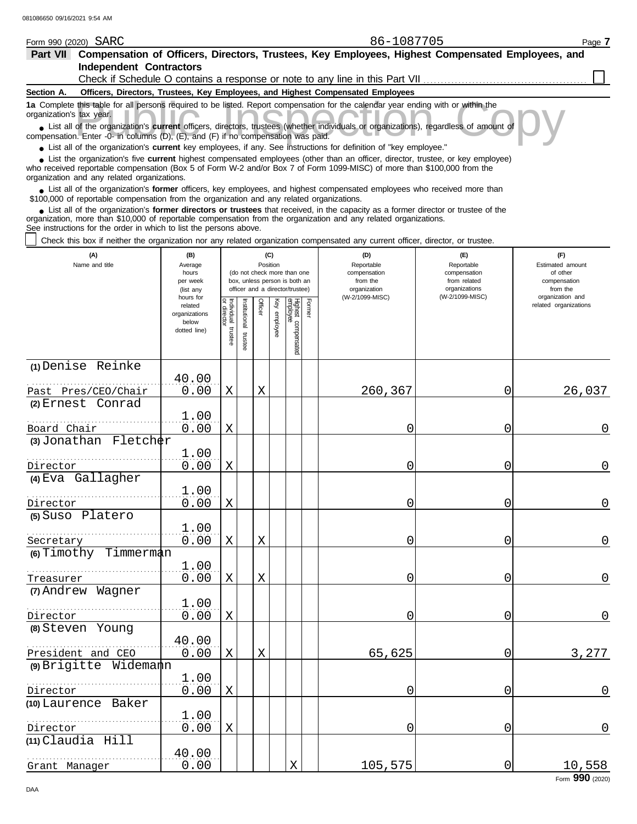| Part VII Compensation of Officers, Directors, Trustees, Key Employees, Highest Compensated Employees, and                                                                                                                                                                                                                     |                                     |                        |                       |         |                 |                                                              |        |                                                                                                                                                                 |                                                   |                                                     |
|-------------------------------------------------------------------------------------------------------------------------------------------------------------------------------------------------------------------------------------------------------------------------------------------------------------------------------|-------------------------------------|------------------------|-----------------------|---------|-----------------|--------------------------------------------------------------|--------|-----------------------------------------------------------------------------------------------------------------------------------------------------------------|---------------------------------------------------|-----------------------------------------------------|
| <b>Independent Contractors</b>                                                                                                                                                                                                                                                                                                |                                     |                        |                       |         |                 |                                                              |        |                                                                                                                                                                 |                                                   |                                                     |
| Section A.                                                                                                                                                                                                                                                                                                                    |                                     |                        |                       |         |                 |                                                              |        | Check if Schedule O contains a response or note to any line in this Part VII<br>Officers, Directors, Trustees, Key Employees, and Highest Compensated Employees |                                                   |                                                     |
| 1a Complete this table for all persons required to be listed. Report compensation for the calendar year ending with or within the                                                                                                                                                                                             |                                     |                        |                       |         |                 |                                                              |        |                                                                                                                                                                 |                                                   |                                                     |
| organization's tax year.<br>List all of the organization's current officers, directors, trustees (whether individuals or organizations), regardless of amount of                                                                                                                                                              |                                     |                        |                       |         |                 |                                                              |        |                                                                                                                                                                 |                                                   |                                                     |
| compensation. Enter -0- in columns (D), (E), and (F) if no compensation was paid.                                                                                                                                                                                                                                             |                                     |                        |                       |         |                 |                                                              |        |                                                                                                                                                                 |                                                   |                                                     |
| • List all of the organization's current key employees, if any. See instructions for definition of "key employee."                                                                                                                                                                                                            |                                     |                        |                       |         |                 |                                                              |        |                                                                                                                                                                 |                                                   |                                                     |
| List the organization's five current highest compensated employees (other than an officer, director, trustee, or key employee)<br>who received reportable compensation (Box 5 of Form W-2 and/or Box 7 of Form 1099-MISC) of more than \$100,000 from the<br>organization and any related organizations.                      |                                     |                        |                       |         |                 |                                                              |        |                                                                                                                                                                 |                                                   |                                                     |
| • List all of the organization's former officers, key employees, and highest compensated employees who received more than<br>\$100,000 of reportable compensation from the organization and any related organizations.                                                                                                        |                                     |                        |                       |         |                 |                                                              |        |                                                                                                                                                                 |                                                   |                                                     |
| • List all of the organization's former directors or trustees that received, in the capacity as a former director or trustee of the<br>organization, more than \$10,000 of reportable compensation from the organization and any related organizations.<br>See instructions for the order in which to list the persons above. |                                     |                        |                       |         |                 |                                                              |        |                                                                                                                                                                 |                                                   |                                                     |
| Check this box if neither the organization nor any related organization compensated any current officer, director, or trustee.                                                                                                                                                                                                |                                     |                        |                       |         |                 |                                                              |        |                                                                                                                                                                 |                                                   |                                                     |
| (A)<br>Name and title                                                                                                                                                                                                                                                                                                         | (B)<br>Average<br>hours<br>per week |                        |                       |         | (C)<br>Position | (do not check more than one<br>box, unless person is both an |        | (D)<br>Reportable<br>compensation<br>from the                                                                                                                   | (E)<br>Reportable<br>compensation<br>from related | (F)<br>Estimated amount<br>of other<br>compensation |
|                                                                                                                                                                                                                                                                                                                               | (list any<br>hours for              |                        |                       |         |                 | officer and a director/trustee)                              |        | organization<br>(W-2/1099-MISC)                                                                                                                                 | organizations<br>(W-2/1099-MISC)                  | from the<br>organization and                        |
|                                                                                                                                                                                                                                                                                                                               | related<br>organizations            | Individual<br>director |                       | Officer | Key employee    |                                                              | Former |                                                                                                                                                                 |                                                   | related organizations                               |
|                                                                                                                                                                                                                                                                                                                               | below<br>dotted line)               |                        |                       |         |                 |                                                              |        |                                                                                                                                                                 |                                                   |                                                     |
|                                                                                                                                                                                                                                                                                                                               |                                     | trustee                | Institutional trustee |         |                 | Highest compensated<br>employee                              |        |                                                                                                                                                                 |                                                   |                                                     |
|                                                                                                                                                                                                                                                                                                                               |                                     |                        |                       |         |                 |                                                              |        |                                                                                                                                                                 |                                                   |                                                     |
| (1) Denise Reinke                                                                                                                                                                                                                                                                                                             | 40.00                               |                        |                       |         |                 |                                                              |        |                                                                                                                                                                 |                                                   |                                                     |
| Past Pres/CEO/Chair                                                                                                                                                                                                                                                                                                           | 0.00                                | Χ                      |                       | X       |                 |                                                              |        | 260,367                                                                                                                                                         | 0                                                 | 26,037                                              |
| (2) Ernest Conrad                                                                                                                                                                                                                                                                                                             |                                     |                        |                       |         |                 |                                                              |        |                                                                                                                                                                 |                                                   |                                                     |
|                                                                                                                                                                                                                                                                                                                               | 1.00                                |                        |                       |         |                 |                                                              |        |                                                                                                                                                                 |                                                   |                                                     |
| Board Chair                                                                                                                                                                                                                                                                                                                   | 0.00                                | Χ                      |                       |         |                 |                                                              |        | 0                                                                                                                                                               | 0                                                 | 0                                                   |
| $(3)$ Jonathan Fletcher                                                                                                                                                                                                                                                                                                       | 1.00                                |                        |                       |         |                 |                                                              |        |                                                                                                                                                                 |                                                   |                                                     |
| Director                                                                                                                                                                                                                                                                                                                      | 0.00                                | Χ                      |                       |         |                 |                                                              |        | 0                                                                                                                                                               | 0                                                 | 0                                                   |
| (4) Eva Gallagher                                                                                                                                                                                                                                                                                                             |                                     |                        |                       |         |                 |                                                              |        |                                                                                                                                                                 |                                                   |                                                     |
|                                                                                                                                                                                                                                                                                                                               | 1.00                                |                        |                       |         |                 |                                                              |        |                                                                                                                                                                 |                                                   |                                                     |
| Director                                                                                                                                                                                                                                                                                                                      | 0.00                                | Χ                      |                       |         |                 |                                                              |        | 0                                                                                                                                                               | 0                                                 | 0                                                   |
| (5) Suso Platero                                                                                                                                                                                                                                                                                                              |                                     |                        |                       |         |                 |                                                              |        |                                                                                                                                                                 |                                                   |                                                     |
|                                                                                                                                                                                                                                                                                                                               | 1.00                                |                        |                       |         |                 |                                                              |        |                                                                                                                                                                 |                                                   | $\mathbf 0$                                         |
| Secretary<br>6) Timothy Timmerman                                                                                                                                                                                                                                                                                             | 0.00                                | Χ                      |                       | X       |                 |                                                              |        | 0                                                                                                                                                               | $\overline{0}$                                    |                                                     |
|                                                                                                                                                                                                                                                                                                                               | 1.00                                |                        |                       |         |                 |                                                              |        |                                                                                                                                                                 |                                                   |                                                     |
| Treasurer                                                                                                                                                                                                                                                                                                                     | 0.00                                | Χ                      |                       | X       |                 |                                                              |        | 0                                                                                                                                                               | 0                                                 | $\mathbf 0$                                         |
| (7) Andrew Wagner                                                                                                                                                                                                                                                                                                             |                                     |                        |                       |         |                 |                                                              |        |                                                                                                                                                                 |                                                   |                                                     |
|                                                                                                                                                                                                                                                                                                                               | 1.00                                |                        |                       |         |                 |                                                              |        |                                                                                                                                                                 |                                                   |                                                     |
| Director                                                                                                                                                                                                                                                                                                                      | 0.00                                | Χ                      |                       |         |                 |                                                              |        | 0                                                                                                                                                               | 0                                                 | $\mathbf 0$                                         |
| (8) Steven Young                                                                                                                                                                                                                                                                                                              |                                     |                        |                       |         |                 |                                                              |        |                                                                                                                                                                 |                                                   |                                                     |
| President and CEO                                                                                                                                                                                                                                                                                                             | 40.00<br>0.00                       | Χ                      |                       | X       |                 |                                                              |        | 65,625                                                                                                                                                          | 0                                                 | 3,277                                               |
| (9) Brigitte Widemann                                                                                                                                                                                                                                                                                                         |                                     |                        |                       |         |                 |                                                              |        |                                                                                                                                                                 |                                                   |                                                     |
|                                                                                                                                                                                                                                                                                                                               | 1.00                                |                        |                       |         |                 |                                                              |        |                                                                                                                                                                 |                                                   |                                                     |
| Director                                                                                                                                                                                                                                                                                                                      | 0.00                                | Χ                      |                       |         |                 |                                                              |        | 0                                                                                                                                                               | 0                                                 | $\mathbf 0$                                         |
| (10) Laurence Baker                                                                                                                                                                                                                                                                                                           |                                     |                        |                       |         |                 |                                                              |        |                                                                                                                                                                 |                                                   |                                                     |
|                                                                                                                                                                                                                                                                                                                               | 1.00                                |                        |                       |         |                 |                                                              |        |                                                                                                                                                                 |                                                   |                                                     |
| Director                                                                                                                                                                                                                                                                                                                      | 0.00                                | X                      |                       |         |                 |                                                              |        | 0                                                                                                                                                               | 0                                                 | $\mathsf 0$                                         |

Form 990 (2020) SARC Page 7

86-1087705

**(11)** Claudia Hill

Grant Manager

. . . . . . . . . . . . . . . . . . . . . . . . . . . . . . . . . . . . . . . . . . . . . . . . . . . . . . .

40.00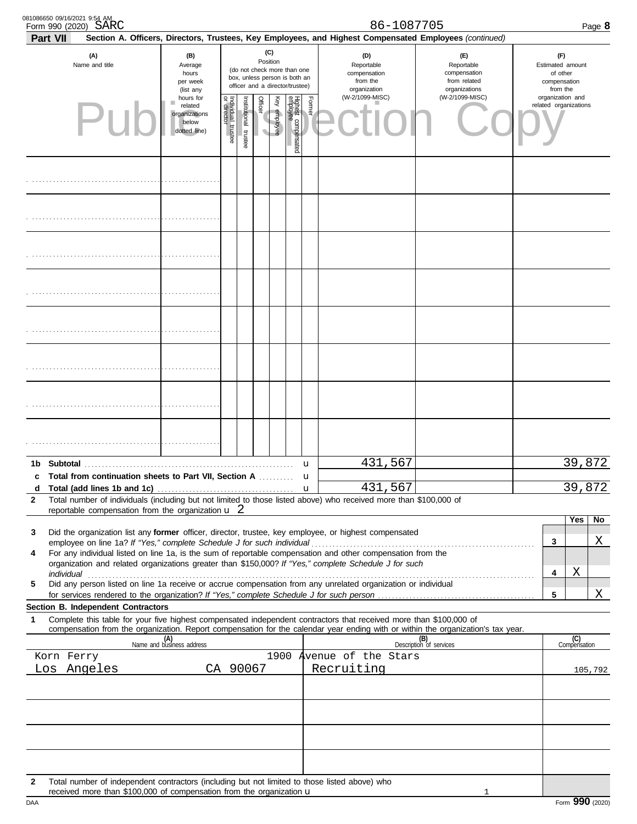|              | 081086650 09/16/2021 9:54 AM<br>Form 990 (2020) SARC                                                                                                                                                                                                                                                                                         |                                                                                                                                                                                                                                                                                  |                                   |                       |                                            |              |                           |        | 86-1087705                                                    |                                                                    |                                                                 | Page 8  |
|--------------|----------------------------------------------------------------------------------------------------------------------------------------------------------------------------------------------------------------------------------------------------------------------------------------------------------------------------------------------|----------------------------------------------------------------------------------------------------------------------------------------------------------------------------------------------------------------------------------------------------------------------------------|-----------------------------------|-----------------------|--------------------------------------------|--------------|---------------------------|--------|---------------------------------------------------------------|--------------------------------------------------------------------|-----------------------------------------------------------------|---------|
|              | Part VII<br>(A)<br>Name and title                                                                                                                                                                                                                                                                                                            | Section A. Officers, Directors, Trustees, Key Employees, and Highest Compensated Employees (continued)<br>(C)<br>(B)<br>Position<br>Average<br>(do not check more than one<br>hours<br>box, unless person is both an<br>per week<br>officer and a director/trustee)<br>(list any |                                   |                       |                                            |              |                           |        | (D)<br>Reportable<br>compensation<br>from the<br>organization | (E)<br>Reportable<br>compensation<br>from related<br>organizations | (F)<br>Estimated amount<br>of other<br>compensation<br>from the |         |
|              |                                                                                                                                                                                                                                                                                                                                              | hours for<br>related<br>organizations<br>below<br>dotted line)                                                                                                                                                                                                                   | Individual trustee<br>or director | Institutional trustee | <b>Officer</b><br>$\overline{\phantom{a}}$ | Key employee | Highest co<br>compensated | Former | (W-2/1099-MISC)                                               | (W-2/1099-MISC)                                                    | organization and<br>related organizations                       |         |
|              |                                                                                                                                                                                                                                                                                                                                              |                                                                                                                                                                                                                                                                                  |                                   |                       |                                            |              |                           |        |                                                               |                                                                    |                                                                 |         |
|              |                                                                                                                                                                                                                                                                                                                                              |                                                                                                                                                                                                                                                                                  |                                   |                       |                                            |              |                           |        |                                                               |                                                                    |                                                                 |         |
|              |                                                                                                                                                                                                                                                                                                                                              |                                                                                                                                                                                                                                                                                  |                                   |                       |                                            |              |                           |        |                                                               |                                                                    |                                                                 |         |
|              |                                                                                                                                                                                                                                                                                                                                              |                                                                                                                                                                                                                                                                                  |                                   |                       |                                            |              |                           |        |                                                               |                                                                    |                                                                 |         |
|              |                                                                                                                                                                                                                                                                                                                                              |                                                                                                                                                                                                                                                                                  |                                   |                       |                                            |              |                           |        |                                                               |                                                                    |                                                                 |         |
|              |                                                                                                                                                                                                                                                                                                                                              |                                                                                                                                                                                                                                                                                  |                                   |                       |                                            |              |                           |        |                                                               |                                                                    |                                                                 |         |
|              |                                                                                                                                                                                                                                                                                                                                              |                                                                                                                                                                                                                                                                                  |                                   |                       |                                            |              |                           |        |                                                               |                                                                    |                                                                 |         |
|              |                                                                                                                                                                                                                                                                                                                                              |                                                                                                                                                                                                                                                                                  |                                   |                       |                                            |              |                           |        |                                                               |                                                                    |                                                                 |         |
|              | c Total from continuation sheets to Part VII, Section A                                                                                                                                                                                                                                                                                      |                                                                                                                                                                                                                                                                                  |                                   |                       |                                            |              |                           | u<br>u | 431,567                                                       |                                                                    |                                                                 | 39,872  |
| d            |                                                                                                                                                                                                                                                                                                                                              |                                                                                                                                                                                                                                                                                  |                                   |                       |                                            |              |                           |        | 431,567                                                       |                                                                    |                                                                 | 39,872  |
| $\mathbf{2}$ | Total number of individuals (including but not limited to those listed above) who received more than \$100,000 of<br>reportable compensation from the organization $\mathbf{u}$ 2                                                                                                                                                            |                                                                                                                                                                                                                                                                                  |                                   |                       |                                            |              |                           |        |                                                               |                                                                    |                                                                 |         |
|              |                                                                                                                                                                                                                                                                                                                                              |                                                                                                                                                                                                                                                                                  |                                   |                       |                                            |              |                           |        |                                                               |                                                                    | Yes                                                             | No      |
| 3            | Did the organization list any former officer, director, trustee, key employee, or highest compensated                                                                                                                                                                                                                                        |                                                                                                                                                                                                                                                                                  |                                   |                       |                                            |              |                           |        |                                                               |                                                                    | 3                                                               | Χ       |
| 4            | For any individual listed on line 1a, is the sum of reportable compensation and other compensation from the                                                                                                                                                                                                                                  |                                                                                                                                                                                                                                                                                  |                                   |                       |                                            |              |                           |        |                                                               |                                                                    |                                                                 |         |
|              | organization and related organizations greater than \$150,000? If "Yes," complete Schedule J for such<br>individual <b>construction in the construction of the construction</b> in the construction of the construction of the construction of the construction of the construction of the construction of the construction of the construct |                                                                                                                                                                                                                                                                                  |                                   |                       |                                            |              |                           |        |                                                               |                                                                    | Χ<br>4                                                          |         |
| 5            | Did any person listed on line 1a receive or accrue compensation from any unrelated organization or individual                                                                                                                                                                                                                                |                                                                                                                                                                                                                                                                                  |                                   |                       |                                            |              |                           |        |                                                               |                                                                    | 5                                                               | Χ       |
|              | Section B. Independent Contractors                                                                                                                                                                                                                                                                                                           |                                                                                                                                                                                                                                                                                  |                                   |                       |                                            |              |                           |        |                                                               |                                                                    |                                                                 |         |
| 1            | Complete this table for your five highest compensated independent contractors that received more than \$100,000 of<br>compensation from the organization. Report compensation for the calendar year ending with or within the organization's tax year.                                                                                       |                                                                                                                                                                                                                                                                                  |                                   |                       |                                            |              |                           |        |                                                               |                                                                    |                                                                 |         |
|              |                                                                                                                                                                                                                                                                                                                                              | (A)<br>Name and business address                                                                                                                                                                                                                                                 |                                   |                       |                                            |              |                           |        |                                                               | (B)<br>Description of services                                     | (C)<br>Compensation                                             |         |
|              | Korn Ferry                                                                                                                                                                                                                                                                                                                                   |                                                                                                                                                                                                                                                                                  |                                   |                       |                                            |              |                           |        | 1900 Avenue of the Stars                                      |                                                                    |                                                                 |         |
|              | Los Angeles                                                                                                                                                                                                                                                                                                                                  |                                                                                                                                                                                                                                                                                  |                                   | CA 90067              |                                            |              |                           |        | Recruiting                                                    |                                                                    |                                                                 | 105,792 |
|              |                                                                                                                                                                                                                                                                                                                                              |                                                                                                                                                                                                                                                                                  |                                   |                       |                                            |              |                           |        |                                                               |                                                                    |                                                                 |         |
|              |                                                                                                                                                                                                                                                                                                                                              |                                                                                                                                                                                                                                                                                  |                                   |                       |                                            |              |                           |        |                                                               |                                                                    |                                                                 |         |
| 2            | Total number of independent contractors (including but not limited to those listed above) who<br>received more than \$100,000 of compensation from the organization u                                                                                                                                                                        |                                                                                                                                                                                                                                                                                  |                                   |                       |                                            |              |                           |        |                                                               |                                                                    |                                                                 |         |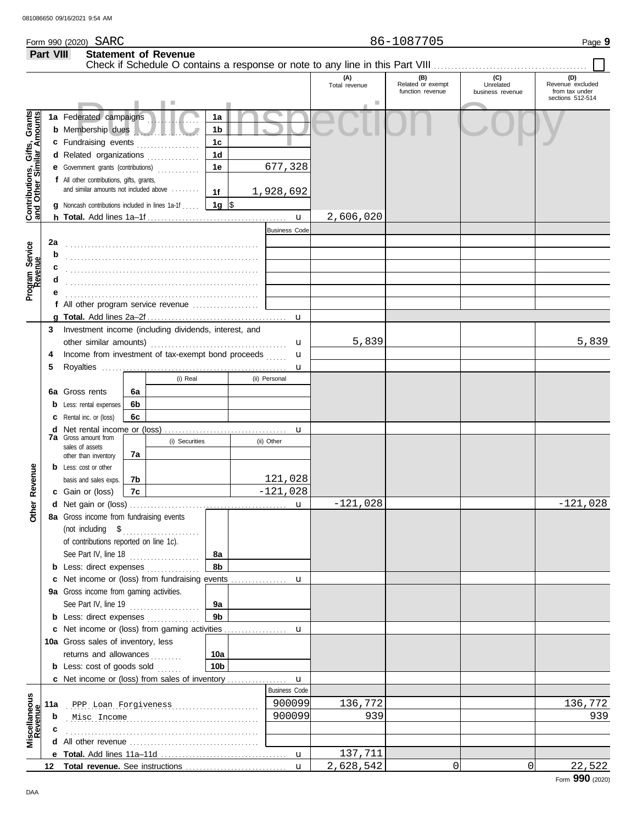**Part VIII Statement of Revenue**

#### Check if Schedule O contains a response or note to any line in this Part VIII **(A) (B) (C) (D)** Total revenue Related or exempt Unrelated Revenue excluded function revenue business revenue from tax under sections 512-514 Public Inspection Copy Contributions, Gifts, Grants<br>and Other Similar Amounts **Contributions, Gifts, Grants and Other Similar Amounts 1a 1a** Federated campaigns **. . . . . . . . . . . . 1b b** Membership dues . . . . . . . . . . . . . . . . . . . **1c c** Fundraising events **. . . . . . . . . . . . . .** . . **1d d** Related organizations . . . . . . . . . . . . . 677,328 **1e e** Government grants (contributions) . . . . . . . . . . . . **f** All other contributions, gifts, grants, and similar amounts not included above ........ **1f** 1,928,692 **1g g** Noncash contributions included in lines 1a-1f . . . . .  $\frac{\$}{\$}$ u 2,606,020 **h Total.** Add lines 1a–1f . . . . . . . . . . . . . . . . . . . . . . . . . . . . . . . . . . . . . . . . Business Code **2a** Program Service<br>Revenue **Program Service** . . . . . . . . . . . . . . . . . . . . . . . . . . . . . . . . . . . . . . . . . . . . . . . . . . . . . . . **b c** . . . . . . . . . . . . . . . . . . . . . . . . . . . . . . . . . . . . . . . . . . . . . . . . . . . . . . . **d** . . . . . . . . . . . . . . . . . . . . . . . . . . . . . . . . . . . . . . . . . . . . . . . . . . . . . . . **e** . . . . . . . . . . . . . . . . . . . . . . . . . . . . . . . . . . . . . . . . . . . . . . . . . . . . . . . **f** All other program service revenue . . . . . . . . . . . . . . . . . . . **g Total.** Add lines 2a–2f . . . . . . . . . . . . . . . . . . . . . . . . . . . . . . . . . . . . . . . . u **3** Investment income (including dividends, interest, and 5,839 5,839 other similar amounts) . . . . . . . . . . . . . . . . . . . . . . . . . . . . . . . . . . . . . . . u Income from investment of tax-exempt bond proceeds **4** u **5** Royalties ..... u (i) Real (ii) Personal **6a 6a** Gross rents **6b b** Less: rental expenses **6c c** Rental inc. or (loss) **d** Net rental income or (loss) . . . . . . . . . . . . . . . . . . . . . . . . . . . . . . . . . . . u **7a** Gross amount from (i) Securities (ii) Other sales of assets **7a** other than inventory **Other Revenue b** Less: cost or other **Other Revenue 7b** 121,028 basis and sales exps. -121,028 **7c c** Gain or (loss)  $-121,028$   $-121,028$ **d** u Net gain or (loss) . . . . . . . . . . . . . . . . . . . . . . . . . . . . . . . . . . . . . . . . . . . . . **8a** Gross income from fundraising events (not including \$ . . . . . . . . . . . . . . . . . . . . . . of contributions reported on line 1c). See Part IV, line 18 . . . . . . . . . . . . . . . . . . . . **8a 8b b** Less: direct expenses . . . . . . . . . . . . . u **c** Net income or (loss) from fundraising events ............... **9a** Gross income from gaming activities. See Part IV, line 19 . . . . . . . . . . . . . . . . . . . . **9a 9b b** Less: direct expenses ............... u Net income or (loss) from gaming activities . . . . . . . . . . . . . . . . . . **c** 10a Gross sales of inventory, less returns and allowances .......... **10a 10b b** Less: cost of goods sold  $\ldots$ Net income or (loss) from sales of inventory . . . . . . . . . . . . . . . . . **c** u Business Code **Revenue Miscellaneous 11a** . . . . . . . . . . . . . . . . . . . . . . . . . . . . . . . . . . . . . . . . . . . . . . . . . . . . . . . PPP Loan Forgiveness 900099 136,772 136,772 . . . . . . . . . . . . . . . . . . . . . . . . . . . . . . . . . . . . . . . . . . . . . . . . . . . . . . . Misc Income 900099 939 939 **b c** . . . . . . . . . . . . . . . . . . . . . . . . . . . . . . . . . . . . . . . . . . . . . . . . . . . . . . . **d** All other revenue . . . . . . . . . . . . . . . . . . . . . . . . . . . . . . . . . . . . . 137,711 u **e Total.** Add lines 11a–11d . . . . . . . . . . . . . . . . . . . . . . . . . . . . . . . . . . . . 2,628,542 0 0 22,522 u **12 Total revenue.** See instructions ................................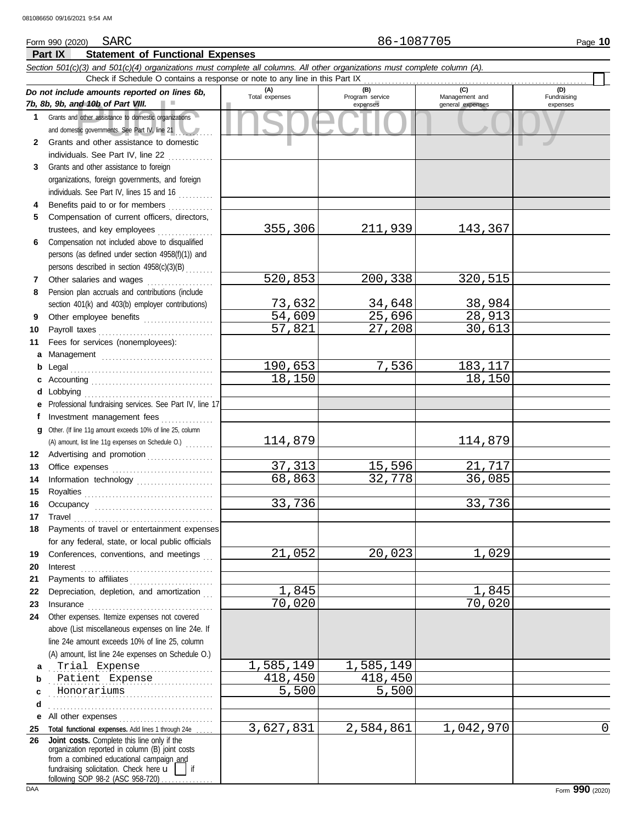#### nd 10b of Part VIII.<br>
dother assistance to domestic organizations<br>
and other assistance to domestic<br>
and other assistance to domestic **Part IX Statement of Functional Expenses** Form 990 (2020) Page **10** SARC 86-1087705 *Section 501(c)(3) and 501(c)(4) organizations must complete all columns. All other organizations must complete column (A). Do not include amounts reported on lines 6b, 7b, 8b, 9b, and 10b of Part VIII.* **1 2 3 4 5 6 7 8 9 10 11 a** Management ................................. **b** Legal . . . . . . . . . . . . . . . . . . . . . . . . . . . . . . . . . . . . . . . . . **c** Accounting . . . . . . . . . . . . . . . . . . . . . . . . . . . . . . . . . . . **d** Lobbying . . . . . . . . . . . . . . . . . . . . . . . . . . . . . . . . . . . . . **e** Professional fundraising services. See Part IV, line 17 **f g** Other. (If line 11g amount exceeds 10% of line 25, column **12** Advertising and promotion . . . . . . . . . . . . . . . . . . **13 14 15 16 17 18 19 20 21 22** Depreciation, depletion, and amortization . . . **23 24 a b c d e** All other expenses . . . . . . . . . . . . . . . . . . . . . . . . . . . Grants and other assistance to domestic organizations and domestic governments. See Part IV, line 21 Grants and other assistance to domestic individuals. See Part IV, line 22 .............. Grants and other assistance to foreign organizations, foreign governments, and foreign individuals. See Part IV, lines 15 and 16 Benefits paid to or for members ............. Compensation of current officers, directors, trustees, and key employees . . . . . . . . . . . . . . . . Compensation not included above to disqualified persons (as defined under section 4958(f)(1)) and persons described in section 4958(c)(3)(B) . . . . . . . . Other salaries and wages ................... Pension plan accruals and contributions (include section 401(k) and 403(b) employer contributions) Other employee benefits ..................... Payroll taxes . . . . . . . . . . . . . . . . . . . . . . . . . . . . . . . . . Fees for services (nonemployees): Investment management fees ............... Office expenses . . . . . . . . . . . . . . . . . . . . . . . . . . . . . Information technology ..................... Royalties . . . . . . . . . . . . . . . . . . . . . . . . . . . . . . . . . . . . . Occupancy . . . . . . . . . . . . . . . . . . . . . . . . . . . . . . . . . . Travel . . . . . . . . . . . . . . . . . . . . . . . . . . . . . . . . . . . . . . . . Payments of travel or entertainment expenses for any federal, state, or local public officials Conferences, conventions, and meetings Interest . . . . . . . . . . . . . . . . . . . . . . . . . . . . . . . . . . . . . . Payments to affiliates . . . . . . . . . . . . . . . . . . . . . . . . Insurance . . . . . . . . . . . . . . . . . . . . . . . . . . . . . . . . . . . . Other expenses. Itemize expenses not covered above (List miscellaneous expenses on line 24e. If line 24e amount exceeds 10% of line 25, column (A) amount, list line 24e expenses on Schedule O.) **(A) (B) (C) (D)** Management and expenses and general expenses (D)<br>Fundraising expenses . . . . . . . . . . . . . . . . . . . . . . . . . . . . . . . . . . . . . . . . . . . . . . . Trial Expense 1,585,149 1,585,149 . . . . . . . . . . . . . . . . . . . . . . . . . . . . . . . . . . . . . . . . . . . . . . . Patient Expense 418,450 418,450 . . . . . . . . . . . . . . . . . . . . . . . . . . . . . . . . . . . . . . . . . . . . . . . Honorariums 5,500 5,500 . . . . . . . . . . . . . . . . . . . . . . . . . . . . . . . . . . . . . . . . . . . . . . . Check if Schedule O contains a response or note to any line in this Part IX (A) amount, list line 11g expenses on Schedule O.) . . . . . . . . 355,306 211,939 143,367 520,853 200,338 320,515 <mark>73,632</mark> 34,648 38,984<br>54,609 25,696 28,913  $\begin{array}{|c|c|c|}\n\hline\n54,609 & 25,696 \\
\hline\n57,821 & 27,208\n\end{array}$ 30,613 190,653 7,536 183,117<br>18,150 18,150 18,150 114,879 114,879 <mark>37,313</mark> 15,596 21,717<br>68,863 32,778 36,085 68,863 33,736 33,736 21,052 20,023 1,029 1,845 1,845 70,020 70,020

**25 Total functional expenses.** Add lines 1 through 24e . . . . . **26** fundraising solicitation. Check here  $\mathbf{u}$  | if organization reported in column (B) joint costs from a combined educational campaign and following SOP 98-2 (ASC 958-720) **Joint costs.** Complete this line only if the

3,627,831 2,584,861 1,042,970 0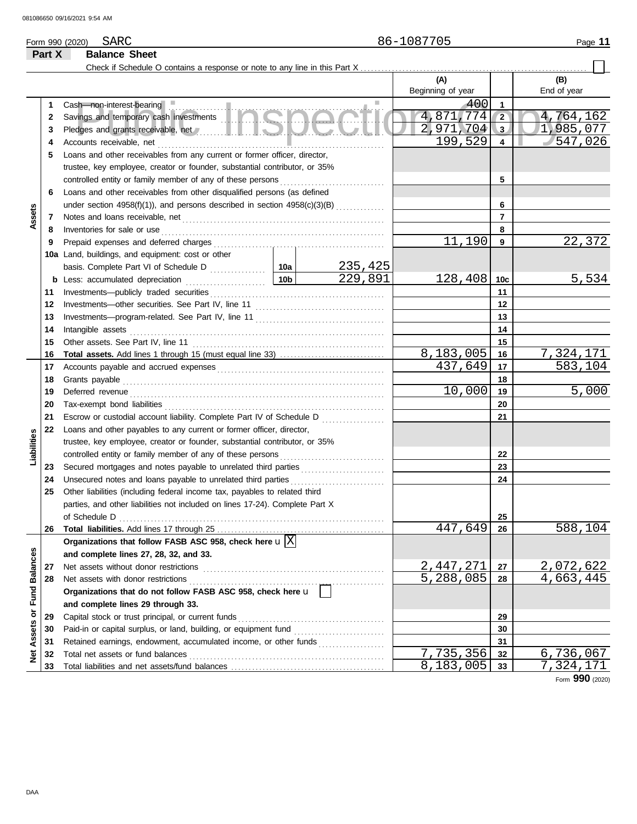**Part X Balance Sheet**

#### Check if Schedule O contains a response or note to any line in this Part X **(A) (B)** Beginning of year | End of year sh non-interest-bearing<br>vings and temporary cash investments<br>cloges and grants receivable, net the counts receivable, net the counts receivable, net the counts receivable, net<br>2,971,704 3 1,98 Cash—non-interest-bearing . . . . . . . . . . . . . . . . . . . . . . . . . . . . . . . . . . . . . . . . . . . . . . . . . . . . . . . . . . . . . .  $\frac{400}{774}$ **1 1** 4,871,774 2 4,764,162<br>2.971.704 3 1,985,077 **2 2** Savings and temporary cash investments . . . . . . . . . . . . . . . . . . . . . . . . . . . . . . . . . . . . . . . . . . . . . . . <mark>971,704 3</mark> 1,985,077<br>199,529 4 547,026 **3 3** Pledges and grants receivable, net **All and School and School and School and School and School and School and School and School and School and School and School and School and School and School and School and School and Sc** 547,026 **4 4** Accounts receivable, net . . . . . . . . . . . . . . . . . . . . . . . . . . . . . . . . . . . . . . . . . . . . . . . . . . . . . . . . . . . . . . . . . **5** Loans and other receivables from any current or former officer, director, trustee, key employee, creator or founder, substantial contributor, or 35% controlled entity or family member of any of these persons **5 6** Loans and other receivables from other disqualified persons (as defined **6** under section  $4958(f)(1)$ , and persons described in section  $4958(c)(3)(B)$  ............. **Assets 7 7** Notes and loans receivable, net . . . . . . . . . . . . . . . . . . . . . . . . . . . . . . . . . . . . . . . . . . . . . . . . . . . . . . . . . . **8 8** Inventories for sale or use . . . . . . . . . . . . . . . . . . . . . . . . . . . . . . . . . . . . . . . . . . . . . . . . . . . . . . . . . . . . . . . . Prepaid expenses and deferred charges . . . . . . . . . . . . . . . . . . . . . . . . . . . . . . . . . . . . . . . . . . . . . . . . .  $11,190$   $9$   $22,372$ **9 9 10a** Land, buildings, and equipment: cost or other <mark>235,425</mark><br>229,891 basis. Complete Part VI of Schedule D . . . . . . . . . . . . 10a  $128,408$  10c 5,534 **10c b** Less: accumulated depreciation . . . . . . . . . . . . . . . . . . . . . . . **10b** Investments—publicly traded securities . . . . . . . . . . . . . . . . . . . . . . . . . . . . . . . . . . . . . . . . . . . . . . . . . . **11 11** Investments—other securities. See Part IV, line 11 . . . . . . . . . . . . . . . . . . . . . . . . . . . . . . . . . . . . . **12 12 13 13** Investments—program-related. See Part IV, line 11 . . . . . . . . . . . . . . . . . . . . . . . . . . . . . . . . . . . . . Intangible assets . . . . . . . . . . . . . . . . . . . . . . . . . . . . . . . . . . . . . . . . . . . . . . . . . . . . . . . . . . . . . . . . . . . . . . . . . **14 14 15 15** Other assets. See Part IV, line 11 . . . . . . . . . . . . . . . . . . . . . . . . . . . . . . . . . . . . . . . . . . . . . . . . . . . . . . . 8,183,005 16 7,324,171<br>437,649 17 583,104 **Total assets.** Add lines 1 through 15 (must equal line 33) . . . . . . . . . . . . . . . . . . . . . . . . . . . . . . **16 16** 437,649 **17** Accounts payable and accrued expenses . . . . . . . . . . . . . . . . . . . . . . . . . . . . . . . . . . . . . . . . . . . . . . . . **17 18** Grants payable . . . . . . . . . . . . . . . . . . . . . . . . . . . . . . . . . . . . . . . . . . . . . . . . . . . . . . . . . . . . . . . . . . . . . . . . . . . **18** 10,000 5,000 Deferred revenue . . . . . . . . . . . . . . . . . . . . . . . . . . . . . . . . . . . . . . . . . . . . . . . . . . . . . . . . . . . . . . . . . . . . . . . . . **19 19** Tax-exempt bond liabilities . . . . . . . . . . . . . . . . . . . . . . . . . . . . . . . . . . . . . . . . . . . . . . . . . . . . . . . . . . . . . . . **20 20 21** Escrow or custodial account liability. Complete Part IV of Schedule D . . . . . . . . . . . . . . . . . . **21 22** Loans and other payables to any current or former officer, director, **Liabilities** trustee, key employee, creator or founder, substantial contributor, or 35% **22** controlled entity or family member of any of these persons Secured mortgages and notes payable to unrelated third parties ........................ **23 23 24** Unsecured notes and loans payable to unrelated third parties . . . . . . . . . . . . . . . . . . . . . . . . . . . **24 25** Other liabilities (including federal income tax, payables to related third parties, and other liabilities not included on lines 17-24). Complete Part X of Schedule D . . . . . . . . . . . . . . . . . . . . . . . . . . . . . . . . . . . . . . . . . . . . . . . . . . . . . . . . . . . . . . . . . . . . . . . . . . . . **25** 447,649 588,104 **26** Total liabilities. Add lines 17 through 25 **26** Organizations that follow FASB ASC 958, check here  $\mathbf{u}$   $\boxed{\text{X}}$ Net Assets or Fund Balances **Net Assets or Fund Balances and complete lines 27, 28, 32, and 33. 27** Net assets without donor restrictions . . . . . . . . . . . . . . . . . . . . . . . . . . . . . . . . . . . . . . . . . . . . . . . . . . . . 2,447,271 27 2,072,622<br>5,288,085 28 4,663,445 **27** Net assets with donor restrictions . . . . . . . . . . . . . . . . . . . . . . . . . . . . . . . . . . . . . . . . . . . . . . . . . . . . . . . . 4,663,445 **28 28 Organizations that do not follow FASB ASC 958, check here** u **and complete lines 29 through 33.** Capital stock or trust principal, or current funds . . . . . . . . . . . . . . . . . . . . . . . . . . . . . . . . . . . . . . . . . . **29 29** Paid-in or capital surplus, or land, building, or equipment fund ........................... **30 30 31** Retained earnings, endowment, accumulated income, or other funds . . . . . . . . . . . . . . . . . . . **31**  $\begin{array}{|c|c|c|c|c|c|}\n7,735,356 & \textbf{32} & 6,736,067 \\
8.183.005 & \textbf{33} & 7.324.171\n\end{array}$ Total net assets or fund balances . . . . . . . . . . . . . . . . . . . . . . . . . . . . . . . . . . . . . . . . . . . . . . . . . . . . . . . . **32 32 33** Total liabilities and net assets/fund balances ... **33** 7,324,171

Form **990** (2020)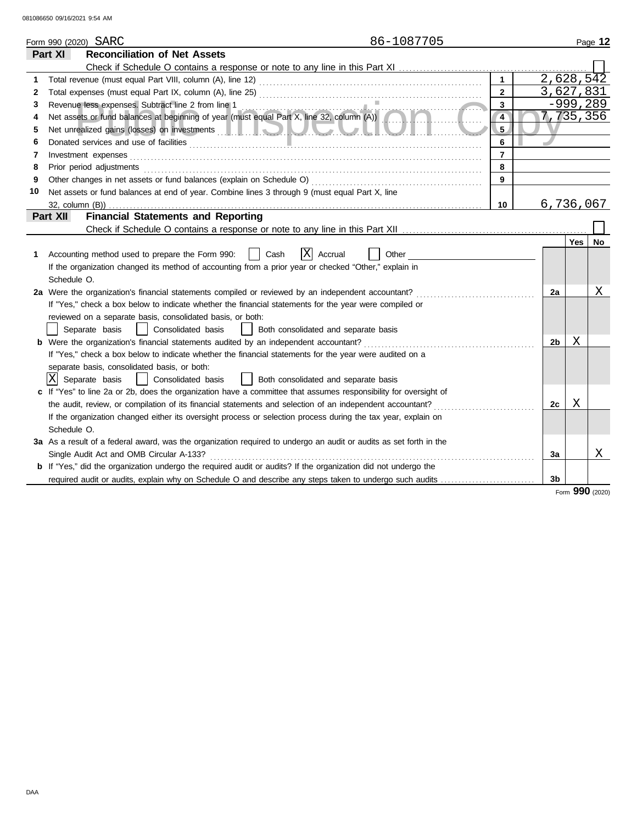|    | 86-1087705<br>Form 990 (2020) SARC                                                                                                                                                                                                   |                |                        |            | Page 12 |
|----|--------------------------------------------------------------------------------------------------------------------------------------------------------------------------------------------------------------------------------------|----------------|------------------------|------------|---------|
|    | <b>Reconciliation of Net Assets</b><br>Part XI                                                                                                                                                                                       |                |                        |            |         |
|    |                                                                                                                                                                                                                                      |                |                        |            |         |
| 1  |                                                                                                                                                                                                                                      | $\mathbf{1}$   | $2,628,5\overline{42}$ |            |         |
| 2  |                                                                                                                                                                                                                                      | $\mathbf{2}$   | 3,627,831              |            |         |
| 3  |                                                                                                                                                                                                                                      | $\mathbf{3}$   |                        | -999,289   |         |
| 4  | Revenue less expenses. Subtract line 2 from line 1<br>Net assets or fund balances at beginning of year (must equal Part X, line 32, column (A))                                                                                      | $\overline{4}$ | 7, 735, 356            |            |         |
| 5  | Net unrealized gains (losses) on investments <b>and the set of the set of the set of the set of the set of the set of the set of the set of the set of the set of the set of the set of the set of the set of the set of the set</b> | 5.             |                        |            |         |
| 6  |                                                                                                                                                                                                                                      | 6              |                        |            |         |
| 7  |                                                                                                                                                                                                                                      | $\overline{7}$ |                        |            |         |
| 8  |                                                                                                                                                                                                                                      | 8              |                        |            |         |
| 9  |                                                                                                                                                                                                                                      | 9              |                        |            |         |
| 10 | Net assets or fund balances at end of year. Combine lines 3 through 9 (must equal Part X, line                                                                                                                                       |                |                        |            |         |
|    |                                                                                                                                                                                                                                      | 10             | 6,736,067              |            |         |
|    | <b>Financial Statements and Reporting</b><br>Part XII                                                                                                                                                                                |                |                        |            |         |
|    |                                                                                                                                                                                                                                      |                |                        |            |         |
|    |                                                                                                                                                                                                                                      |                |                        | <b>Yes</b> | No      |
| 1  | X<br>Accounting method used to prepare the Form 990:<br>Cash<br>Accrual<br>Other                                                                                                                                                     |                |                        |            |         |
|    | If the organization changed its method of accounting from a prior year or checked "Other," explain in                                                                                                                                |                |                        |            |         |
|    | Schedule O.                                                                                                                                                                                                                          |                |                        |            |         |
|    | 2a Were the organization's financial statements compiled or reviewed by an independent accountant?                                                                                                                                   |                | 2a                     |            | Х       |
|    | If "Yes," check a box below to indicate whether the financial statements for the year were compiled or                                                                                                                               |                |                        |            |         |
|    | reviewed on a separate basis, consolidated basis, or both:                                                                                                                                                                           |                |                        |            |         |
|    | Consolidated basis     Both consolidated and separate basis<br>Separate basis                                                                                                                                                        |                |                        |            |         |
|    | <b>b</b> Were the organization's financial statements audited by an independent accountant?                                                                                                                                          |                | 2b                     | Χ          |         |
|    | If "Yes," check a box below to indicate whether the financial statements for the year were audited on a                                                                                                                              |                |                        |            |         |
|    | separate basis, consolidated basis, or both:                                                                                                                                                                                         |                |                        |            |         |
|    | X Separate basis<br>  Consolidated basis<br>  Both consolidated and separate basis                                                                                                                                                   |                |                        |            |         |
|    | If "Yes" to line 2a or 2b, does the organization have a committee that assumes responsibility for oversight of                                                                                                                       |                |                        |            |         |
|    | the audit, review, or compilation of its financial statements and selection of an independent accountant?                                                                                                                            |                | 2c                     | X          |         |
|    | If the organization changed either its oversight process or selection process during the tax year, explain on                                                                                                                        |                |                        |            |         |
|    | Schedule O.                                                                                                                                                                                                                          |                |                        |            |         |
|    | 3a As a result of a federal award, was the organization required to undergo an audit or audits as set forth in the                                                                                                                   |                |                        |            |         |
|    | Single Audit Act and OMB Circular A-133?                                                                                                                                                                                             |                | За                     |            | Χ       |
|    | <b>b</b> If "Yes," did the organization undergo the required audit or audits? If the organization did not undergo the                                                                                                                |                |                        |            |         |
|    | required audit or audits, explain why on Schedule O and describe any steps taken to undergo such audits                                                                                                                              |                | 3b                     |            |         |
|    |                                                                                                                                                                                                                                      |                |                        | $\sim$     |         |

Form **990** (2020)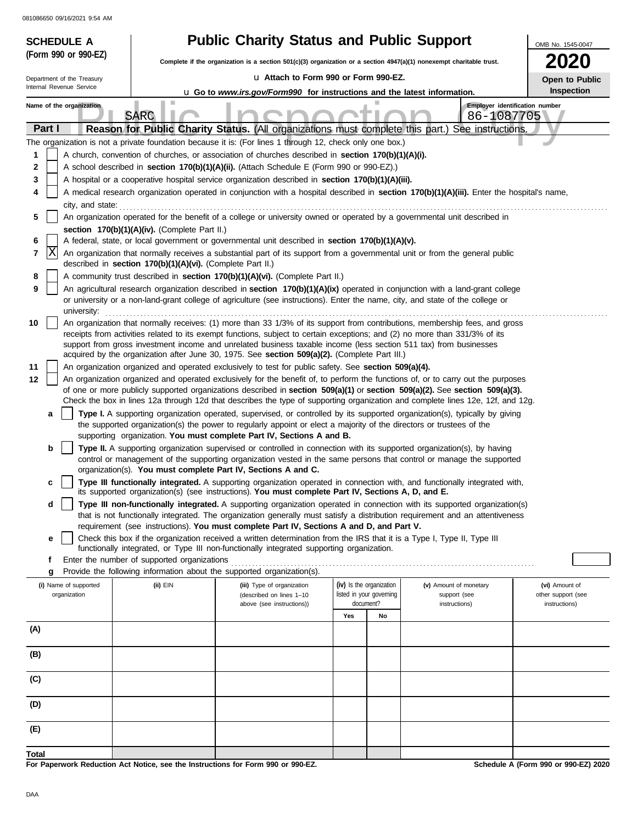| <b>SCHEDULE A</b>                     | <b>Public Charity Status and Public Support</b><br>OMB No. 1545-0047                                                                                           |                                                                                                                                                                                                                      |                          |                                                                                                                                                                                                                                                                |                                      |  |  |  |  |
|---------------------------------------|----------------------------------------------------------------------------------------------------------------------------------------------------------------|----------------------------------------------------------------------------------------------------------------------------------------------------------------------------------------------------------------------|--------------------------|----------------------------------------------------------------------------------------------------------------------------------------------------------------------------------------------------------------------------------------------------------------|--------------------------------------|--|--|--|--|
| (Form 990 or 990-EZ)                  |                                                                                                                                                                | Complete if the organization is a section 501(c)(3) organization or a section 4947(a)(1) nonexempt charitable trust.                                                                                                 |                          |                                                                                                                                                                                                                                                                | <b>2020</b>                          |  |  |  |  |
| Department of the Treasury            |                                                                                                                                                                | u Attach to Form 990 or Form 990-EZ.                                                                                                                                                                                 |                          |                                                                                                                                                                                                                                                                | Open to Public                       |  |  |  |  |
| Internal Revenue Service              |                                                                                                                                                                | <b>u</b> Go to <i>www.irs.gov/Form990</i> for instructions and the latest information.                                                                                                                               |                          |                                                                                                                                                                                                                                                                | Inspection                           |  |  |  |  |
| Name of the organization              | ш                                                                                                                                                              |                                                                                                                                                                                                                      |                          |                                                                                                                                                                                                                                                                | Employer identification number       |  |  |  |  |
| Part I                                | <b>SARC</b>                                                                                                                                                    |                                                                                                                                                                                                                      |                          | 86-1087705<br>Reason for Public Charity Status. (All organizations must complete this part.) See instructions.                                                                                                                                                 |                                      |  |  |  |  |
|                                       |                                                                                                                                                                | The organization is not a private foundation because it is: (For lines 1 through 12, check only one box.)                                                                                                            |                          |                                                                                                                                                                                                                                                                |                                      |  |  |  |  |
| 1                                     |                                                                                                                                                                | A church, convention of churches, or association of churches described in section 170(b)(1)(A)(i).                                                                                                                   |                          |                                                                                                                                                                                                                                                                |                                      |  |  |  |  |
| 2                                     |                                                                                                                                                                | A school described in section 170(b)(1)(A)(ii). (Attach Schedule E (Form 990 or 990-EZ).)                                                                                                                            |                          |                                                                                                                                                                                                                                                                |                                      |  |  |  |  |
| 3                                     |                                                                                                                                                                | A hospital or a cooperative hospital service organization described in section 170(b)(1)(A)(iii).                                                                                                                    |                          |                                                                                                                                                                                                                                                                |                                      |  |  |  |  |
| 4                                     | A medical research organization operated in conjunction with a hospital described in section 170(b)(1)(A)(iii). Enter the hospital's name,<br>city, and state: |                                                                                                                                                                                                                      |                          |                                                                                                                                                                                                                                                                |                                      |  |  |  |  |
| 5                                     |                                                                                                                                                                | An organization operated for the benefit of a college or university owned or operated by a governmental unit described in                                                                                            |                          |                                                                                                                                                                                                                                                                |                                      |  |  |  |  |
|                                       | section 170(b)(1)(A)(iv). (Complete Part II.)                                                                                                                  |                                                                                                                                                                                                                      |                          |                                                                                                                                                                                                                                                                |                                      |  |  |  |  |
| 6                                     |                                                                                                                                                                | A federal, state, or local government or governmental unit described in section 170(b)(1)(A)(v).                                                                                                                     |                          |                                                                                                                                                                                                                                                                |                                      |  |  |  |  |
| X<br>7                                | described in section 170(b)(1)(A)(vi). (Complete Part II.)                                                                                                     |                                                                                                                                                                                                                      |                          | An organization that normally receives a substantial part of its support from a governmental unit or from the general public                                                                                                                                   |                                      |  |  |  |  |
| 8                                     |                                                                                                                                                                | A community trust described in section 170(b)(1)(A)(vi). (Complete Part II.)                                                                                                                                         |                          |                                                                                                                                                                                                                                                                |                                      |  |  |  |  |
| 9<br>university:                      |                                                                                                                                                                | or university or a non-land-grant college of agriculture (see instructions). Enter the name, city, and state of the college or                                                                                       |                          | An agricultural research organization described in section 170(b)(1)(A)(ix) operated in conjunction with a land-grant college                                                                                                                                  |                                      |  |  |  |  |
| 10                                    |                                                                                                                                                                |                                                                                                                                                                                                                      |                          | An organization that normally receives: (1) more than 33 1/3% of its support from contributions, membership fees, and gross                                                                                                                                    |                                      |  |  |  |  |
|                                       |                                                                                                                                                                | receipts from activities related to its exempt functions, subject to certain exceptions; and (2) no more than 331/3% of its                                                                                          |                          |                                                                                                                                                                                                                                                                |                                      |  |  |  |  |
|                                       |                                                                                                                                                                | support from gross investment income and unrelated business taxable income (less section 511 tax) from businesses<br>acquired by the organization after June 30, 1975. See section 509(a)(2). (Complete Part III.)   |                          |                                                                                                                                                                                                                                                                |                                      |  |  |  |  |
| 11                                    |                                                                                                                                                                | An organization organized and operated exclusively to test for public safety. See section 509(a)(4).                                                                                                                 |                          |                                                                                                                                                                                                                                                                |                                      |  |  |  |  |
| 12                                    |                                                                                                                                                                |                                                                                                                                                                                                                      |                          | An organization organized and operated exclusively for the benefit of, to perform the functions of, or to carry out the purposes                                                                                                                               |                                      |  |  |  |  |
|                                       |                                                                                                                                                                |                                                                                                                                                                                                                      |                          | of one or more publicly supported organizations described in section 509(a)(1) or section 509(a)(2). See section 509(a)(3).<br>Check the box in lines 12a through 12d that describes the type of supporting organization and complete lines 12e, 12f, and 12g. |                                      |  |  |  |  |
| a                                     |                                                                                                                                                                |                                                                                                                                                                                                                      |                          | Type I. A supporting organization operated, supervised, or controlled by its supported organization(s), typically by giving                                                                                                                                    |                                      |  |  |  |  |
|                                       |                                                                                                                                                                | the supported organization(s) the power to regularly appoint or elect a majority of the directors or trustees of the                                                                                                 |                          |                                                                                                                                                                                                                                                                |                                      |  |  |  |  |
| b                                     |                                                                                                                                                                | supporting organization. You must complete Part IV, Sections A and B.                                                                                                                                                |                          | Type II. A supporting organization supervised or controlled in connection with its supported organization(s), by having                                                                                                                                        |                                      |  |  |  |  |
|                                       |                                                                                                                                                                |                                                                                                                                                                                                                      |                          | control or management of the supporting organization vested in the same persons that control or manage the supported                                                                                                                                           |                                      |  |  |  |  |
|                                       |                                                                                                                                                                | organization(s). You must complete Part IV, Sections A and C.                                                                                                                                                        |                          |                                                                                                                                                                                                                                                                |                                      |  |  |  |  |
| c                                     |                                                                                                                                                                | its supported organization(s) (see instructions). You must complete Part IV, Sections A, D, and E.                                                                                                                   |                          | Type III functionally integrated. A supporting organization operated in connection with, and functionally integrated with,                                                                                                                                     |                                      |  |  |  |  |
| d                                     |                                                                                                                                                                |                                                                                                                                                                                                                      |                          | Type III non-functionally integrated. A supporting organization operated in connection with its supported organization(s)<br>that is not functionally integrated. The organization generally must satisfy a distribution requirement and an attentiveness      |                                      |  |  |  |  |
|                                       |                                                                                                                                                                | requirement (see instructions). You must complete Part IV, Sections A and D, and Part V.                                                                                                                             |                          |                                                                                                                                                                                                                                                                |                                      |  |  |  |  |
| е                                     |                                                                                                                                                                | Check this box if the organization received a written determination from the IRS that it is a Type I, Type II, Type III<br>functionally integrated, or Type III non-functionally integrated supporting organization. |                          |                                                                                                                                                                                                                                                                |                                      |  |  |  |  |
| f                                     | Enter the number of supported organizations                                                                                                                    |                                                                                                                                                                                                                      |                          |                                                                                                                                                                                                                                                                |                                      |  |  |  |  |
| g                                     | (ii) EIN                                                                                                                                                       | Provide the following information about the supported organization(s).                                                                                                                                               | (iv) Is the organization | (v) Amount of monetary                                                                                                                                                                                                                                         | (vi) Amount of                       |  |  |  |  |
| (i) Name of supported<br>organization |                                                                                                                                                                | (iii) Type of organization<br>(described on lines 1-10                                                                                                                                                               | listed in your governing | support (see                                                                                                                                                                                                                                                   | other support (see                   |  |  |  |  |
|                                       |                                                                                                                                                                | above (see instructions))                                                                                                                                                                                            | document?                | instructions)                                                                                                                                                                                                                                                  | instructions)                        |  |  |  |  |
| (A)                                   |                                                                                                                                                                |                                                                                                                                                                                                                      | Yes<br>No                |                                                                                                                                                                                                                                                                |                                      |  |  |  |  |
|                                       |                                                                                                                                                                |                                                                                                                                                                                                                      |                          |                                                                                                                                                                                                                                                                |                                      |  |  |  |  |
| (B)                                   |                                                                                                                                                                |                                                                                                                                                                                                                      |                          |                                                                                                                                                                                                                                                                |                                      |  |  |  |  |
| (C)                                   |                                                                                                                                                                |                                                                                                                                                                                                                      |                          |                                                                                                                                                                                                                                                                |                                      |  |  |  |  |
| (D)                                   |                                                                                                                                                                |                                                                                                                                                                                                                      |                          |                                                                                                                                                                                                                                                                |                                      |  |  |  |  |
| (E)                                   |                                                                                                                                                                |                                                                                                                                                                                                                      |                          |                                                                                                                                                                                                                                                                |                                      |  |  |  |  |
| Total                                 |                                                                                                                                                                |                                                                                                                                                                                                                      |                          |                                                                                                                                                                                                                                                                |                                      |  |  |  |  |
|                                       |                                                                                                                                                                | For Paperwork Reduction Act Notice, see the Instructions for Form 990 or 990-EZ.                                                                                                                                     |                          |                                                                                                                                                                                                                                                                | Schedule A (Form 990 or 990-EZ) 2020 |  |  |  |  |

**For Paperwork Reduction Act Notice, see the Instructions for Form 990 or 990-EZ.**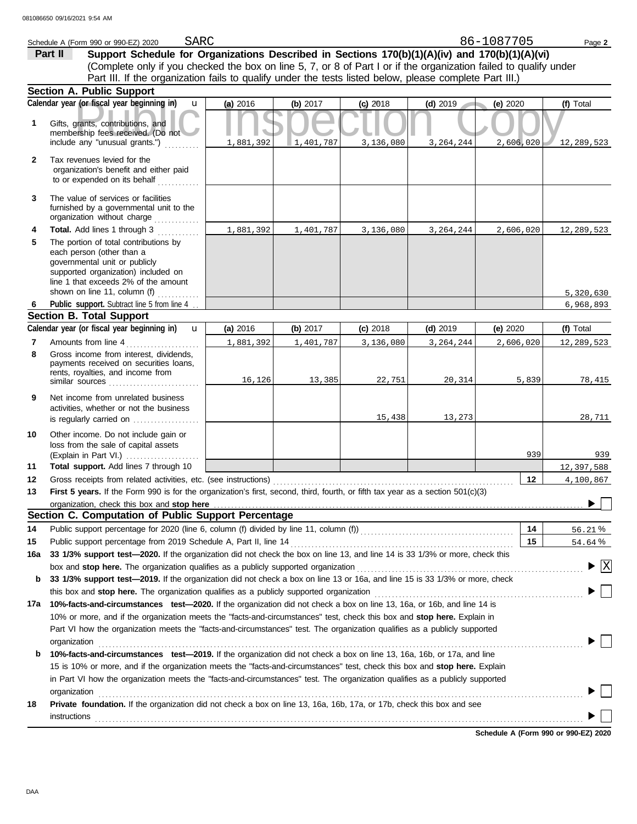|              | SARC<br>Schedule A (Form 990 or 990-EZ) 2020                                                                                                                                                                                |           |            |            |             | 86-1087705 | Page 2                          |
|--------------|-----------------------------------------------------------------------------------------------------------------------------------------------------------------------------------------------------------------------------|-----------|------------|------------|-------------|------------|---------------------------------|
|              | Support Schedule for Organizations Described in Sections 170(b)(1)(A)(iv) and 170(b)(1)(A)(vi)<br>Part II                                                                                                                   |           |            |            |             |            |                                 |
|              | (Complete only if you checked the box on line 5, 7, or 8 of Part I or if the organization failed to qualify under                                                                                                           |           |            |            |             |            |                                 |
|              | Part III. If the organization fails to qualify under the tests listed below, please complete Part III.)                                                                                                                     |           |            |            |             |            |                                 |
|              | Section A. Public Support                                                                                                                                                                                                   |           |            |            |             |            |                                 |
|              | Calendar year (or fiscal year beginning in)<br>$\mathbf{u}$                                                                                                                                                                 | (a) 2016  | (b) $2017$ | $(c)$ 2018 | $(d)$ 2019  | (e) 2020   | (f) Total                       |
| 1.           | Gifts, grants, contributions, and<br>membership fees received. (Do not                                                                                                                                                      |           |            |            |             |            |                                 |
|              | include any "unusual grants.")                                                                                                                                                                                              | 1,881,392 | 1,401,787  | 3,136,080  | 3, 264, 244 | 2,606,020  | 12,289,523                      |
| $\mathbf{2}$ | Tax revenues levied for the<br>organization's benefit and either paid<br>to or expended on its behalf                                                                                                                       |           |            |            |             |            |                                 |
| 3            | The value of services or facilities<br>furnished by a governmental unit to the<br>organization without charge<br><u>.</u><br>1912. – Paul Paul Paul                                                                         |           |            |            |             |            |                                 |
| 4            | Total. Add lines 1 through 3                                                                                                                                                                                                | 1,881,392 | 1,401,787  | 3,136,080  | 3, 264, 244 | 2,606,020  | 12,289,523                      |
| 5            | The portion of total contributions by<br>each person (other than a<br>governmental unit or publicly<br>supported organization) included on<br>line 1 that exceeds 2% of the amount<br>shown on line 11, column (f) $\ldots$ |           |            |            |             |            |                                 |
| 6            | Public support. Subtract line 5 from line 4                                                                                                                                                                                 |           |            |            |             |            | 5,320,630<br>6,968,893          |
|              | <b>Section B. Total Support</b>                                                                                                                                                                                             |           |            |            |             |            |                                 |
|              | Calendar year (or fiscal year beginning in)<br>$\mathbf{u}$                                                                                                                                                                 | (a) 2016  | (b) $2017$ | $(c)$ 2018 | $(d)$ 2019  | (e) 2020   | (f) Total                       |
| 7            | Amounts from line 4                                                                                                                                                                                                         | 1,881,392 | 1,401,787  | 3,136,080  | 3, 264, 244 | 2,606,020  | 12,289,523                      |
| 8            | Gross income from interest, dividends,<br>payments received on securities loans,<br>rents, royalties, and income from                                                                                                       | 16, 126   | 13,385     | 22,751     | 20, 314     | 5,839      | 78,415                          |
| 9            | Net income from unrelated business<br>activities, whether or not the business<br>is regularly carried on                                                                                                                    |           |            | 15,438     | 13,273      |            | 28,711                          |
| 10           | Other income. Do not include gain or<br>loss from the sale of capital assets<br>(Explain in Part VI.)                                                                                                                       |           |            |            |             | 939        | 939                             |
| 11           | Total support. Add lines 7 through 10                                                                                                                                                                                       |           |            |            |             |            | 12,397,588                      |
| 12           | Gross receipts from related activities, etc. (see instructions)                                                                                                                                                             |           |            |            |             | 12         | 4,100,867                       |
| 13           | First 5 years. If the Form 990 is for the organization's first, second, third, fourth, or fifth tax year as a section 501(c)(3)<br>organization, check this box and stop here                                               |           |            |            |             |            |                                 |
|              | Section C. Computation of Public Support Percentage                                                                                                                                                                         |           |            |            |             |            |                                 |
| 14           | Public support percentage for 2020 (line 6, column (f) divided by line 11, column (f)) [[[[[[[[[[[[[[[[[[[[[[                                                                                                               |           |            |            |             | 14         | 56.21%                          |
| 15           | Public support percentage from 2019 Schedule A, Part II, line 14                                                                                                                                                            |           |            |            |             | 15         | 54.64%                          |
| 16a          | 33 1/3% support test-2020. If the organization did not check the box on line 13, and line 14 is 33 1/3% or more, check this                                                                                                 |           |            |            |             |            |                                 |
|              | box and stop here. The organization qualifies as a publicly supported organization                                                                                                                                          |           |            |            |             |            | $\blacktriangleright$ $\vert$ X |
| b            | 33 1/3% support test-2019. If the organization did not check a box on line 13 or 16a, and line 15 is 33 1/3% or more, check                                                                                                 |           |            |            |             |            |                                 |
|              | this box and stop here. The organization qualifies as a publicly supported organization                                                                                                                                     |           |            |            |             |            |                                 |
| 17a          | 10%-facts-and-circumstances test-2020. If the organization did not check a box on line 13, 16a, or 16b, and line 14 is                                                                                                      |           |            |            |             |            |                                 |
|              | 10% or more, and if the organization meets the "facts-and-circumstances" test, check this box and stop here. Explain in                                                                                                     |           |            |            |             |            |                                 |
|              | Part VI how the organization meets the "facts-and-circumstances" test. The organization qualifies as a publicly supported<br>organization                                                                                   |           |            |            |             |            |                                 |
| b            | 10%-facts-and-circumstances test-2019. If the organization did not check a box on line 13, 16a, 16b, or 17a, and line                                                                                                       |           |            |            |             |            |                                 |
|              | 15 is 10% or more, and if the organization meets the "facts-and-circumstances" test, check this box and stop here. Explain                                                                                                  |           |            |            |             |            |                                 |
|              | in Part VI how the organization meets the "facts-and-circumstances" test. The organization qualifies as a publicly supported<br>organization                                                                                |           |            |            |             |            |                                 |
| 18           | Private foundation. If the organization did not check a box on line 13, 16a, 16b, 17a, or 17b, check this box and see                                                                                                       |           |            |            |             |            |                                 |
|              | instructions                                                                                                                                                                                                                |           |            |            |             |            |                                 |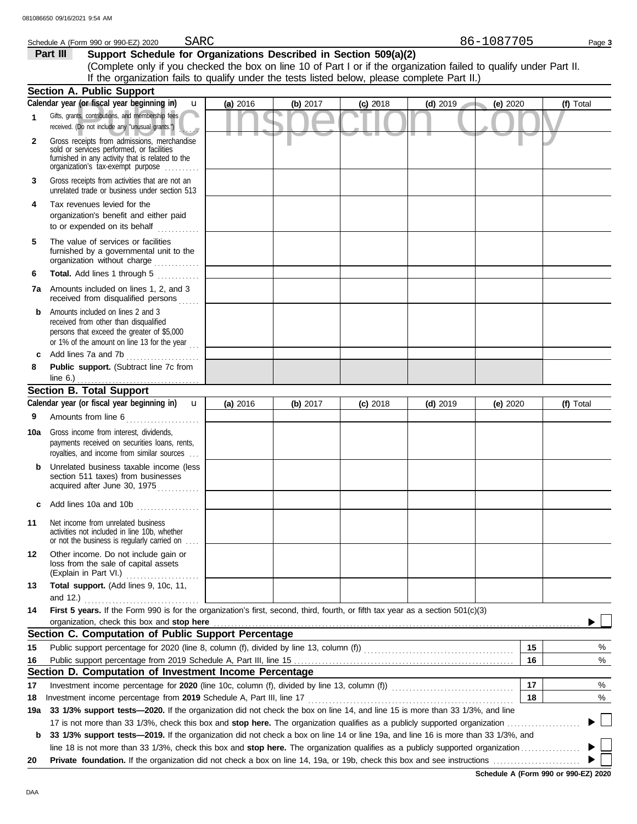| 86-1087705 |  |
|------------|--|
|            |  |

|          | Schedule A (Form 990 or 990-EZ) 2020 | SARC |                                                                                                                    | 86-1087705 | Page 3 |
|----------|--------------------------------------|------|--------------------------------------------------------------------------------------------------------------------|------------|--------|
| Part III |                                      |      | Support Schedule for Organizations Described in Section 509(a)(2)                                                  |            |        |
|          |                                      |      | (Complete only if you checked the box on line 10 of Part I or if the organization failed to qualify under Part II. |            |        |
|          |                                      |      | If the organization fails to qualify under the tests listed below, please complete Part II.)                       |            |        |

|              | <b>Section A. Public Support</b>                                                                                                                                                  |          |            |            |            |            |           |
|--------------|-----------------------------------------------------------------------------------------------------------------------------------------------------------------------------------|----------|------------|------------|------------|------------|-----------|
|              | Calendar year (or fiscal year beginning in)<br>$\mathbf{u}$                                                                                                                       | (a) 2016 | (b) $2017$ | $(c)$ 2018 | $(d)$ 2019 | (e) 2020   | (f) Total |
| 1            | Gifts, grants, contributions, and membership fees<br>received. (Do not include any "unusual grants.")                                                                             |          |            |            |            |            |           |
| $\mathbf{2}$ | Gross receipts from admissions, merchandise<br>sold or services performed, or facilities<br>furnished in any activity that is related to the<br>organization's fax-exempt purpose |          |            |            |            |            |           |
| 3            | Gross receipts from activities that are not an<br>unrelated trade or business under section 513                                                                                   |          |            |            |            |            |           |
| 4            | Tax revenues levied for the<br>organization's benefit and either paid<br>to or expended on its behalf                                                                             |          |            |            |            |            |           |
| 5            | The value of services or facilities<br>furnished by a governmental unit to the<br>organization without charge                                                                     |          |            |            |            |            |           |
| 6            | Total. Add lines 1 through 5<br>.                                                                                                                                                 |          |            |            |            |            |           |
| 7a           | Amounts included on lines 1, 2, and 3<br>received from disqualified persons                                                                                                       |          |            |            |            |            |           |
| b            | Amounts included on lines 2 and 3<br>received from other than disqualified<br>persons that exceed the greater of \$5,000<br>or 1% of the amount on line 13 for the year $\ldots$  |          |            |            |            |            |           |
| c            | Add lines 7a and 7b                                                                                                                                                               |          |            |            |            |            |           |
| 8            | Public support. (Subtract line 7c from<br>line $6.$ )                                                                                                                             |          |            |            |            |            |           |
|              | <b>Section B. Total Support</b>                                                                                                                                                   |          |            |            |            |            |           |
|              | Calendar year (or fiscal year beginning in)<br>$\mathbf{u}$                                                                                                                       | (a) 2016 | (b) 2017   | $(c)$ 2018 | $(d)$ 2019 | (e) $2020$ | (f) Total |
| 9            | Amounts from line 6                                                                                                                                                               |          |            |            |            |            |           |
| 10a          | Gross income from interest, dividends,<br>payments received on securities loans, rents,<br>royalties, and income from similar sources                                             |          |            |            |            |            |           |
| b            | Unrelated business taxable income (less<br>section 511 taxes) from businesses<br>acquired after June 30, 1975                                                                     |          |            |            |            |            |           |
| c            | Add lines 10a and 10b                                                                                                                                                             |          |            |            |            |            |           |
| 11           | Net income from unrelated business<br>activities not included in line 10b, whether<br>or not the business is regularly carried on                                                 |          |            |            |            |            |           |
| 12           | Other income. Do not include gain or<br>loss from the sale of capital assets<br>(Explain in Part VI.)<br><u> 1999 - Johann John Stoff, market f</u>                               |          |            |            |            |            |           |
| 13           | Total support. (Add lines 9, 10c, 11,<br>and $12.$ )                                                                                                                              |          |            |            |            |            |           |
| 14           | First 5 years. If the Form 990 is for the organization's first, second, third, fourth, or fifth tax year as a section 501(c)(3)<br>organization, check this box and stop here     |          |            |            |            |            |           |
|              | Section C. Computation of Public Support Percentage                                                                                                                               |          |            |            |            |            |           |
| 15           |                                                                                                                                                                                   |          |            |            |            | 15         | %         |
| 16           |                                                                                                                                                                                   |          |            |            |            | 16         | %         |
|              | Section D. Computation of Investment Income Percentage                                                                                                                            |          |            |            |            |            |           |
| 17           | Investment income percentage for 2020 (line 10c, column (f), divided by line 13, column (f)) [[[[[[[[[[[[[[[[                                                                     |          |            |            |            | 17         | %         |
| 18           |                                                                                                                                                                                   |          |            |            |            | 18         | %         |
| 19a          | 33 1/3% support tests-2020. If the organization did not check the box on line 14, and line 15 is more than 33 1/3%, and line                                                      |          |            |            |            |            |           |
|              |                                                                                                                                                                                   |          |            |            |            |            | ▶ 凵       |
| b            | 33 1/3% support tests-2019. If the organization did not check a box on line 14 or line 19a, and line 16 is more than 33 1/3%, and                                                 |          |            |            |            |            | ▶││       |
|              |                                                                                                                                                                                   |          |            |            |            |            |           |
| 20           |                                                                                                                                                                                   |          |            |            |            |            |           |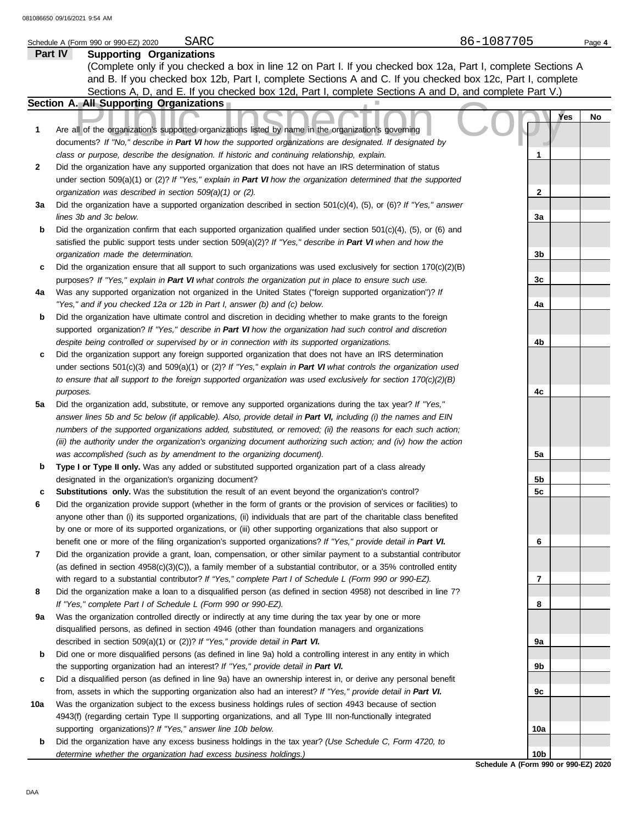|              | 31086650 09/16/2021 9:54 AM                                                                                         |              |        |  |  |  |  |
|--------------|---------------------------------------------------------------------------------------------------------------------|--------------|--------|--|--|--|--|
|              | 86-1087705<br>SARC<br>Schedule A (Form 990 or 990-EZ) 2020                                                          |              | Page 4 |  |  |  |  |
| Part IV      | <b>Supporting Organizations</b>                                                                                     |              |        |  |  |  |  |
|              | (Complete only if you checked a box in line 12 on Part I. If you checked box 12a, Part I, complete Sections A       |              |        |  |  |  |  |
|              | and B. If you checked box 12b, Part I, complete Sections A and C. If you checked box 12c, Part I, complete          |              |        |  |  |  |  |
|              | Sections A, D, and E. If you checked box 12d, Part I, complete Sections A and D, and complete Part V.)              |              |        |  |  |  |  |
|              | Section A. All Supporting Organizations                                                                             |              |        |  |  |  |  |
|              |                                                                                                                     | Yes          | No     |  |  |  |  |
| 1            | Are all of the organization's supported organizations listed by name in the organization's governing                |              |        |  |  |  |  |
|              | documents? If "No," describe in Part VI how the supported organizations are designated. If designated by            |              |        |  |  |  |  |
|              | class or purpose, describe the designation. If historic and continuing relationship, explain.                       |              |        |  |  |  |  |
| $\mathbf{2}$ | Did the organization have any supported organization that does not have an IRS determination of status              |              |        |  |  |  |  |
|              | under section 509(a)(1) or (2)? If "Yes," explain in Part VI how the organization determined that the supported     |              |        |  |  |  |  |
|              | organization was described in section 509(a)(1) or (2).                                                             | $\mathbf{2}$ |        |  |  |  |  |
| За           | Did the organization have a supported organization described in section $501(c)(4)$ , (5), or (6)? If "Yes," answer |              |        |  |  |  |  |
|              | lines 3b and 3c below.                                                                                              | 3a           |        |  |  |  |  |
| b            | Did the organization confirm that each supported organization qualified under section $501(c)(4)$ , (5), or (6) and |              |        |  |  |  |  |
|              | satisfied the public support tests under section 509(a)(2)? If "Yes," describe in Part VI when and how the          |              |        |  |  |  |  |
|              | organization made the determination.                                                                                | 3b           |        |  |  |  |  |
| c            | Did the organization ensure that all support to such organizations was used exclusively for section 170(c)(2)(B)    |              |        |  |  |  |  |
|              | purposes? If "Yes," explain in Part VI what controls the organization put in place to ensure such use.              | 3c           |        |  |  |  |  |
| 4a           | Was any supported organization not organized in the United States ("foreign supported organization")? If            |              |        |  |  |  |  |
|              | "Yes," and if you checked 12a or 12b in Part I, answer (b) and (c) below.                                           | 4a           |        |  |  |  |  |

- **b** Did the organization have ultimate control and discretion in deciding whether to make grants to the foreign supported organization? *If "Yes," describe in Part VI how the organization had such control and discretion despite being controlled or supervised by or in connection with its supported organizations.*
- **c** Did the organization support any foreign supported organization that does not have an IRS determination under sections 501(c)(3) and 509(a)(1) or (2)? *If "Yes," explain in Part VI what controls the organization used to ensure that all support to the foreign supported organization was used exclusively for section 170(c)(2)(B) purposes.*
- **5a** Did the organization add, substitute, or remove any supported organizations during the tax year? *If "Yes," answer lines 5b and 5c below (if applicable). Also, provide detail in Part VI, including (i) the names and EIN numbers of the supported organizations added, substituted, or removed; (ii) the reasons for each such action; (iii) the authority under the organization's organizing document authorizing such action; and (iv) how the action was accomplished (such as by amendment to the organizing document).*
- **b Type I or Type II only.** Was any added or substituted supported organization part of a class already designated in the organization's organizing document?
- **c Substitutions only.** Was the substitution the result of an event beyond the organization's control?
- **6** Did the organization provide support (whether in the form of grants or the provision of services or facilities) to anyone other than (i) its supported organizations, (ii) individuals that are part of the charitable class benefited by one or more of its supported organizations, or (iii) other supporting organizations that also support or benefit one or more of the filing organization's supported organizations? *If "Yes," provide detail in Part VI.*
- **7** Did the organization provide a grant, loan, compensation, or other similar payment to a substantial contributor (as defined in section 4958(c)(3)(C)), a family member of a substantial contributor, or a 35% controlled entity with regard to a substantial contributor? *If "Yes," complete Part I of Schedule L (Form 990 or 990-EZ).*
- **8** Did the organization make a loan to a disqualified person (as defined in section 4958) not described in line 7? *If "Yes," complete Part I of Schedule L (Form 990 or 990-EZ).*
- **9a** Was the organization controlled directly or indirectly at any time during the tax year by one or more disqualified persons, as defined in section 4946 (other than foundation managers and organizations described in section 509(a)(1) or (2))? *If "Yes," provide detail in Part VI.*
- **b** Did one or more disqualified persons (as defined in line 9a) hold a controlling interest in any entity in which the supporting organization had an interest? *If "Yes," provide detail in Part VI.*
- **c** Did a disqualified person (as defined in line 9a) have an ownership interest in, or derive any personal benefit from, assets in which the supporting organization also had an interest? *If "Yes," provide detail in Part VI.*
- **10a** Was the organization subject to the excess business holdings rules of section 4943 because of section 4943(f) (regarding certain Type II supporting organizations, and all Type III non-functionally integrated supporting organizations)? *If "Yes," answer line 10b below.*
	- **b** Did the organization have any excess business holdings in the tax year? *(Use Schedule C, Form 4720, to determine whether the organization had excess business holdings.)*

**4b 4c 5a 5b 5c 6 7 8 9a 9b 9c 10a 10b**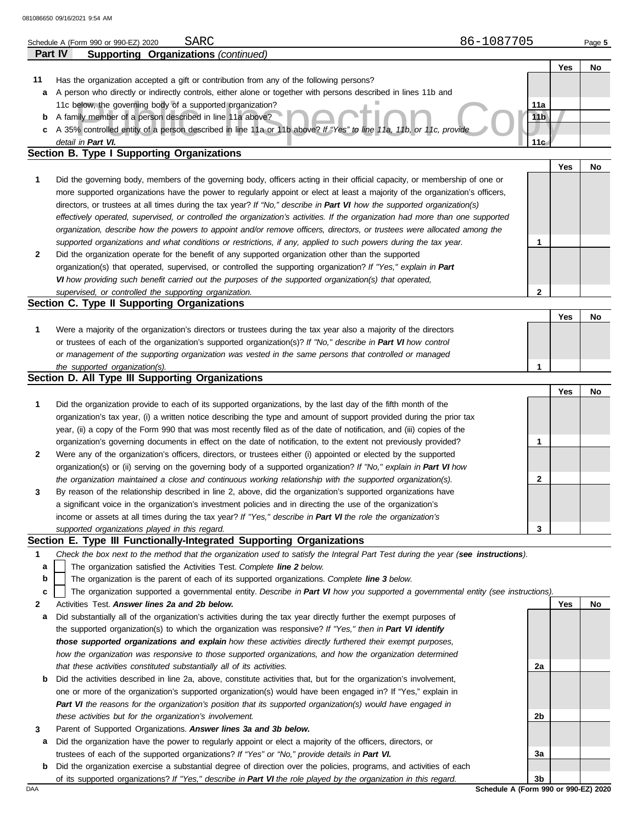|     | Part IV<br><b>Supporting Organizations (continued)</b>                                                                            |                 |     |    |
|-----|-----------------------------------------------------------------------------------------------------------------------------------|-----------------|-----|----|
|     |                                                                                                                                   |                 | Yes | No |
| 11  | Has the organization accepted a gift or contribution from any of the following persons?                                           |                 |     |    |
| а   | A person who directly or indirectly controls, either alone or together with persons described in lines 11b and                    |                 |     |    |
|     | 11c below, the governing body of a supported organization?                                                                        | 11a             |     |    |
| b   | A family member of a person described in line 11a above?                                                                          | 11 <sub>b</sub> |     |    |
| c   | A 35% controlled entity of a person described in line 11a or 11b above? If "Yes" to line 11a, 11b, or 11c, provide                |                 |     |    |
|     | detail in Part VI.                                                                                                                | 11 <sub>c</sub> |     |    |
|     | Section B. Type I Supporting Organizations                                                                                        |                 |     |    |
|     |                                                                                                                                   |                 | Yes | No |
|     |                                                                                                                                   |                 |     |    |
| 1   | Did the governing body, members of the governing body, officers acting in their official capacity, or membership of one or        |                 |     |    |
|     | more supported organizations have the power to regularly appoint or elect at least a majority of the organization's officers,     |                 |     |    |
|     | directors, or trustees at all times during the tax year? If "No," describe in Part VI how the supported organization(s)           |                 |     |    |
|     | effectively operated, supervised, or controlled the organization's activities. If the organization had more than one supported    |                 |     |    |
|     | organization, describe how the powers to appoint and/or remove officers, directors, or trustees were allocated among the          |                 |     |    |
|     | supported organizations and what conditions or restrictions, if any, applied to such powers during the tax year.                  | 1               |     |    |
| 2   | Did the organization operate for the benefit of any supported organization other than the supported                               |                 |     |    |
|     | organization(s) that operated, supervised, or controlled the supporting organization? If "Yes," explain in Part                   |                 |     |    |
|     | VI how providing such benefit carried out the purposes of the supported organization(s) that operated,                            |                 |     |    |
|     | supervised, or controlled the supporting organization.                                                                            | 2               |     |    |
|     | Section C. Type II Supporting Organizations                                                                                       |                 |     |    |
|     |                                                                                                                                   |                 | Yes | No |
| 1   | Were a majority of the organization's directors or trustees during the tax year also a majority of the directors                  |                 |     |    |
|     | or trustees of each of the organization's supported organization(s)? If "No," describe in Part VI how control                     |                 |     |    |
|     | or management of the supporting organization was vested in the same persons that controlled or managed                            |                 |     |    |
|     | the supported organization(s).                                                                                                    | 1               |     |    |
|     | Section D. All Type III Supporting Organizations                                                                                  |                 |     |    |
|     |                                                                                                                                   |                 | Yes | No |
| 1   | Did the organization provide to each of its supported organizations, by the last day of the fifth month of the                    |                 |     |    |
|     | organization's tax year, (i) a written notice describing the type and amount of support provided during the prior tax             |                 |     |    |
|     | year, (ii) a copy of the Form 990 that was most recently filed as of the date of notification, and (iii) copies of the            |                 |     |    |
|     | organization's governing documents in effect on the date of notification, to the extent not previously provided?                  | 1               |     |    |
| 2   | Were any of the organization's officers, directors, or trustees either (i) appointed or elected by the supported                  |                 |     |    |
|     | organization(s) or (ii) serving on the governing body of a supported organization? If "No," explain in Part VI how                |                 |     |    |
|     | the organization maintained a close and continuous working relationship with the supported organization(s).                       | 2               |     |    |
| 3   | By reason of the relationship described in line 2, above, did the organization's supported organizations have                     |                 |     |    |
|     | a significant voice in the organization's investment policies and in directing the use of the organization's                      |                 |     |    |
|     | income or assets at all times during the tax year? If "Yes," describe in Part VI the role the organization's                      |                 |     |    |
|     |                                                                                                                                   | 3               |     |    |
|     | supported organizations played in this regard.<br>Section E. Type III Functionally-Integrated Supporting Organizations            |                 |     |    |
|     |                                                                                                                                   |                 |     |    |
| 1   | Check the box next to the method that the organization used to satisfy the Integral Part Test during the year (see instructions). |                 |     |    |
| a   | The organization satisfied the Activities Test. Complete line 2 below.                                                            |                 |     |    |
| b   | The organization is the parent of each of its supported organizations. Complete line 3 below.                                     |                 |     |    |
| с   | The organization supported a governmental entity. Describe in Part VI how you supported a governmental entity (see instructions). |                 |     |    |
| 2   | Activities Test. Answer lines 2a and 2b below.                                                                                    |                 | Yes | No |
| а   | Did substantially all of the organization's activities during the tax year directly further the exempt purposes of                |                 |     |    |
|     | the supported organization(s) to which the organization was responsive? If "Yes," then in Part VI identify                        |                 |     |    |
|     | those supported organizations and explain how these activities directly furthered their exempt purposes,                          |                 |     |    |
|     | how the organization was responsive to those supported organizations, and how the organization determined                         |                 |     |    |
|     | that these activities constituted substantially all of its activities.                                                            | 2a              |     |    |
| b   | Did the activities described in line 2a, above, constitute activities that, but for the organization's involvement,               |                 |     |    |
|     | one or more of the organization's supported organization(s) would have been engaged in? If "Yes," explain in                      |                 |     |    |
|     | Part VI the reasons for the organization's position that its supported organization(s) would have engaged in                      |                 |     |    |
|     | these activities but for the organization's involvement.                                                                          | 2b              |     |    |
| 3   | Parent of Supported Organizations. Answer lines 3a and 3b below.                                                                  |                 |     |    |
| а   | Did the organization have the power to regularly appoint or elect a majority of the officers, directors, or                       |                 |     |    |
|     | trustees of each of the supported organizations? If "Yes" or "No," provide details in Part VI.                                    | За              |     |    |
| b   | Did the organization exercise a substantial degree of direction over the policies, programs, and activities of each               |                 |     |    |
|     | of its supported organizations? If "Yes," describe in Part VI the role played by the organization in this regard.                 | 3b              |     |    |
| DAA | Schedule A (Form 990 or 990-EZ) 2020                                                                                              |                 |     |    |
|     |                                                                                                                                   |                 |     |    |

Schedule A (Form 990 or 990-EZ) 2020 SARC **SARC** Page 5

86-1087705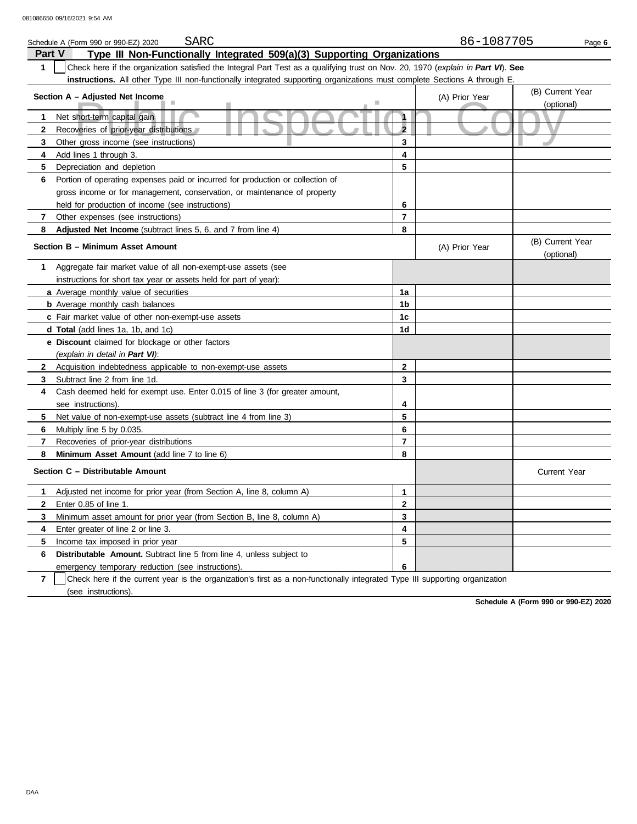|              | SARC<br>Schedule A (Form 990 or 990-EZ) 2020                                                                                     |                | 86-1087705     | Page 6                         |
|--------------|----------------------------------------------------------------------------------------------------------------------------------|----------------|----------------|--------------------------------|
| Part V       | Type III Non-Functionally Integrated 509(a)(3) Supporting Organizations                                                          |                |                |                                |
| 1            | Check here if the organization satisfied the Integral Part Test as a qualifying trust on Nov. 20, 1970 (explain in Part VI). See |                |                |                                |
|              | instructions. All other Type III non-functionally integrated supporting organizations must complete Sections A through E.        |                |                |                                |
|              | Section A - Adjusted Net Income                                                                                                  |                | (A) Prior Year | (B) Current Year               |
|              |                                                                                                                                  |                |                | (optional)                     |
| 1            | Net short-term capital gain                                                                                                      | 1              |                |                                |
| $\mathbf{2}$ | Recoveries of prior-year distributions                                                                                           | $\overline{2}$ |                |                                |
| 3            | Other gross income (see instructions)                                                                                            | 3              |                |                                |
| 4            | Add lines 1 through 3.                                                                                                           | 4              |                |                                |
| 5.           | Depreciation and depletion                                                                                                       | 5              |                |                                |
| 6            | Portion of operating expenses paid or incurred for production or collection of                                                   |                |                |                                |
|              | gross income or for management, conservation, or maintenance of property                                                         |                |                |                                |
|              | held for production of income (see instructions)                                                                                 | 6              |                |                                |
| 7            | Other expenses (see instructions)                                                                                                | $\overline{7}$ |                |                                |
| 8            | Adjusted Net Income (subtract lines 5, 6, and 7 from line 4)                                                                     | 8              |                |                                |
|              | Section B - Minimum Asset Amount                                                                                                 |                | (A) Prior Year | (B) Current Year<br>(optional) |
| 1.           | Aggregate fair market value of all non-exempt-use assets (see                                                                    |                |                |                                |
|              | instructions for short tax year or assets held for part of year):                                                                |                |                |                                |
|              | a Average monthly value of securities                                                                                            | 1a             |                |                                |
|              | <b>b</b> Average monthly cash balances                                                                                           | 1b             |                |                                |
|              | c Fair market value of other non-exempt-use assets                                                                               | 1 <sub>c</sub> |                |                                |
|              | d Total (add lines 1a, 1b, and 1c)                                                                                               | 1d             |                |                                |
|              | e Discount claimed for blockage or other factors                                                                                 |                |                |                                |
|              | (explain in detail in Part VI):                                                                                                  |                |                |                                |
| $\mathbf{2}$ | Acquisition indebtedness applicable to non-exempt-use assets                                                                     | $\mathbf{2}$   |                |                                |
| 3            | Subtract line 2 from line 1d.                                                                                                    | 3              |                |                                |
| 4            | Cash deemed held for exempt use. Enter 0.015 of line 3 (for greater amount,                                                      |                |                |                                |
|              | see instructions).                                                                                                               | 4              |                |                                |
| 5.           | Net value of non-exempt-use assets (subtract line 4 from line 3)                                                                 | 5              |                |                                |
| 6            | Multiply line 5 by 0.035.                                                                                                        | 6              |                |                                |
| 7            | Recoveries of prior-year distributions                                                                                           | $\overline{7}$ |                |                                |
| 8            | Minimum Asset Amount (add line 7 to line 6)                                                                                      | 8              |                |                                |
|              | Section C - Distributable Amount                                                                                                 |                |                | <b>Current Year</b>            |
| 1            | Adjusted net income for prior year (from Section A, line 8, column A)                                                            | $\mathbf{1}$   |                |                                |
| $\mathbf{2}$ | Enter 0.85 of line 1.                                                                                                            | $\mathbf{2}$   |                |                                |
| 3            | Minimum asset amount for prior year (from Section B, line 8, column A)                                                           | 3              |                |                                |
| 4            | Enter greater of line 2 or line 3.                                                                                               | 4              |                |                                |
| 5            | Income tax imposed in prior year                                                                                                 | 5              |                |                                |
| 6            | <b>Distributable Amount.</b> Subtract line 5 from line 4, unless subject to                                                      |                |                |                                |
|              | emergency temporary reduction (see instructions).                                                                                | 6              |                |                                |

**7** | Check here if the current year is the organization's first as a non-functionally integrated Type III supporting organization (see instructions).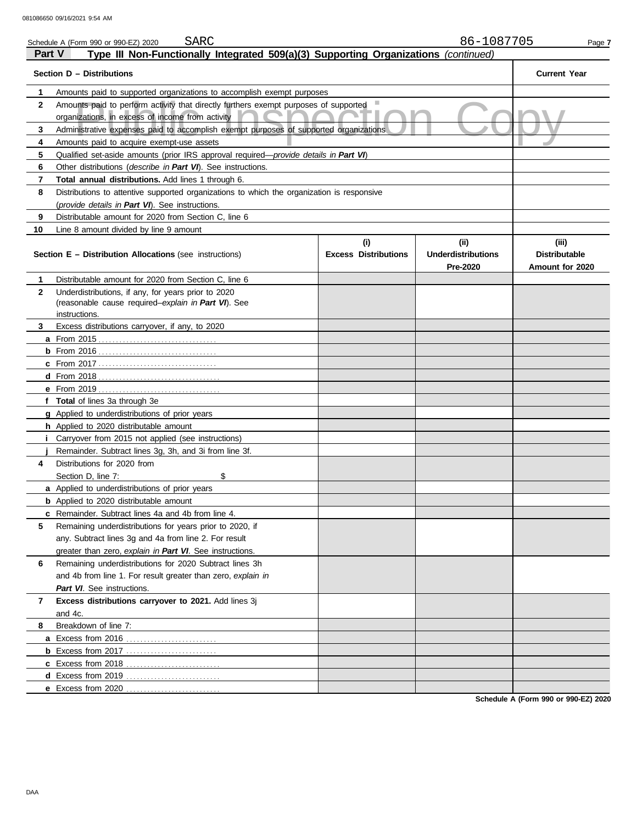|               | 86-1087705<br>SARC<br>Schedule A (Form 990 or 990-EZ) 2020<br>Page 7                                       |                                    |                                                      |                                                  |  |  |
|---------------|------------------------------------------------------------------------------------------------------------|------------------------------------|------------------------------------------------------|--------------------------------------------------|--|--|
| <b>Part V</b> | Type III Non-Functionally Integrated 509(a)(3) Supporting Organizations (continued)                        |                                    |                                                      |                                                  |  |  |
|               | Section D - Distributions                                                                                  |                                    |                                                      | <b>Current Year</b>                              |  |  |
| 1             | Amounts paid to supported organizations to accomplish exempt purposes                                      |                                    |                                                      |                                                  |  |  |
| $\mathbf{2}$  | Amounts paid to perform activity that directly furthers exempt purposes of supported                       |                                    |                                                      |                                                  |  |  |
|               | organizations, in excess of income from activity                                                           |                                    |                                                      |                                                  |  |  |
| 3             | Administrative expenses paid to accomplish exempt purposes of supported organizations                      |                                    |                                                      |                                                  |  |  |
| 4             | Amounts paid to acquire exempt-use assets                                                                  |                                    |                                                      |                                                  |  |  |
| 5             | Qualified set-aside amounts (prior IRS approval required—provide details in Part VI)                       |                                    |                                                      |                                                  |  |  |
| 6             | Other distributions (describe in Part VI). See instructions.                                               |                                    |                                                      |                                                  |  |  |
| 7             | Total annual distributions. Add lines 1 through 6.                                                         |                                    |                                                      |                                                  |  |  |
| 8             | Distributions to attentive supported organizations to which the organization is responsive                 |                                    |                                                      |                                                  |  |  |
|               | (provide details in Part VI). See instructions.                                                            |                                    |                                                      |                                                  |  |  |
| 9             | Distributable amount for 2020 from Section C, line 6                                                       |                                    |                                                      |                                                  |  |  |
| 10            | Line 8 amount divided by line 9 amount                                                                     |                                    |                                                      |                                                  |  |  |
|               | <b>Section E - Distribution Allocations (see instructions)</b>                                             | (i)<br><b>Excess Distributions</b> | (ii)<br><b>Underdistributions</b><br><b>Pre-2020</b> | (iii)<br><b>Distributable</b><br>Amount for 2020 |  |  |
| 1             | Distributable amount for 2020 from Section C, line 6                                                       |                                    |                                                      |                                                  |  |  |
| $\mathbf{2}$  | Underdistributions, if any, for years prior to 2020<br>(reasonable cause required-explain in Part VI). See |                                    |                                                      |                                                  |  |  |
| 3             | instructions.<br>Excess distributions carryover, if any, to 2020                                           |                                    |                                                      |                                                  |  |  |
|               |                                                                                                            |                                    |                                                      |                                                  |  |  |
|               |                                                                                                            |                                    |                                                      |                                                  |  |  |
|               |                                                                                                            |                                    |                                                      |                                                  |  |  |
|               |                                                                                                            |                                    |                                                      |                                                  |  |  |
|               | <b>e</b> From 2019                                                                                         |                                    |                                                      |                                                  |  |  |
|               | f Total of lines 3a through 3e                                                                             |                                    |                                                      |                                                  |  |  |
|               | g Applied to underdistributions of prior years                                                             |                                    |                                                      |                                                  |  |  |
|               | h Applied to 2020 distributable amount                                                                     |                                    |                                                      |                                                  |  |  |
|               | Carryover from 2015 not applied (see instructions)                                                         |                                    |                                                      |                                                  |  |  |
|               | Remainder. Subtract lines 3q, 3h, and 3i from line 3f.                                                     |                                    |                                                      |                                                  |  |  |
| 4             | Distributions for 2020 from                                                                                |                                    |                                                      |                                                  |  |  |
|               | Section D, line 7:<br>\$                                                                                   |                                    |                                                      |                                                  |  |  |
|               | a Applied to underdistributions of prior years                                                             |                                    |                                                      |                                                  |  |  |
|               | <b>b</b> Applied to 2020 distributable amount                                                              |                                    |                                                      |                                                  |  |  |
|               | c Remainder. Subtract lines 4a and 4b from line 4.                                                         |                                    |                                                      |                                                  |  |  |
| 5             | Remaining underdistributions for years prior to 2020, if                                                   |                                    |                                                      |                                                  |  |  |
|               | any. Subtract lines 3g and 4a from line 2. For result                                                      |                                    |                                                      |                                                  |  |  |
|               | greater than zero, explain in Part VI. See instructions.                                                   |                                    |                                                      |                                                  |  |  |
| 6             | Remaining underdistributions for 2020 Subtract lines 3h                                                    |                                    |                                                      |                                                  |  |  |
|               | and 4b from line 1. For result greater than zero, explain in                                               |                                    |                                                      |                                                  |  |  |
|               | Part VI. See instructions.                                                                                 |                                    |                                                      |                                                  |  |  |
| 7             | Excess distributions carryover to 2021. Add lines 3j                                                       |                                    |                                                      |                                                  |  |  |
|               | and 4c.                                                                                                    |                                    |                                                      |                                                  |  |  |
| 8             | Breakdown of line 7:                                                                                       |                                    |                                                      |                                                  |  |  |
|               | a Excess from 2016                                                                                         |                                    |                                                      |                                                  |  |  |
|               |                                                                                                            |                                    |                                                      |                                                  |  |  |
|               | <b>c</b> Excess from 2018                                                                                  |                                    |                                                      |                                                  |  |  |
|               | d Excess from 2019.                                                                                        |                                    |                                                      |                                                  |  |  |
|               | e Excess from 2020                                                                                         |                                    |                                                      |                                                  |  |  |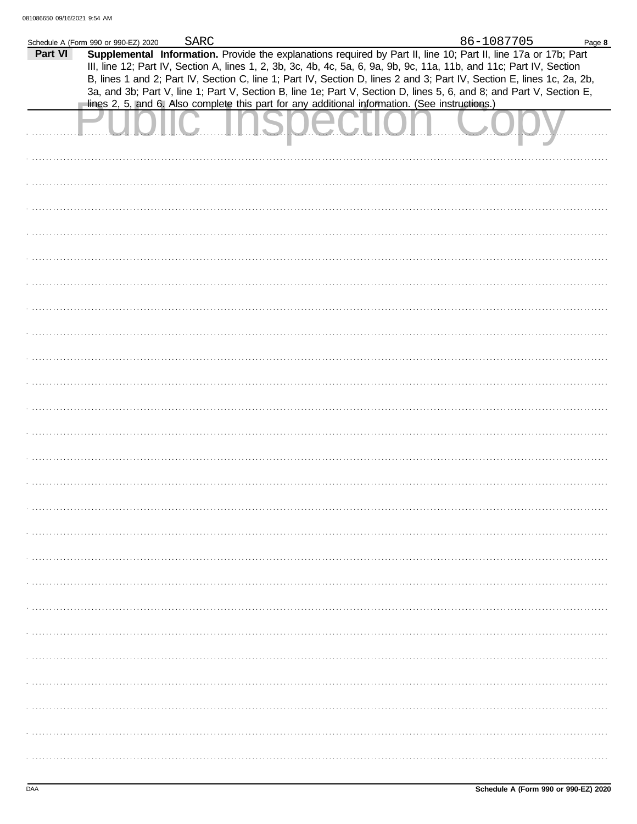| Part VI | Schedule A (Form 990 or 990-EZ) 2020 | <b>SARC</b> | Supplemental Information. Provide the explanations required by Part II, line 10; Part II, line 17a or 17b; Part                                                                                                                                | 86-1087705 | Page 8 |
|---------|--------------------------------------|-------------|------------------------------------------------------------------------------------------------------------------------------------------------------------------------------------------------------------------------------------------------|------------|--------|
|         |                                      |             | III, line 12; Part IV, Section A, lines 1, 2, 3b, 3c, 4b, 4c, 5a, 6, 9a, 9b, 9c, 11a, 11b, and 11c; Part IV, Section<br>B, lines 1 and 2; Part IV, Section C, line 1; Part IV, Section D, lines 2 and 3; Part IV, Section E, lines 1c, 2a, 2b, |            |        |
|         |                                      |             | 3a, and 3b; Part V, line 1; Part V, Section B, line 1e; Part V, Section D, lines 5, 6, and 8; and Part V, Section E,<br>lines 2, 5, and 6. Also complete this part for any additional information. (See instructions.)                         |            |        |
|         |                                      |             |                                                                                                                                                                                                                                                |            |        |
|         |                                      |             |                                                                                                                                                                                                                                                |            |        |
|         |                                      |             |                                                                                                                                                                                                                                                |            |        |
|         |                                      |             |                                                                                                                                                                                                                                                |            |        |
|         |                                      |             |                                                                                                                                                                                                                                                |            |        |
|         |                                      |             |                                                                                                                                                                                                                                                |            |        |
|         |                                      |             |                                                                                                                                                                                                                                                |            |        |
|         |                                      |             |                                                                                                                                                                                                                                                |            |        |
|         |                                      |             |                                                                                                                                                                                                                                                |            |        |
|         |                                      |             |                                                                                                                                                                                                                                                |            |        |
|         |                                      |             |                                                                                                                                                                                                                                                |            |        |
|         |                                      |             |                                                                                                                                                                                                                                                |            |        |
|         |                                      |             |                                                                                                                                                                                                                                                |            |        |
|         |                                      |             |                                                                                                                                                                                                                                                |            |        |
|         |                                      |             |                                                                                                                                                                                                                                                |            |        |
|         |                                      |             |                                                                                                                                                                                                                                                |            |        |
|         |                                      |             |                                                                                                                                                                                                                                                |            |        |
|         |                                      |             |                                                                                                                                                                                                                                                |            |        |
|         |                                      |             |                                                                                                                                                                                                                                                |            |        |
|         |                                      |             |                                                                                                                                                                                                                                                |            |        |
|         |                                      |             |                                                                                                                                                                                                                                                |            |        |
|         |                                      |             |                                                                                                                                                                                                                                                |            |        |
|         |                                      |             |                                                                                                                                                                                                                                                |            |        |
|         |                                      |             |                                                                                                                                                                                                                                                |            |        |
|         |                                      |             |                                                                                                                                                                                                                                                |            |        |
|         |                                      |             |                                                                                                                                                                                                                                                |            |        |
|         |                                      |             |                                                                                                                                                                                                                                                |            |        |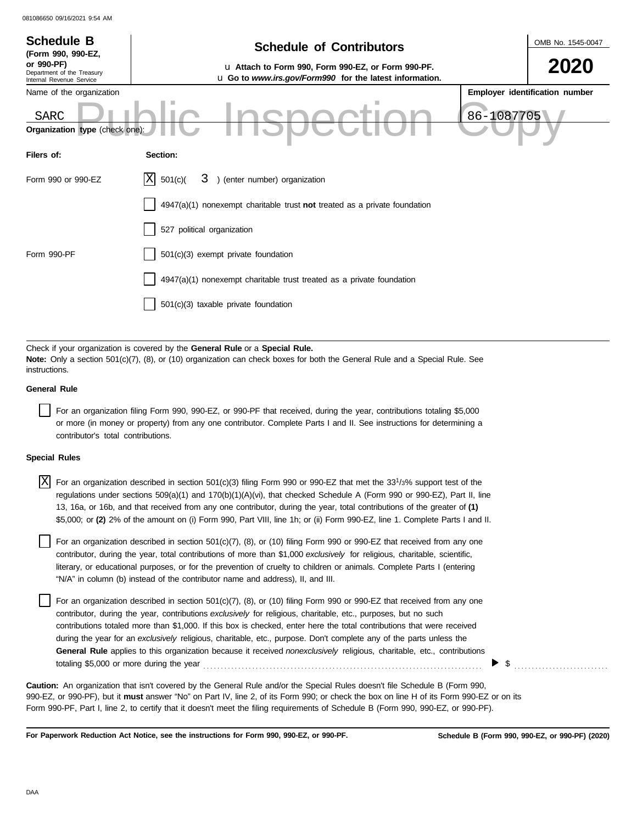| 081086650 09/16/2021 9:54 AM                                                                                                                                                                                                                                                                                                                                                                                                                                                                                     |                                                                                                                                                                                                                                                                                                                                                                                                                                                                |                                |  |  |  |  |
|------------------------------------------------------------------------------------------------------------------------------------------------------------------------------------------------------------------------------------------------------------------------------------------------------------------------------------------------------------------------------------------------------------------------------------------------------------------------------------------------------------------|----------------------------------------------------------------------------------------------------------------------------------------------------------------------------------------------------------------------------------------------------------------------------------------------------------------------------------------------------------------------------------------------------------------------------------------------------------------|--------------------------------|--|--|--|--|
| <b>Schedule B</b>                                                                                                                                                                                                                                                                                                                                                                                                                                                                                                | <b>Schedule of Contributors</b>                                                                                                                                                                                                                                                                                                                                                                                                                                | OMB No. 1545-0047              |  |  |  |  |
| (Form 990, 990-EZ,<br>or 990-PF)<br>Department of the Treasury<br>Internal Revenue Service                                                                                                                                                                                                                                                                                                                                                                                                                       | u Attach to Form 990, Form 990-EZ, or Form 990-PF.<br>u Go to www.irs.gov/Form990 for the latest information.                                                                                                                                                                                                                                                                                                                                                  |                                |  |  |  |  |
| Name of the organization<br><b>SARC</b><br>Organization type (check one)                                                                                                                                                                                                                                                                                                                                                                                                                                         | 86-1087705                                                                                                                                                                                                                                                                                                                                                                                                                                                     | Employer identification number |  |  |  |  |
| Filers of:                                                                                                                                                                                                                                                                                                                                                                                                                                                                                                       | Section:                                                                                                                                                                                                                                                                                                                                                                                                                                                       |                                |  |  |  |  |
| 3 ) (enter number) organization<br>ΙXΙ<br>Form 990 or 990-EZ<br>501(c)                                                                                                                                                                                                                                                                                                                                                                                                                                           |                                                                                                                                                                                                                                                                                                                                                                                                                                                                |                                |  |  |  |  |
|                                                                                                                                                                                                                                                                                                                                                                                                                                                                                                                  | $4947(a)(1)$ nonexempt charitable trust not treated as a private foundation                                                                                                                                                                                                                                                                                                                                                                                    |                                |  |  |  |  |
|                                                                                                                                                                                                                                                                                                                                                                                                                                                                                                                  | 527 political organization                                                                                                                                                                                                                                                                                                                                                                                                                                     |                                |  |  |  |  |
| Form 990-PF                                                                                                                                                                                                                                                                                                                                                                                                                                                                                                      | 501(c)(3) exempt private foundation                                                                                                                                                                                                                                                                                                                                                                                                                            |                                |  |  |  |  |
| 4947(a)(1) nonexempt charitable trust treated as a private foundation                                                                                                                                                                                                                                                                                                                                                                                                                                            |                                                                                                                                                                                                                                                                                                                                                                                                                                                                |                                |  |  |  |  |
|                                                                                                                                                                                                                                                                                                                                                                                                                                                                                                                  | 501(c)(3) taxable private foundation                                                                                                                                                                                                                                                                                                                                                                                                                           |                                |  |  |  |  |
|                                                                                                                                                                                                                                                                                                                                                                                                                                                                                                                  |                                                                                                                                                                                                                                                                                                                                                                                                                                                                |                                |  |  |  |  |
| instructions.                                                                                                                                                                                                                                                                                                                                                                                                                                                                                                    | Check if your organization is covered by the General Rule or a Special Rule.<br>Note: Only a section $501(c)(7)$ , (8), or (10) organization can check boxes for both the General Rule and a Special Rule. See                                                                                                                                                                                                                                                 |                                |  |  |  |  |
| <b>General Rule</b>                                                                                                                                                                                                                                                                                                                                                                                                                                                                                              |                                                                                                                                                                                                                                                                                                                                                                                                                                                                |                                |  |  |  |  |
| For an organization filing Form 990, 990-EZ, or 990-PF that received, during the year, contributions totaling \$5,000<br>or more (in money or property) from any one contributor. Complete Parts I and II. See instructions for determining a<br>contributor's total contributions.                                                                                                                                                                                                                              |                                                                                                                                                                                                                                                                                                                                                                                                                                                                |                                |  |  |  |  |
| <b>Special Rules</b>                                                                                                                                                                                                                                                                                                                                                                                                                                                                                             |                                                                                                                                                                                                                                                                                                                                                                                                                                                                |                                |  |  |  |  |
| ΙX<br>For an organization described in section 501(c)(3) filing Form 990 or 990-EZ that met the $331/3%$ support test of the<br>regulations under sections 509(a)(1) and 170(b)(1)(A)(vi), that checked Schedule A (Form 990 or 990-EZ), Part II, line<br>13, 16a, or 16b, and that received from any one contributor, during the year, total contributions of the greater of (1)<br>\$5,000; or (2) 2% of the amount on (i) Form 990, Part VIII, line 1h; or (ii) Form 990-EZ, line 1. Complete Parts I and II. |                                                                                                                                                                                                                                                                                                                                                                                                                                                                |                                |  |  |  |  |
|                                                                                                                                                                                                                                                                                                                                                                                                                                                                                                                  | For an organization described in section 501(c)(7), (8), or (10) filing Form 990 or 990-EZ that received from any one<br>contributor, during the year, total contributions of more than \$1,000 exclusively for religious, charitable, scientific,<br>literary, or educational purposes, or for the prevention of cruelty to children or animals. Complete Parts I (entering<br>"N/A" in column (b) instead of the contributor name and address), II, and III. |                                |  |  |  |  |

For an organization described in section 501(c)(7), (8), or (10) filing Form 990 or 990-EZ that received from any one contributor, during the year, contributions *exclusively* for religious, charitable, etc., purposes, but no such contributions totaled more than \$1,000. If this box is checked, enter here the total contributions that were received during the year for an *exclusively* religious, charitable, etc., purpose. Don't complete any of the parts unless the **General Rule** applies to this organization because it received *nonexclusively* religious, charitable, etc., contributions totaling \$5,000 or more during the year . . . . . . . . . . . . . . . . . . . . . . . . . . . . . . . . . . . . . . . . . . . . . . . . . . . . . . . . . . . . . . . . . . . . . . . . . . . . . . . .

990-EZ, or 990-PF), but it **must** answer "No" on Part IV, line 2, of its Form 990; or check the box on line H of its Form 990-EZ or on its Form 990-PF, Part I, line 2, to certify that it doesn't meet the filing requirements of Schedule B (Form 990, 990-EZ, or 990-PF). **Caution:** An organization that isn't covered by the General Rule and/or the Special Rules doesn't file Schedule B (Form 990,

**For Paperwork Reduction Act Notice, see the instructions for Form 990, 990-EZ, or 990-PF.**

**Schedule B (Form 990, 990-EZ, or 990-PF) (2020)**

 $\triangleright$  \$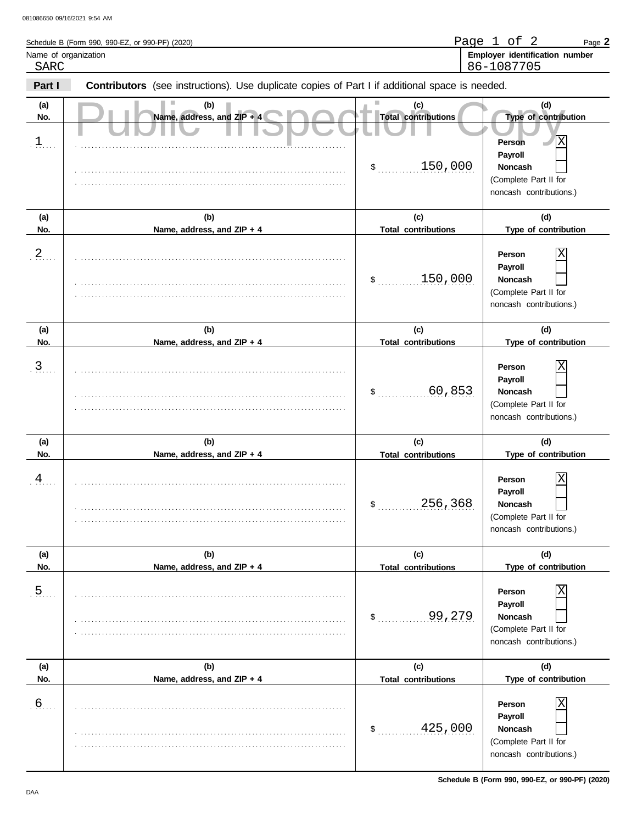| Schedule B (Form 990, 990-EZ, or 990-PF) (2020) | Page<br>∩t<br>Page $\blacktriangle$ |
|-------------------------------------------------|-------------------------------------|
| Name of organization                            | Employer identification number      |
| SARC                                            | 86-1087705                          |

| Part I                  | <b>Contributors</b> (see instructions). Use duplicate copies of Part I if additional space is needed. |                                                        |                                                                                                                      |
|-------------------------|-------------------------------------------------------------------------------------------------------|--------------------------------------------------------|----------------------------------------------------------------------------------------------------------------------|
| (a)<br>No.              | (b)<br>Name, address, and ZIP + 4                                                                     | (c)<br><b>Total contributions</b>                      | (d)<br>Type of contribution                                                                                          |
| $1$                     |                                                                                                       | 150,000<br>$\frac{1}{2}$                               | $\overline{\text{X}}$<br>Person<br>Payroll<br><b>Noncash</b><br>(Complete Part II for<br>noncash contributions.)     |
| (a)                     | (b)                                                                                                   | (c)                                                    | (d)                                                                                                                  |
| No.<br>$\overline{a}$ . | Name, address, and ZIP + 4                                                                            | <b>Total contributions</b><br>150,000<br>$\frac{1}{2}$ | Type of contribution<br>X<br>Person<br>Payroll<br><b>Noncash</b><br>(Complete Part II for<br>noncash contributions.) |
| (a)                     | (b)                                                                                                   | (c)                                                    | (d)                                                                                                                  |
| No.<br>$\mathbf{3}$ .   | Name, address, and ZIP + 4                                                                            | <b>Total contributions</b><br>60,853<br>\$             | Type of contribution<br>X<br>Person<br>Payroll<br>Noncash<br>(Complete Part II for<br>noncash contributions.)        |
| (a)<br>No.              | (b)<br>Name, address, and ZIP + 4                                                                     | (c)<br><b>Total contributions</b>                      | (d)<br>Type of contribution                                                                                          |
| $\frac{4}{1}$           |                                                                                                       | 256,368<br>$\mathsf{\$}$                               | Χ<br>Person<br>Payroll<br>Noncash<br>(Complete Part II for<br>noncash contributions.)                                |
| (a)<br>No.              | (b)<br>Name, address, and ZIP + 4                                                                     | (c)<br><b>Total contributions</b>                      | (d)<br>Type of contribution                                                                                          |
| $\overline{5}$ .        |                                                                                                       | 99,279<br>$\frac{1}{2}$                                | X<br>Person<br>Payroll<br>Noncash<br>(Complete Part II for<br>noncash contributions.)                                |
| (a)<br>No.              | (b)<br>Name, address, and ZIP + 4                                                                     | (c)<br><b>Total contributions</b>                      | (d)<br>Type of contribution                                                                                          |
| $6 \overline{6}$        |                                                                                                       | 425,000<br>$\frac{1}{2}$                               | X<br>Person<br>Payroll<br>Noncash<br>(Complete Part II for<br>noncash contributions.)                                |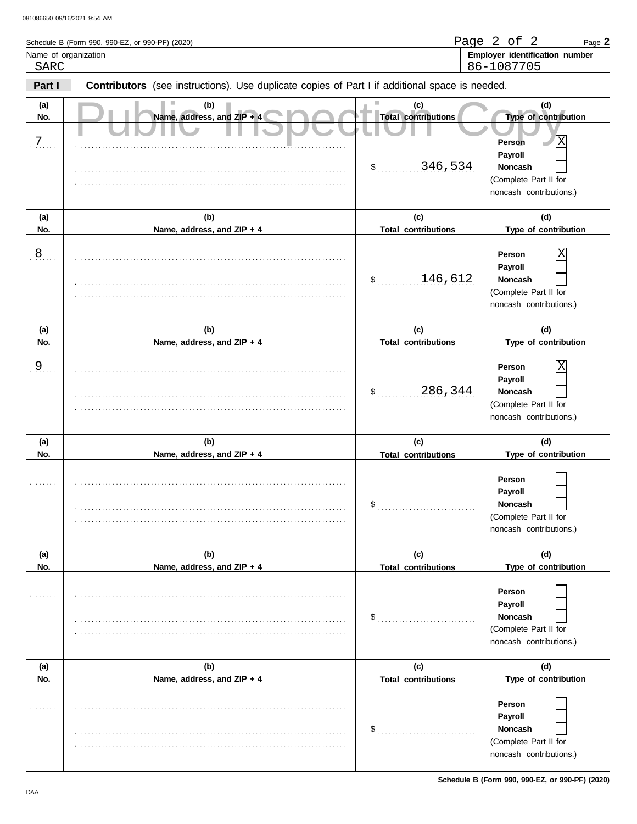| Schedule B (Form 990, 990-EZ, or 990-PF) (2020) | Page<br>$\sim$ $+$<br>Page $\mathbb{Z}$ |
|-------------------------------------------------|-----------------------------------------|
| Name of organization                            | Employer identification number          |
| SARC                                            | 86-1087705                              |

| Part I         | Contributors (see instructions). Use duplicate copies of Part I if additional space is needed. |                                   |                                                                                                                  |  |  |  |  |  |  |
|----------------|------------------------------------------------------------------------------------------------|-----------------------------------|------------------------------------------------------------------------------------------------------------------|--|--|--|--|--|--|
| (a)<br>No.     | (b)<br>Name, address, and ZIP + 4                                                              | (c)<br><b>Total contributions</b> | (d)<br>Type of contribution                                                                                      |  |  |  |  |  |  |
| $\overline{7}$ |                                                                                                | 346,534<br>$\sim$                 | $\overline{\text{X}}$<br>Person<br>Payroll<br><b>Noncash</b><br>(Complete Part II for<br>noncash contributions.) |  |  |  |  |  |  |
| (a)            | (b)                                                                                            | (c)                               | (d)                                                                                                              |  |  |  |  |  |  |
| No.            | Name, address, and ZIP + 4                                                                     | <b>Total contributions</b>        | Type of contribution                                                                                             |  |  |  |  |  |  |
| 8              |                                                                                                | 146,612<br>\$                     | Χ<br>Person<br>Payroll<br><b>Noncash</b><br>(Complete Part II for<br>noncash contributions.)                     |  |  |  |  |  |  |
| (a)            | (b)                                                                                            | (c)                               | (d)                                                                                                              |  |  |  |  |  |  |
| No.            | Name, address, and ZIP + 4                                                                     | <b>Total contributions</b>        | Type of contribution                                                                                             |  |  |  |  |  |  |
| 9              |                                                                                                | 286,344<br>\$                     | Χ<br>Person<br>Payroll<br><b>Noncash</b><br>(Complete Part II for<br>noncash contributions.)                     |  |  |  |  |  |  |
| (a)            | (b)                                                                                            | (c)                               | (d)                                                                                                              |  |  |  |  |  |  |
| No.            | Name, address, and ZIP + 4                                                                     | <b>Total contributions</b><br>\$  | Type of contribution<br>Person<br>Payroll<br><b>Noncash</b><br>(Complete Part II for<br>noncash contributions.)  |  |  |  |  |  |  |
| (a)            | (b)                                                                                            | (c)                               | (d)                                                                                                              |  |  |  |  |  |  |
| No.            | Name, address, and ZIP + 4                                                                     | <b>Total contributions</b><br>\$  | Type of contribution<br>Person<br>Payroll<br>Noncash<br>(Complete Part II for<br>noncash contributions.)         |  |  |  |  |  |  |
| (a)            | (b)                                                                                            | (c)                               | (d)                                                                                                              |  |  |  |  |  |  |
| No.            | Name, address, and ZIP + 4                                                                     | <b>Total contributions</b>        | Type of contribution                                                                                             |  |  |  |  |  |  |
|                |                                                                                                | \$                                | Person<br>Payroll<br>Noncash<br>(Complete Part II for<br>noncash contributions.)                                 |  |  |  |  |  |  |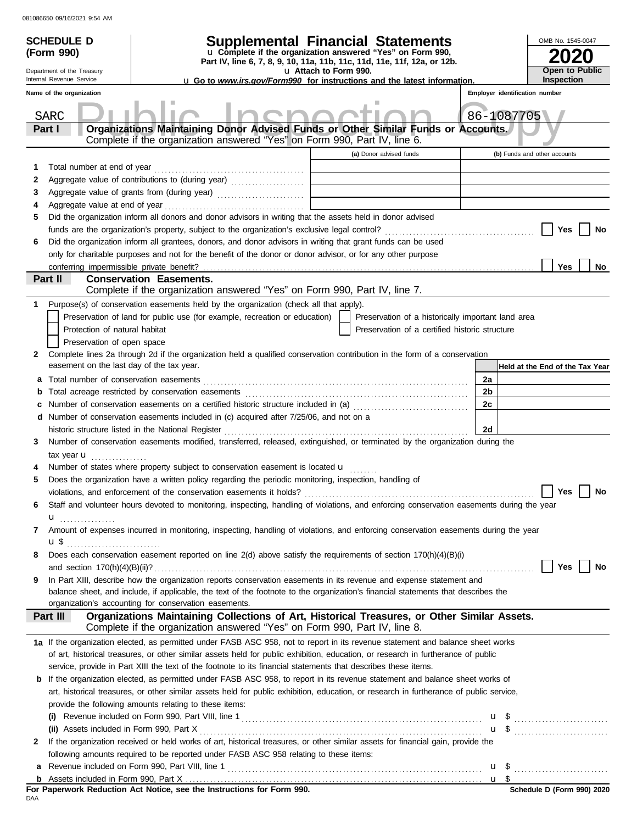|              | <b>SCHEDULE D</b><br>(Form 990)<br>Department of the Treasury                                                                           |                                                                                                                                                                | OMB No. 1545-0047<br>Open to Public |                                                    |                |                                 |  |  |
|--------------|-----------------------------------------------------------------------------------------------------------------------------------------|----------------------------------------------------------------------------------------------------------------------------------------------------------------|-------------------------------------|----------------------------------------------------|----------------|---------------------------------|--|--|
|              | Internal Revenue Service                                                                                                                | <b>u</b> Go to <i>www.irs.gov/Form990</i> for instructions and the latest information.                                                                         |                                     |                                                    |                | <b>Inspection</b>               |  |  |
|              | Name of the organization                                                                                                                |                                                                                                                                                                |                                     |                                                    |                | Employer identification number  |  |  |
|              | <b>SARC</b>                                                                                                                             |                                                                                                                                                                | 86-1087705                          |                                                    |                |                                 |  |  |
|              | Part I                                                                                                                                  |                                                                                                                                                                |                                     |                                                    |                |                                 |  |  |
|              |                                                                                                                                         | Organizations Maintaining Donor Advised Funds or Other Similar Funds or Accounts.<br>Complete if the organization answered "Yes" on Form 990, Part IV, line 6. |                                     |                                                    |                |                                 |  |  |
|              |                                                                                                                                         |                                                                                                                                                                |                                     | (a) Donor advised funds                            |                | (b) Funds and other accounts    |  |  |
| 1            | Total number at end of year                                                                                                             |                                                                                                                                                                |                                     |                                                    |                |                                 |  |  |
| 2            |                                                                                                                                         |                                                                                                                                                                |                                     |                                                    |                |                                 |  |  |
| 3            |                                                                                                                                         |                                                                                                                                                                |                                     |                                                    |                |                                 |  |  |
| 4            |                                                                                                                                         |                                                                                                                                                                |                                     |                                                    |                |                                 |  |  |
| 5            |                                                                                                                                         | Did the organization inform all donors and donor advisors in writing that the assets held in donor advised                                                     |                                     |                                                    |                |                                 |  |  |
|              |                                                                                                                                         |                                                                                                                                                                |                                     |                                                    |                | Yes<br>No                       |  |  |
| 6            |                                                                                                                                         | Did the organization inform all grantees, donors, and donor advisors in writing that grant funds can be used                                                   |                                     |                                                    |                |                                 |  |  |
|              |                                                                                                                                         | only for charitable purposes and not for the benefit of the donor or donor advisor, or for any other purpose                                                   |                                     |                                                    |                |                                 |  |  |
|              |                                                                                                                                         |                                                                                                                                                                |                                     |                                                    |                | Yes<br>No                       |  |  |
|              | Part II                                                                                                                                 | <b>Conservation Easements.</b>                                                                                                                                 |                                     |                                                    |                |                                 |  |  |
|              |                                                                                                                                         | Complete if the organization answered "Yes" on Form 990, Part IV, line 7.                                                                                      |                                     |                                                    |                |                                 |  |  |
| 1            |                                                                                                                                         | Purpose(s) of conservation easements held by the organization (check all that apply).                                                                          |                                     |                                                    |                |                                 |  |  |
|              |                                                                                                                                         | Preservation of land for public use (for example, recreation or education)                                                                                     |                                     | Preservation of a historically important land area |                |                                 |  |  |
|              | Protection of natural habitat<br>Preservation of open space                                                                             |                                                                                                                                                                |                                     | Preservation of a certified historic structure     |                |                                 |  |  |
| $\mathbf{2}$ |                                                                                                                                         | Complete lines 2a through 2d if the organization held a qualified conservation contribution in the form of a conservation                                      |                                     |                                                    |                |                                 |  |  |
|              | easement on the last day of the tax year.                                                                                               |                                                                                                                                                                |                                     |                                                    |                | Held at the End of the Tax Year |  |  |
| a            |                                                                                                                                         |                                                                                                                                                                |                                     |                                                    | 2a             |                                 |  |  |
| b            |                                                                                                                                         |                                                                                                                                                                |                                     |                                                    | 2 <sub>b</sub> |                                 |  |  |
| c            |                                                                                                                                         | Number of conservation easements on a certified historic structure included in (a) [[[[[ [ [ ]]]                                                               |                                     |                                                    | 2c             |                                 |  |  |
|              |                                                                                                                                         | d Number of conservation easements included in (c) acquired after 7/25/06, and not on a                                                                        |                                     |                                                    |                |                                 |  |  |
|              |                                                                                                                                         | historic structure listed in the National Register                                                                                                             |                                     |                                                    | 2d             |                                 |  |  |
| 3            |                                                                                                                                         | Number of conservation easements modified, transferred, released, extinguished, or terminated by the organization during the                                   |                                     |                                                    |                |                                 |  |  |
|              | tax year <b>u</b><br>.                                                                                                                  |                                                                                                                                                                |                                     |                                                    |                |                                 |  |  |
|              |                                                                                                                                         | Number of states where property subject to conservation easement is located u                                                                                  |                                     |                                                    |                |                                 |  |  |
| 5            |                                                                                                                                         | Does the organization have a written policy regarding the periodic monitoring, inspection, handling of                                                         |                                     |                                                    |                |                                 |  |  |
|              |                                                                                                                                         | violations, and enforcement of the conservation easements it holds?                                                                                            |                                     |                                                    |                | Yes<br>No                       |  |  |
| 6            |                                                                                                                                         | Staff and volunteer hours devoted to monitoring, inspecting, handling of violations, and enforcing conservation easements during the year                      |                                     |                                                    |                |                                 |  |  |
|              | u <sub></sub>                                                                                                                           |                                                                                                                                                                |                                     |                                                    |                |                                 |  |  |
| 7            |                                                                                                                                         | Amount of expenses incurred in monitoring, inspecting, handling of violations, and enforcing conservation easements during the year                            |                                     |                                                    |                |                                 |  |  |
|              |                                                                                                                                         |                                                                                                                                                                |                                     |                                                    |                |                                 |  |  |
| 8            |                                                                                                                                         | Does each conservation easement reported on line 2(d) above satisfy the requirements of section 170(h)(4)(B)(i)                                                |                                     |                                                    |                | Yes<br>No                       |  |  |
| 9            |                                                                                                                                         | In Part XIII, describe how the organization reports conservation easements in its revenue and expense statement and                                            |                                     |                                                    |                |                                 |  |  |
|              |                                                                                                                                         | balance sheet, and include, if applicable, the text of the footnote to the organization's financial statements that describes the                              |                                     |                                                    |                |                                 |  |  |
|              |                                                                                                                                         | organization's accounting for conservation easements.                                                                                                          |                                     |                                                    |                |                                 |  |  |
|              | Part III                                                                                                                                | Organizations Maintaining Collections of Art, Historical Treasures, or Other Similar Assets.                                                                   |                                     |                                                    |                |                                 |  |  |
|              |                                                                                                                                         | Complete if the organization answered "Yes" on Form 990, Part IV, line 8.                                                                                      |                                     |                                                    |                |                                 |  |  |
|              |                                                                                                                                         | 1a If the organization elected, as permitted under FASB ASC 958, not to report in its revenue statement and balance sheet works                                |                                     |                                                    |                |                                 |  |  |
|              |                                                                                                                                         | of art, historical treasures, or other similar assets held for public exhibition, education, or research in furtherance of public                              |                                     |                                                    |                |                                 |  |  |
|              |                                                                                                                                         | service, provide in Part XIII the text of the footnote to its financial statements that describes these items.                                                 |                                     |                                                    |                |                                 |  |  |
| b            |                                                                                                                                         | If the organization elected, as permitted under FASB ASC 958, to report in its revenue statement and balance sheet works of                                    |                                     |                                                    |                |                                 |  |  |
|              | art, historical treasures, or other similar assets held for public exhibition, education, or research in furtherance of public service, |                                                                                                                                                                |                                     |                                                    |                |                                 |  |  |
|              |                                                                                                                                         | provide the following amounts relating to these items:                                                                                                         |                                     |                                                    |                |                                 |  |  |
|              |                                                                                                                                         |                                                                                                                                                                |                                     |                                                    |                |                                 |  |  |
|              |                                                                                                                                         |                                                                                                                                                                |                                     |                                                    |                | $\mathbf{u}$ \$                 |  |  |
| 2            |                                                                                                                                         | If the organization received or held works of art, historical treasures, or other similar assets for financial gain, provide the                               |                                     |                                                    |                |                                 |  |  |
|              |                                                                                                                                         | following amounts required to be reported under FASB ASC 958 relating to these items:                                                                          |                                     |                                                    |                |                                 |  |  |
| а            |                                                                                                                                         |                                                                                                                                                                |                                     |                                                    |                | $\frac{u \cdot \sin \theta}{2}$ |  |  |
|              |                                                                                                                                         |                                                                                                                                                                |                                     |                                                    |                |                                 |  |  |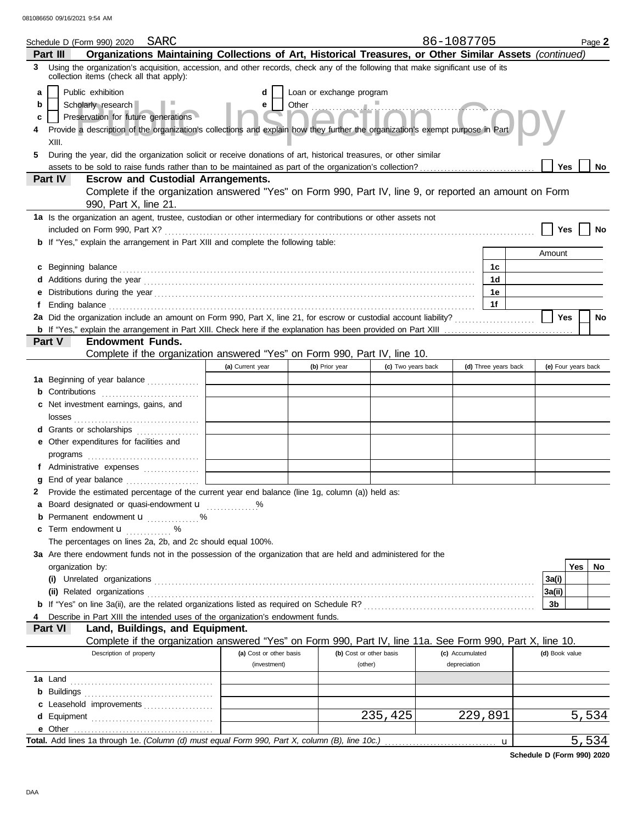|                        | SARC<br>Schedule D (Form 990) 2020                                                                                                                                                                                                                                                                                                                                                                                                                                   |                                              |                         |                    | 86-1087705      |                      |                | Page 2              |
|------------------------|----------------------------------------------------------------------------------------------------------------------------------------------------------------------------------------------------------------------------------------------------------------------------------------------------------------------------------------------------------------------------------------------------------------------------------------------------------------------|----------------------------------------------|-------------------------|--------------------|-----------------|----------------------|----------------|---------------------|
|                        | Organizations Maintaining Collections of Art, Historical Treasures, or Other Similar Assets (continued)<br>Part III                                                                                                                                                                                                                                                                                                                                                  |                                              |                         |                    |                 |                      |                |                     |
|                        | 3 Using the organization's acquisition, accession, and other records, check any of the following that make significant use of its<br>collection items (check all that apply):                                                                                                                                                                                                                                                                                        |                                              |                         |                    |                 |                      |                |                     |
| a<br>b<br>c<br>4<br>5. | Public exhibition<br>Loan or exchange program<br>d<br>Other $\frac{1}{2}$<br>Scholarly research<br>e<br>$in$ <sup><math>\sim</math></sup><br>Preservation for future generations<br>Provide a description of the organization's collections and explain how they further the organization's exempt purpose in Part<br>XIII.<br>During the year, did the organization solicit or receive donations of art, historical treasures, or other similar<br>Yes<br><b>No</b> |                                              |                         |                    |                 |                      |                |                     |
|                        | Part IV<br><b>Escrow and Custodial Arrangements.</b>                                                                                                                                                                                                                                                                                                                                                                                                                 |                                              |                         |                    |                 |                      |                |                     |
|                        | Complete if the organization answered "Yes" on Form 990, Part IV, line 9, or reported an amount on Form<br>990, Part X, line 21.                                                                                                                                                                                                                                                                                                                                     |                                              |                         |                    |                 |                      |                |                     |
|                        | 1a Is the organization an agent, trustee, custodian or other intermediary for contributions or other assets not                                                                                                                                                                                                                                                                                                                                                      |                                              |                         |                    |                 |                      |                |                     |
|                        |                                                                                                                                                                                                                                                                                                                                                                                                                                                                      |                                              |                         |                    |                 |                      | Yes            | No                  |
|                        | b If "Yes," explain the arrangement in Part XIII and complete the following table:                                                                                                                                                                                                                                                                                                                                                                                   |                                              |                         |                    |                 |                      | Amount         |                     |
|                        |                                                                                                                                                                                                                                                                                                                                                                                                                                                                      |                                              |                         |                    |                 |                      |                |                     |
| c                      | Beginning balance expressions and the contract of the contract of the contract of the contract of the contract of the contract of the contract of the contract of the contract of the contract of the contract of the contract                                                                                                                                                                                                                                       |                                              |                         |                    |                 | 1c<br>1d             |                |                     |
|                        |                                                                                                                                                                                                                                                                                                                                                                                                                                                                      |                                              |                         |                    |                 | 1e                   |                |                     |
| f                      |                                                                                                                                                                                                                                                                                                                                                                                                                                                                      |                                              |                         |                    |                 | 1f                   |                |                     |
|                        | 2a Did the organization include an amount on Form 990, Part X, line 21, for escrow or custodial account liability?                                                                                                                                                                                                                                                                                                                                                   |                                              |                         |                    |                 |                      | Yes            | No                  |
|                        |                                                                                                                                                                                                                                                                                                                                                                                                                                                                      |                                              |                         |                    |                 |                      |                |                     |
|                        | <b>Endowment Funds.</b><br>Part V                                                                                                                                                                                                                                                                                                                                                                                                                                    |                                              |                         |                    |                 |                      |                |                     |
|                        | Complete if the organization answered "Yes" on Form 990, Part IV, line 10.                                                                                                                                                                                                                                                                                                                                                                                           |                                              |                         |                    |                 |                      |                |                     |
|                        |                                                                                                                                                                                                                                                                                                                                                                                                                                                                      | (a) Current year                             | (b) Prior year          | (c) Two years back |                 | (d) Three years back |                | (e) Four years back |
|                        | 1a Beginning of year balance                                                                                                                                                                                                                                                                                                                                                                                                                                         | the control of the control of the control of |                         |                    |                 |                      |                |                     |
| b                      | Contributions <b>CONTRIBUTE:</b>                                                                                                                                                                                                                                                                                                                                                                                                                                     |                                              |                         |                    |                 |                      |                |                     |
| c                      | Net investment earnings, gains, and                                                                                                                                                                                                                                                                                                                                                                                                                                  |                                              |                         |                    |                 |                      |                |                     |
|                        | d Grants or scholarships                                                                                                                                                                                                                                                                                                                                                                                                                                             |                                              |                         |                    |                 |                      |                |                     |
|                        | e Other expenditures for facilities and                                                                                                                                                                                                                                                                                                                                                                                                                              |                                              |                         |                    |                 |                      |                |                     |
|                        |                                                                                                                                                                                                                                                                                                                                                                                                                                                                      |                                              |                         |                    |                 |                      |                |                     |
|                        | f Administrative expenses                                                                                                                                                                                                                                                                                                                                                                                                                                            |                                              |                         |                    |                 |                      |                |                     |
| g                      |                                                                                                                                                                                                                                                                                                                                                                                                                                                                      |                                              |                         |                    |                 |                      |                |                     |
| 2                      | Provide the estimated percentage of the current year end balance (line 1g, column (a)) held as:                                                                                                                                                                                                                                                                                                                                                                      |                                              |                         |                    |                 |                      |                |                     |
| a                      | Board designated or quasi-endowment u<br>Permanent endowment <b>u</b> %                                                                                                                                                                                                                                                                                                                                                                                              | %                                            |                         |                    |                 |                      |                |                     |
| c                      | Term endowment <b>u</b><br>$\%$                                                                                                                                                                                                                                                                                                                                                                                                                                      |                                              |                         |                    |                 |                      |                |                     |
|                        | The percentages on lines 2a, 2b, and 2c should equal 100%.                                                                                                                                                                                                                                                                                                                                                                                                           |                                              |                         |                    |                 |                      |                |                     |
|                        | 3a Are there endowment funds not in the possession of the organization that are held and administered for the                                                                                                                                                                                                                                                                                                                                                        |                                              |                         |                    |                 |                      |                |                     |
|                        | organization by:                                                                                                                                                                                                                                                                                                                                                                                                                                                     |                                              |                         |                    |                 |                      |                | Yes<br>No.          |
|                        |                                                                                                                                                                                                                                                                                                                                                                                                                                                                      |                                              |                         |                    |                 |                      | 3a(i)          |                     |
|                        |                                                                                                                                                                                                                                                                                                                                                                                                                                                                      |                                              |                         |                    |                 |                      | 3a(ii)         |                     |
|                        |                                                                                                                                                                                                                                                                                                                                                                                                                                                                      |                                              |                         |                    |                 |                      | 3b             |                     |
| 4                      | Describe in Part XIII the intended uses of the organization's endowment funds.                                                                                                                                                                                                                                                                                                                                                                                       |                                              |                         |                    |                 |                      |                |                     |
|                        | Land, Buildings, and Equipment.<br>Part VI<br>Complete if the organization answered "Yes" on Form 990, Part IV, line 11a. See Form 990, Part X, line 10.                                                                                                                                                                                                                                                                                                             |                                              |                         |                    |                 |                      |                |                     |
|                        | Description of property                                                                                                                                                                                                                                                                                                                                                                                                                                              | (a) Cost or other basis                      | (b) Cost or other basis |                    | (c) Accumulated |                      | (d) Book value |                     |
|                        |                                                                                                                                                                                                                                                                                                                                                                                                                                                                      | (investment)                                 | (other)                 |                    | depreciation    |                      |                |                     |
|                        |                                                                                                                                                                                                                                                                                                                                                                                                                                                                      |                                              |                         |                    |                 |                      |                |                     |
| b                      |                                                                                                                                                                                                                                                                                                                                                                                                                                                                      |                                              |                         |                    |                 |                      |                |                     |
|                        | Leasehold improvements                                                                                                                                                                                                                                                                                                                                                                                                                                               |                                              |                         |                    |                 |                      |                |                     |
| d                      |                                                                                                                                                                                                                                                                                                                                                                                                                                                                      |                                              |                         | 235,425            |                 | 229,891              |                | 5,534               |
|                        |                                                                                                                                                                                                                                                                                                                                                                                                                                                                      |                                              |                         |                    |                 |                      |                |                     |
|                        |                                                                                                                                                                                                                                                                                                                                                                                                                                                                      |                                              |                         |                    |                 | $\mathbf u$          |                | 5,534               |

**Schedule D (Form 990) 2020**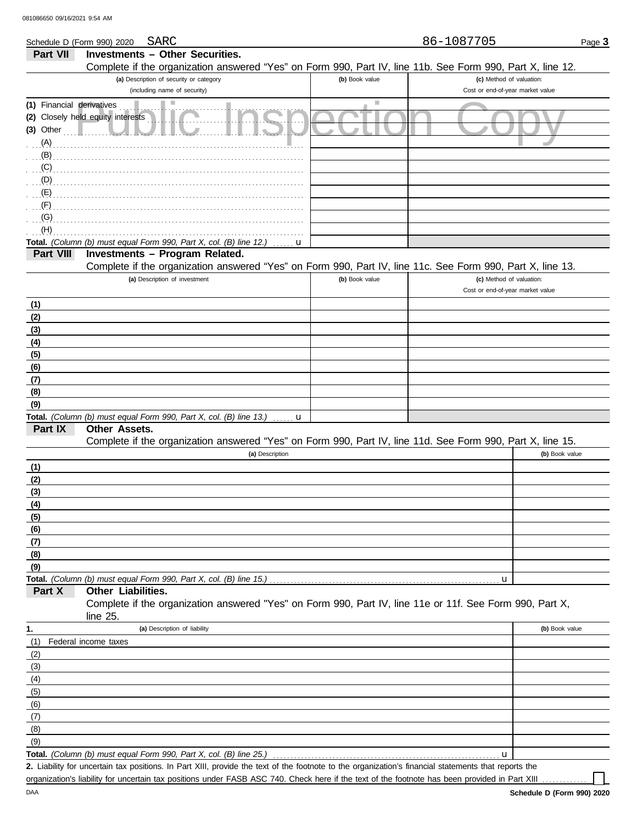| 081086650 09/16/2021 9:54 AM                    |                                                                                                            |                |                                                              |                |
|-------------------------------------------------|------------------------------------------------------------------------------------------------------------|----------------|--------------------------------------------------------------|----------------|
|                                                 | SARC<br>Schedule D (Form 990) 2020                                                                         |                | 86-1087705                                                   | Page 3         |
| <b>Part VII</b>                                 | <b>Investments - Other Securities.</b>                                                                     |                |                                                              |                |
|                                                 | Complete if the organization answered "Yes" on Form 990, Part IV, line 11b. See Form 990, Part X, line 12. |                |                                                              |                |
|                                                 | (a) Description of security or category                                                                    | (b) Book value | (c) Method of valuation:                                     |                |
|                                                 | (including name of security)                                                                               |                | Cost or end-of-year market value                             |                |
| (1) Financial derivatives<br>$(3)$ Other<br>(A) | ٠<br>(2) Closely held equity interests                                                                     | ш              |                                                              |                |
| (B)                                             |                                                                                                            |                |                                                              |                |
| (C)                                             |                                                                                                            |                |                                                              |                |
| (D)                                             |                                                                                                            |                |                                                              |                |
| (E)                                             |                                                                                                            |                |                                                              |                |
|                                                 |                                                                                                            |                |                                                              |                |
| (G)                                             |                                                                                                            |                |                                                              |                |
| (H)                                             |                                                                                                            |                |                                                              |                |
|                                                 | Total. (Column (b) must equal Form 990, Part X, col. (B) line 12.)<br>u                                    |                |                                                              |                |
| Part VIII                                       | Investments - Program Related.                                                                             |                |                                                              |                |
|                                                 | Complete if the organization answered "Yes" on Form 990, Part IV, line 11c. See Form 990, Part X, line 13. |                |                                                              |                |
|                                                 | (a) Description of investment                                                                              | (b) Book value | (c) Method of valuation:<br>Cost or end-of-year market value |                |
| (1)                                             |                                                                                                            |                |                                                              |                |
| (2)                                             |                                                                                                            |                |                                                              |                |
| (3)                                             |                                                                                                            |                |                                                              |                |
| (4)                                             |                                                                                                            |                |                                                              |                |
| (5)                                             |                                                                                                            |                |                                                              |                |
| (6)                                             |                                                                                                            |                |                                                              |                |
| (7)                                             |                                                                                                            |                |                                                              |                |
| (8)                                             |                                                                                                            |                |                                                              |                |
| (9)                                             |                                                                                                            |                |                                                              |                |
| Part IX                                         | Total. (Column (b) must equal Form 990, Part X, col. (B) line 13.)<br>$\mathbf u$<br>Other Assets.         |                |                                                              |                |
|                                                 | Complete if the organization answered "Yes" on Form 990, Part IV, line 11d. See Form 990, Part X, line 15. |                |                                                              |                |
|                                                 | (a) Description                                                                                            |                |                                                              | (b) Book value |
| (1)                                             |                                                                                                            |                |                                                              |                |
| <u>(2)</u>                                      |                                                                                                            |                |                                                              |                |
| (3)                                             |                                                                                                            |                |                                                              |                |
| (4)                                             |                                                                                                            |                |                                                              |                |
| (5)                                             |                                                                                                            |                |                                                              |                |
| (6)                                             |                                                                                                            |                |                                                              |                |
| (7)                                             |                                                                                                            |                |                                                              |                |
| (8)                                             |                                                                                                            |                |                                                              |                |
| (9)                                             |                                                                                                            |                |                                                              |                |
| Part X                                          | Total. (Column (b) must equal Form 990, Part X, col. (B) line 15.)<br>Other Liabilities.                   |                | u                                                            |                |
|                                                 | Complete if the organization answered "Yes" on Form 990, Part IV, line 11e or 11f. See Form 990, Part X,   |                |                                                              |                |
|                                                 | line 25.                                                                                                   |                |                                                              |                |
| 1.                                              | (a) Description of liability<br>(1) Federal income taxes                                                   |                |                                                              | (b) Book value |

| ι.  | (a) Description or liability                                                      | (b) DOOK value |
|-----|-----------------------------------------------------------------------------------|----------------|
| (1) | Federal income taxes                                                              |                |
| (2) |                                                                                   |                |
| (3) |                                                                                   |                |
| (4) |                                                                                   |                |
| (5) |                                                                                   |                |
| (6) |                                                                                   |                |
| (7) |                                                                                   |                |
| (8) |                                                                                   |                |
| (9) |                                                                                   |                |
|     | Total. (Column (b) must equal Form 990, Part X, col. (B) line 25.)<br>$\mathbf u$ |                |

Liability for uncertain tax positions. In Part XIII, provide the text of the footnote to the organization's financial statements that reports the **2.**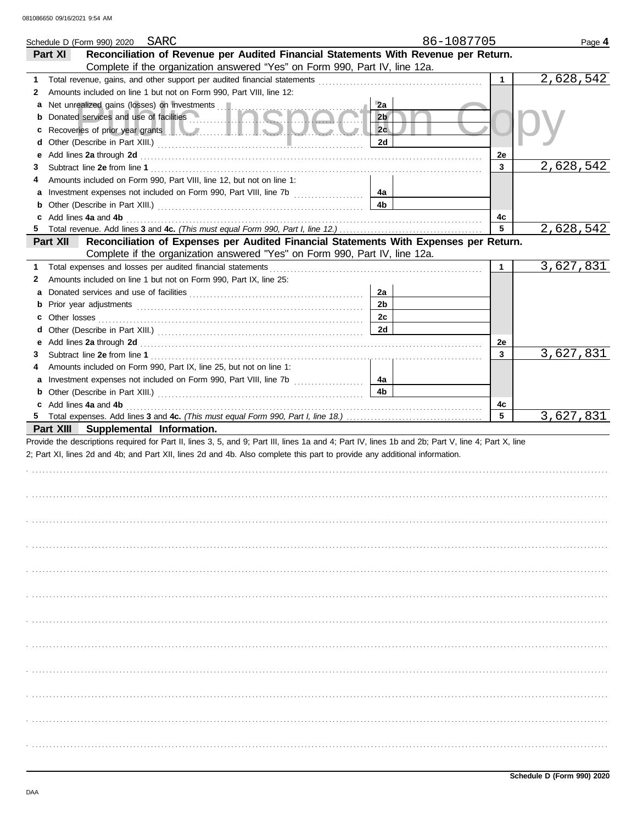|   | SARC<br>Schedule D (Form 990) 2020                                                                                                                                                                                                   |                | 86-1087705 |              | Page 4    |
|---|--------------------------------------------------------------------------------------------------------------------------------------------------------------------------------------------------------------------------------------|----------------|------------|--------------|-----------|
|   | Reconciliation of Revenue per Audited Financial Statements With Revenue per Return.<br>Part XI                                                                                                                                       |                |            |              |           |
|   | Complete if the organization answered "Yes" on Form 990, Part IV, line 12a.                                                                                                                                                          |                |            |              |           |
| 1 |                                                                                                                                                                                                                                      |                |            | $\mathbf{1}$ | 2,628,542 |
| 2 | Amounts included on line 1 but not on Form 990, Part VIII, line 12:                                                                                                                                                                  |                |            |              |           |
|   |                                                                                                                                                                                                                                      | 2a             |            |              |           |
| b | Donated services and use of facilities <b>Community of the service of the service</b> of                                                                                                                                             | 2 <sub>b</sub> |            |              |           |
| c | Recoveries of prior year grants <b>the contract of the contract of the contract of the contract of the contract of the contract of the contract of the contract of the contract of the contract of the contract of the contract </b> | 2c             |            |              |           |
| d |                                                                                                                                                                                                                                      | 2d             |            |              |           |
| е |                                                                                                                                                                                                                                      |                |            | 2e           |           |
| З |                                                                                                                                                                                                                                      |                |            | 3            | 2,628,542 |
|   | Amounts included on Form 990, Part VIII, line 12, but not on line 1:                                                                                                                                                                 |                |            |              |           |
| 4 |                                                                                                                                                                                                                                      |                |            |              |           |
|   |                                                                                                                                                                                                                                      | 4a<br>4b       |            |              |           |
|   |                                                                                                                                                                                                                                      |                |            |              |           |
| c | Add lines 4a and 4b                                                                                                                                                                                                                  |                |            | 4с<br>5      |           |
| 5 |                                                                                                                                                                                                                                      |                |            |              | 2,628,542 |
|   | Reconciliation of Expenses per Audited Financial Statements With Expenses per Return.<br>Part XII                                                                                                                                    |                |            |              |           |
|   | Complete if the organization answered "Yes" on Form 990, Part IV, line 12a.                                                                                                                                                          |                |            |              |           |
| 1 | Total expenses and losses per audited financial statements                                                                                                                                                                           |                |            | $\mathbf{1}$ | 3,627,831 |
| 2 | Amounts included on line 1 but not on Form 990, Part IX, line 25:                                                                                                                                                                    |                |            |              |           |
|   |                                                                                                                                                                                                                                      | 2a             |            |              |           |
|   |                                                                                                                                                                                                                                      | 2 <sub>b</sub> |            |              |           |
| c |                                                                                                                                                                                                                                      | 2 <sub>c</sub> |            |              |           |
| d |                                                                                                                                                                                                                                      | 2d             |            |              |           |
| е |                                                                                                                                                                                                                                      |                |            | 2e           |           |
| 3 |                                                                                                                                                                                                                                      |                |            | 3            | 3,627,831 |
| 4 | Amounts included on Form 990, Part IX, line 25, but not on line 1:                                                                                                                                                                   |                |            |              |           |
|   | a Investment expenses not included on Form 990, Part VIII, line 7b                                                                                                                                                                   | 4a             |            |              |           |
|   | <b>b</b> Other (Describe in Part XIII.) <b>CONFIDENT</b> 1                                                                                                                                                                           | 4b             |            |              |           |
|   | c Add lines 4a and 4b                                                                                                                                                                                                                |                |            | 4c           |           |
|   |                                                                                                                                                                                                                                      |                |            | 5            | 3,627,831 |
|   | Part XIII Supplemental Information.                                                                                                                                                                                                  |                |            |              |           |
|   | Provide the descriptions required for Part II, lines 3, 5, and 9; Part III, lines 1a and 4; Part IV, lines 1b and 2b; Part V, line 4; Part X, line                                                                                   |                |            |              |           |
|   | 2; Part XI, lines 2d and 4b; and Part XII, lines 2d and 4b. Also complete this part to provide any additional information.                                                                                                           |                |            |              |           |
|   |                                                                                                                                                                                                                                      |                |            |              |           |
|   |                                                                                                                                                                                                                                      |                |            |              |           |
|   |                                                                                                                                                                                                                                      |                |            |              |           |
|   |                                                                                                                                                                                                                                      |                |            |              |           |
|   |                                                                                                                                                                                                                                      |                |            |              |           |
|   |                                                                                                                                                                                                                                      |                |            |              |           |
|   |                                                                                                                                                                                                                                      |                |            |              |           |
|   |                                                                                                                                                                                                                                      |                |            |              |           |
|   |                                                                                                                                                                                                                                      |                |            |              |           |
|   |                                                                                                                                                                                                                                      |                |            |              |           |
|   |                                                                                                                                                                                                                                      |                |            |              |           |
|   |                                                                                                                                                                                                                                      |                |            |              |           |
|   |                                                                                                                                                                                                                                      |                |            |              |           |
|   |                                                                                                                                                                                                                                      |                |            |              |           |
|   |                                                                                                                                                                                                                                      |                |            |              |           |
|   |                                                                                                                                                                                                                                      |                |            |              |           |
|   |                                                                                                                                                                                                                                      |                |            |              |           |
|   |                                                                                                                                                                                                                                      |                |            |              |           |
|   |                                                                                                                                                                                                                                      |                |            |              |           |
|   |                                                                                                                                                                                                                                      |                |            |              |           |
|   |                                                                                                                                                                                                                                      |                |            |              |           |
|   |                                                                                                                                                                                                                                      |                |            |              |           |
|   |                                                                                                                                                                                                                                      |                |            |              |           |
|   |                                                                                                                                                                                                                                      |                |            |              |           |
|   |                                                                                                                                                                                                                                      |                |            |              |           |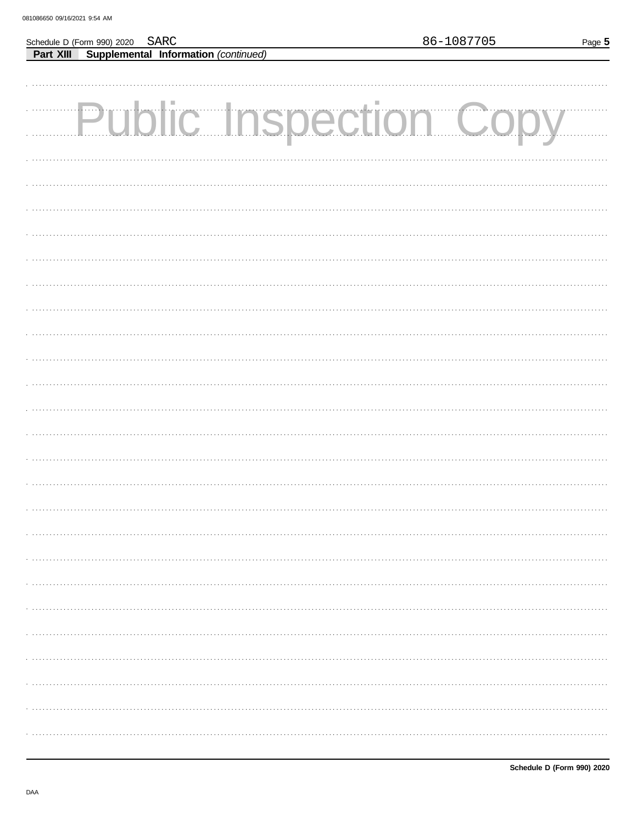|                                                                                          | 86-1087705 | Page 5 |
|------------------------------------------------------------------------------------------|------------|--------|
| Schedule D (Form 990) 2020 SARC<br><b>Part XIII Supplemental Information</b> (continued) |            |        |
|                                                                                          |            |        |
|                                                                                          |            |        |
|                                                                                          |            |        |
| Public Inspection Copy                                                                   |            |        |
|                                                                                          |            |        |
|                                                                                          |            |        |
|                                                                                          |            |        |
|                                                                                          |            |        |
|                                                                                          |            |        |
|                                                                                          |            |        |
|                                                                                          |            |        |
|                                                                                          |            |        |
|                                                                                          |            |        |
|                                                                                          |            |        |
|                                                                                          |            |        |
|                                                                                          |            |        |
|                                                                                          |            |        |
|                                                                                          |            |        |
|                                                                                          |            |        |
|                                                                                          |            |        |
|                                                                                          |            |        |
|                                                                                          |            |        |
|                                                                                          |            |        |
|                                                                                          |            |        |
|                                                                                          |            |        |
|                                                                                          |            |        |
|                                                                                          |            |        |
|                                                                                          |            |        |
|                                                                                          |            |        |
|                                                                                          |            |        |
|                                                                                          |            |        |
|                                                                                          |            |        |
|                                                                                          |            |        |
|                                                                                          |            |        |
|                                                                                          |            |        |
|                                                                                          |            |        |
|                                                                                          |            |        |
|                                                                                          |            |        |
|                                                                                          |            |        |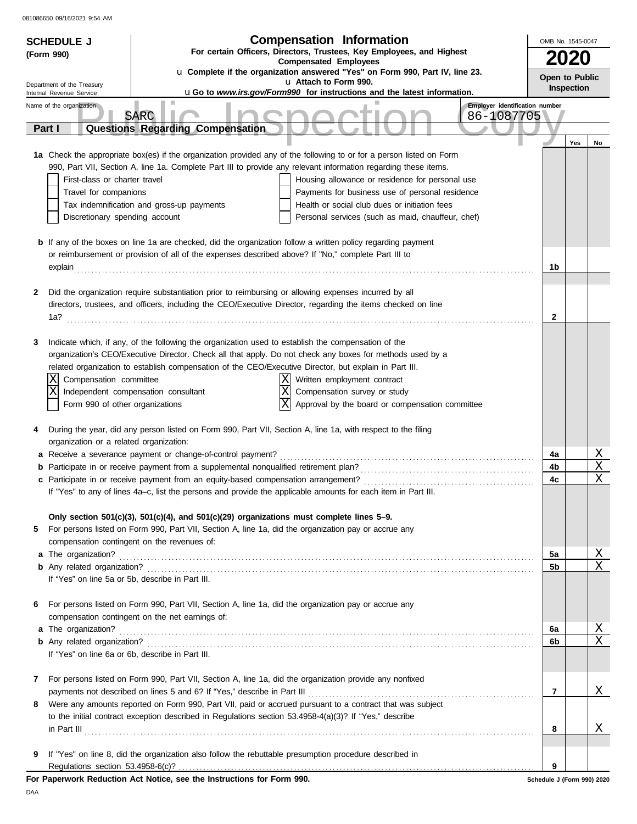|   | <b>Compensation Information</b><br><b>SCHEDULE J</b><br>For certain Officers, Directors, Trustees, Key Employees, and Highest |                                                                                                                      | OMB No. 1545-0047          |            |              |
|---|-------------------------------------------------------------------------------------------------------------------------------|----------------------------------------------------------------------------------------------------------------------|----------------------------|------------|--------------|
|   | (Form 990)                                                                                                                    | <b>Compensated Employees</b>                                                                                         |                            |            |              |
|   |                                                                                                                               | u Complete if the organization answered "Yes" on Form 990, Part IV, line 23.<br>u Attach to Form 990.                | Open to Public             |            |              |
|   | Department of the Treasury<br>Internal Revenue Service                                                                        | uGo to www.irs.gov/Form990 for instructions and the latest information.                                              |                            | Inspection |              |
|   | Name of the organization                                                                                                      | Employer identification number                                                                                       |                            |            |              |
|   |                                                                                                                               | <b>SARC</b><br>86-1087705                                                                                            |                            |            |              |
|   | Part I                                                                                                                        | Questions Regarding Compensation                                                                                     |                            |            |              |
|   |                                                                                                                               | 1a Check the appropriate box(es) if the organization provided any of the following to or for a person listed on Form |                            | Yes        | No           |
|   |                                                                                                                               | 990, Part VII, Section A, line 1a. Complete Part III to provide any relevant information regarding these items.      |                            |            |              |
|   | First-class or charter travel                                                                                                 | Housing allowance or residence for personal use                                                                      |                            |            |              |
|   | Travel for companions                                                                                                         | Payments for business use of personal residence                                                                      |                            |            |              |
|   |                                                                                                                               | Health or social club dues or initiation fees<br>Tax indemnification and gross-up payments                           |                            |            |              |
|   | Discretionary spending account                                                                                                | Personal services (such as maid, chauffeur, chef)                                                                    |                            |            |              |
|   |                                                                                                                               | <b>b</b> If any of the boxes on line 1a are checked, did the organization follow a written policy regarding payment  |                            |            |              |
|   |                                                                                                                               | or reimbursement or provision of all of the expenses described above? If "No," complete Part III to                  |                            |            |              |
|   | explain                                                                                                                       |                                                                                                                      | 1b                         |            |              |
|   |                                                                                                                               |                                                                                                                      |                            |            |              |
| 2 |                                                                                                                               | Did the organization require substantiation prior to reimbursing or allowing expenses incurred by all                |                            |            |              |
|   |                                                                                                                               | directors, trustees, and officers, including the CEO/Executive Director, regarding the items checked on line         |                            |            |              |
|   | 1a?                                                                                                                           |                                                                                                                      | 2                          |            |              |
| 3 |                                                                                                                               | Indicate which, if any, of the following the organization used to establish the compensation of the                  |                            |            |              |
|   |                                                                                                                               | organization's CEO/Executive Director. Check all that apply. Do not check any boxes for methods used by a            |                            |            |              |
|   |                                                                                                                               | related organization to establish compensation of the CEO/Executive Director, but explain in Part III.               |                            |            |              |
|   | Compensation committee                                                                                                        | Written employment contract                                                                                          |                            |            |              |
|   | X                                                                                                                             | $\overline{\text{X}}$<br>Compensation survey or study<br>Independent compensation consultant                         |                            |            |              |
|   | Form 990 of other organizations                                                                                               | $\overline{\mathrm{x}}$<br>Approval by the board or compensation committee                                           |                            |            |              |
| 4 |                                                                                                                               | During the year, did any person listed on Form 990, Part VII, Section A, line 1a, with respect to the filing         |                            |            |              |
|   | organization or a related organization:                                                                                       |                                                                                                                      |                            |            |              |
|   |                                                                                                                               | a Receive a severance payment or change-of-control payment?                                                          | 4a                         |            | Χ            |
| b |                                                                                                                               | Participate in or receive payment from a supplemental nonqualified retirement plan?                                  | 4b                         |            | Χ            |
|   |                                                                                                                               | c Participate in or receive payment from an equity-based compensation arrangement?                                   | 4c                         |            | Χ            |
|   |                                                                                                                               | If "Yes" to any of lines 4a-c, list the persons and provide the applicable amounts for each item in Part III.        |                            |            |              |
|   |                                                                                                                               | Only section $501(c)(3)$ , $501(c)(4)$ , and $501(c)(29)$ organizations must complete lines $5-9$ .                  |                            |            |              |
| 5 |                                                                                                                               | For persons listed on Form 990, Part VII, Section A, line 1a, did the organization pay or accrue any                 |                            |            |              |
|   |                                                                                                                               | compensation contingent on the revenues of:                                                                          |                            |            |              |
|   | a The organization?                                                                                                           |                                                                                                                      | 5a                         |            | $\mathbf{X}$ |
|   |                                                                                                                               |                                                                                                                      | 5b                         |            | Χ            |
|   |                                                                                                                               | If "Yes" on line 5a or 5b, describe in Part III.                                                                     |                            |            |              |
| 6 |                                                                                                                               | For persons listed on Form 990, Part VII, Section A, line 1a, did the organization pay or accrue any                 |                            |            |              |
|   |                                                                                                                               | compensation contingent on the net earnings of:                                                                      |                            |            |              |
|   | a The organization?                                                                                                           |                                                                                                                      | 6а                         |            | $\mathbf{X}$ |
|   |                                                                                                                               |                                                                                                                      | 6b                         |            | Χ            |
|   |                                                                                                                               | If "Yes" on line 6a or 6b, describe in Part III.                                                                     |                            |            |              |
| 7 |                                                                                                                               | For persons listed on Form 990, Part VII, Section A, line 1a, did the organization provide any nonfixed              |                            |            |              |
|   |                                                                                                                               | payments not described on lines 5 and 6? If "Yes," describe in Part III                                              | 7                          |            | Χ            |
| 8 |                                                                                                                               | Were any amounts reported on Form 990, Part VII, paid or accrued pursuant to a contract that was subject             |                            |            |              |
|   |                                                                                                                               | to the initial contract exception described in Regulations section 53.4958-4(a)(3)? If "Yes," describe               |                            |            |              |
|   |                                                                                                                               | $\ $ n Part III $\ $                                                                                                 | 8                          |            | Χ            |
| 9 |                                                                                                                               | If "Yes" on line 8, did the organization also follow the rebuttable presumption procedure described in               |                            |            |              |
|   |                                                                                                                               |                                                                                                                      | 9                          |            |              |
|   |                                                                                                                               | For Paperwork Reduction Act Notice, see the Instructions for Form 990.                                               | Schedule J (Form 990) 2020 |            |              |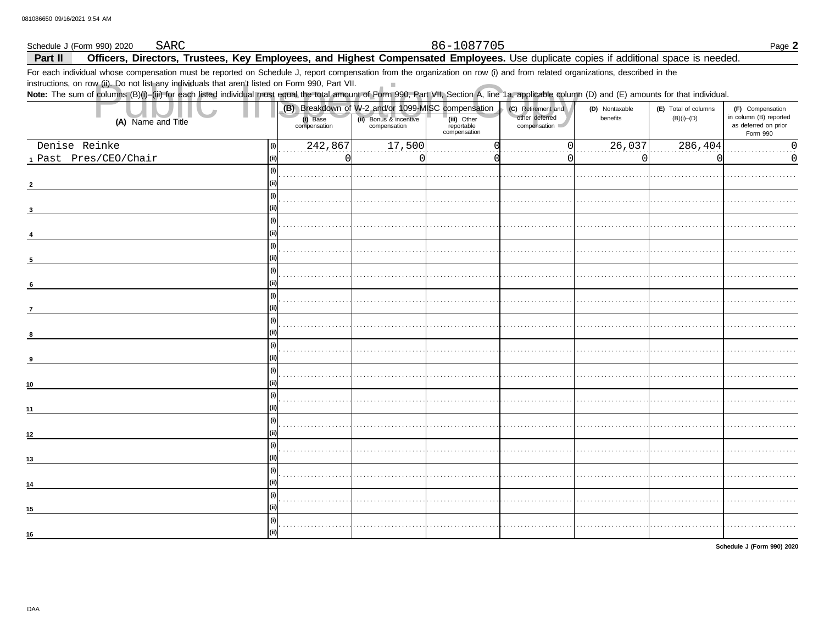#### Schedule J (Form 990) 2020 **SARC**

### 86-1087705

Part II Officers, Directors, Trustees, Key Employees, and Highest Compensated Employees. Use duplicate copies if additional space is needed.

 $\mathbb{R}^2$ 

For each individual whose compensation must be reported on Schedule J, report compensation from the organization on row (i) and from related organizations, described in the

instructions, on row (ii). Do not list any individuals that aren't listed on Form 990, Part VII.

Note: The sum of columns (B)(i)-(iii) for each listed individual must equal the total amount of Form 990, Part VII, Section A, line 1a, applicable column (D) and (E) amounts for that individual.

|                       |             |                          | (B) Breakdown of W-2 and/or 1099-MISC compensation |                                           | (D) Nontaxable<br>(C) Retirement and |          | (E) Total of columns | (F) Compensation                                           |  |
|-----------------------|-------------|--------------------------|----------------------------------------------------|-------------------------------------------|--------------------------------------|----------|----------------------|------------------------------------------------------------|--|
| (A) Name and Title    |             | (i) Base<br>compensation | (ii) Bonus & incentive<br>compensation             | (iii) Other<br>reportable<br>compensation | other deferred<br>compensation       | benefits | $(B)(i)$ - $(D)$     | in column (B) reported<br>as deferred on prior<br>Form 990 |  |
| Denise Reinke         | (i)         | 242,867                  | 17,500                                             |                                           |                                      | 26,037   | 286,404              | U                                                          |  |
| 1 Past Pres/CEO/Chair | (i)         | 0                        | n                                                  |                                           |                                      | $\Omega$ |                      | 0                                                          |  |
|                       | (i)         |                          |                                                    |                                           |                                      |          |                      |                                                            |  |
|                       |             |                          |                                                    |                                           |                                      |          |                      |                                                            |  |
|                       | (i)         |                          |                                                    |                                           |                                      |          |                      |                                                            |  |
|                       |             |                          |                                                    |                                           |                                      |          |                      |                                                            |  |
|                       | (i)         |                          |                                                    |                                           |                                      |          |                      |                                                            |  |
|                       |             |                          |                                                    |                                           |                                      |          |                      |                                                            |  |
|                       | (i)         |                          |                                                    |                                           |                                      |          |                      |                                                            |  |
| 5                     |             |                          |                                                    |                                           |                                      |          |                      |                                                            |  |
|                       | (i)         |                          |                                                    |                                           |                                      |          |                      |                                                            |  |
| 6                     |             |                          |                                                    |                                           |                                      |          |                      |                                                            |  |
|                       | (i)         |                          |                                                    |                                           |                                      |          |                      |                                                            |  |
|                       |             |                          |                                                    |                                           |                                      |          |                      |                                                            |  |
|                       | (i)         |                          |                                                    |                                           |                                      |          |                      |                                                            |  |
|                       |             |                          |                                                    |                                           |                                      |          |                      |                                                            |  |
|                       | (i)         |                          |                                                    |                                           |                                      |          |                      |                                                            |  |
|                       | (ii)        |                          |                                                    |                                           |                                      |          |                      |                                                            |  |
|                       | (i)         |                          |                                                    |                                           |                                      |          |                      |                                                            |  |
| 10                    |             |                          |                                                    |                                           |                                      |          |                      |                                                            |  |
|                       | (i)         |                          |                                                    |                                           |                                      |          |                      |                                                            |  |
| 11                    |             |                          |                                                    |                                           |                                      |          |                      |                                                            |  |
|                       | (i)         |                          |                                                    |                                           |                                      |          |                      |                                                            |  |
| 12                    |             |                          |                                                    |                                           |                                      |          |                      |                                                            |  |
|                       | (i)         |                          |                                                    |                                           |                                      |          |                      |                                                            |  |
| 13                    |             |                          |                                                    |                                           |                                      |          |                      |                                                            |  |
|                       | (i)         |                          |                                                    |                                           |                                      |          |                      |                                                            |  |
| 14                    |             |                          |                                                    |                                           |                                      |          |                      |                                                            |  |
|                       |             |                          |                                                    |                                           |                                      |          |                      |                                                            |  |
| 15                    |             |                          |                                                    |                                           |                                      |          |                      |                                                            |  |
|                       | (i)<br>(ii) |                          |                                                    |                                           |                                      |          |                      |                                                            |  |
| 16                    |             |                          |                                                    |                                           |                                      |          |                      |                                                            |  |

Schedule J (Form 990) 2020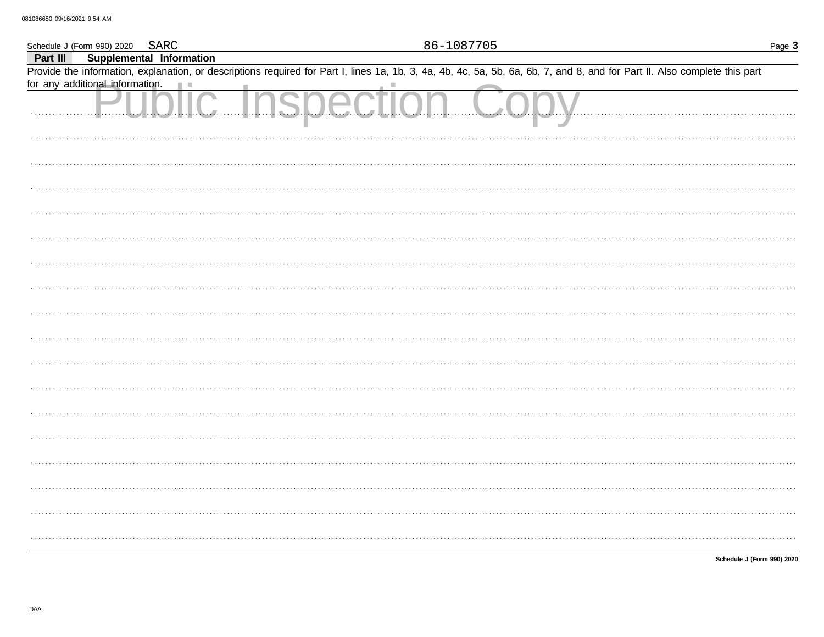|          | Schedule J (Form 990) 2020 SARC                          | 86-1087705                                                                                                                                                                 | Page 3                     |
|----------|----------------------------------------------------------|----------------------------------------------------------------------------------------------------------------------------------------------------------------------------|----------------------------|
| Part III | Supplemental Information                                 |                                                                                                                                                                            |                            |
|          |                                                          | Provide the information, explanation, or descriptions required for Part I, lines 1a, 1b, 3, 4a, 4b, 4c, 5a, 5b, 6a, 6b, 7, and 8, and for Part II. Also complete this part |                            |
|          | for any additional information.                          |                                                                                                                                                                            |                            |
|          | <b><u>Information.</u></b><br><b>U.O.I.C. Inspection</b> |                                                                                                                                                                            |                            |
|          |                                                          |                                                                                                                                                                            |                            |
|          |                                                          |                                                                                                                                                                            |                            |
|          |                                                          |                                                                                                                                                                            |                            |
|          |                                                          |                                                                                                                                                                            |                            |
|          |                                                          |                                                                                                                                                                            |                            |
|          |                                                          |                                                                                                                                                                            |                            |
|          |                                                          |                                                                                                                                                                            |                            |
|          |                                                          |                                                                                                                                                                            |                            |
|          |                                                          |                                                                                                                                                                            |                            |
|          |                                                          |                                                                                                                                                                            |                            |
|          |                                                          |                                                                                                                                                                            |                            |
|          |                                                          |                                                                                                                                                                            |                            |
|          |                                                          |                                                                                                                                                                            |                            |
|          |                                                          |                                                                                                                                                                            |                            |
|          |                                                          |                                                                                                                                                                            |                            |
|          |                                                          |                                                                                                                                                                            |                            |
|          |                                                          |                                                                                                                                                                            |                            |
|          |                                                          |                                                                                                                                                                            |                            |
|          |                                                          |                                                                                                                                                                            |                            |
|          |                                                          |                                                                                                                                                                            |                            |
|          |                                                          |                                                                                                                                                                            |                            |
|          |                                                          |                                                                                                                                                                            |                            |
|          |                                                          |                                                                                                                                                                            |                            |
|          |                                                          |                                                                                                                                                                            |                            |
|          |                                                          |                                                                                                                                                                            |                            |
|          |                                                          |                                                                                                                                                                            |                            |
|          |                                                          |                                                                                                                                                                            |                            |
|          |                                                          |                                                                                                                                                                            |                            |
|          |                                                          |                                                                                                                                                                            | Schedule J (Form 990) 2020 |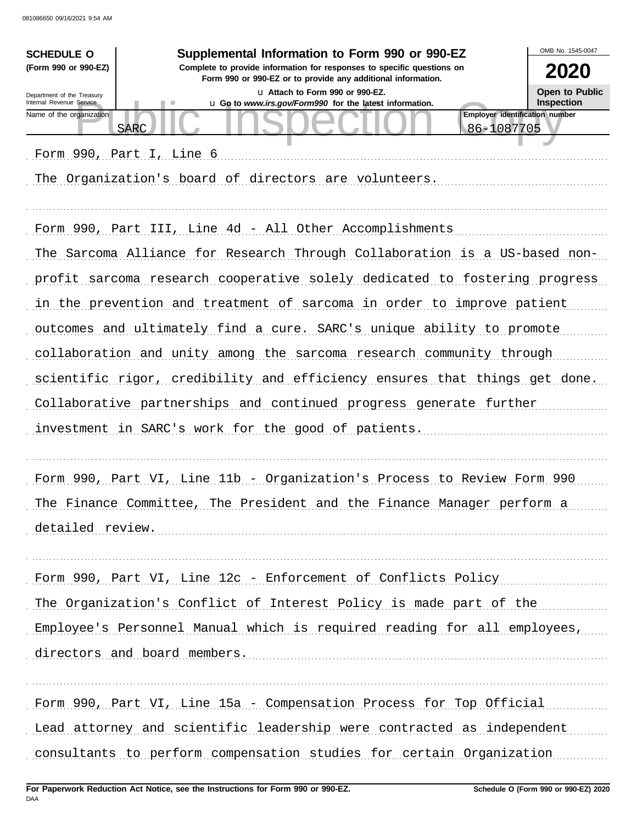| <b>SCHEDULE O</b>                                      | Supplemental Information to Form 990 or 990-EZ                                                                                         | OMB No. 1545-0047                          |
|--------------------------------------------------------|----------------------------------------------------------------------------------------------------------------------------------------|--------------------------------------------|
| (Form 990 or 990-EZ)                                   | Complete to provide information for responses to specific questions on<br>Form 990 or 990-EZ or to provide any additional information. | 2020                                       |
| Department of the Treasury<br>Internal Revenue Service | u Attach to Form 990 or 990-EZ.<br>u Go to www.irs.gov/Form990 for the latest information.                                             | <b>Open to Public</b><br><b>Inspection</b> |
| Name of the organization                               | Employer identification number<br><b>SARC</b><br>86-1087705                                                                            |                                            |
|                                                        | Form 990, Part I, Line 6                                                                                                               |                                            |
|                                                        | The Organization's board of directors are volunteers.                                                                                  |                                            |
|                                                        |                                                                                                                                        |                                            |
|                                                        | Form 990, Part III, Line 4d - All Other Accomplishments                                                                                |                                            |
|                                                        | The Sarcoma Alliance for Research Through Collaboration is a US-based non-                                                             |                                            |
|                                                        | profit sarcoma research cooperative solely dedicated to fostering progress                                                             |                                            |
|                                                        | in the prevention and treatment of sarcoma in order to improve patient                                                                 |                                            |
|                                                        |                                                                                                                                        |                                            |
|                                                        | outcomes and ultimately find a cure. SARC's unique ability to promote                                                                  |                                            |
|                                                        | collaboration and unity among the sarcoma research community through                                                                   |                                            |
|                                                        | scientific rigor, credibility and efficiency ensures that things get done.                                                             |                                            |
|                                                        | Collaborative partnerships and continued progress generate further                                                                     |                                            |
|                                                        | investment in SARC's work for the good of patients.                                                                                    |                                            |
|                                                        |                                                                                                                                        |                                            |
|                                                        | Form 990, Part VI, Line 11b - Organization's Process to Review Form 990                                                                |                                            |
|                                                        | The Finance Committee, The President and the Finance Manager perform a                                                                 |                                            |
| detailed review.                                       |                                                                                                                                        |                                            |
|                                                        |                                                                                                                                        |                                            |
|                                                        | Form 990, Part VI, Line 12c - Enforcement of Conflicts Policy                                                                          |                                            |
|                                                        | The Organization's Conflict of Interest Policy is made part of the                                                                     |                                            |
|                                                        | Employee's Personnel Manual which is required reading for all employees,                                                               |                                            |
|                                                        | directors and board members.                                                                                                           |                                            |
|                                                        |                                                                                                                                        |                                            |
|                                                        | Form 990, Part VI, Line 15a - Compensation Process for Top Official                                                                    |                                            |
|                                                        | Lead attorney and scientific leadership were contracted as independent                                                                 |                                            |
|                                                        | consultants to perform compensation studies for certain Organization                                                                   |                                            |